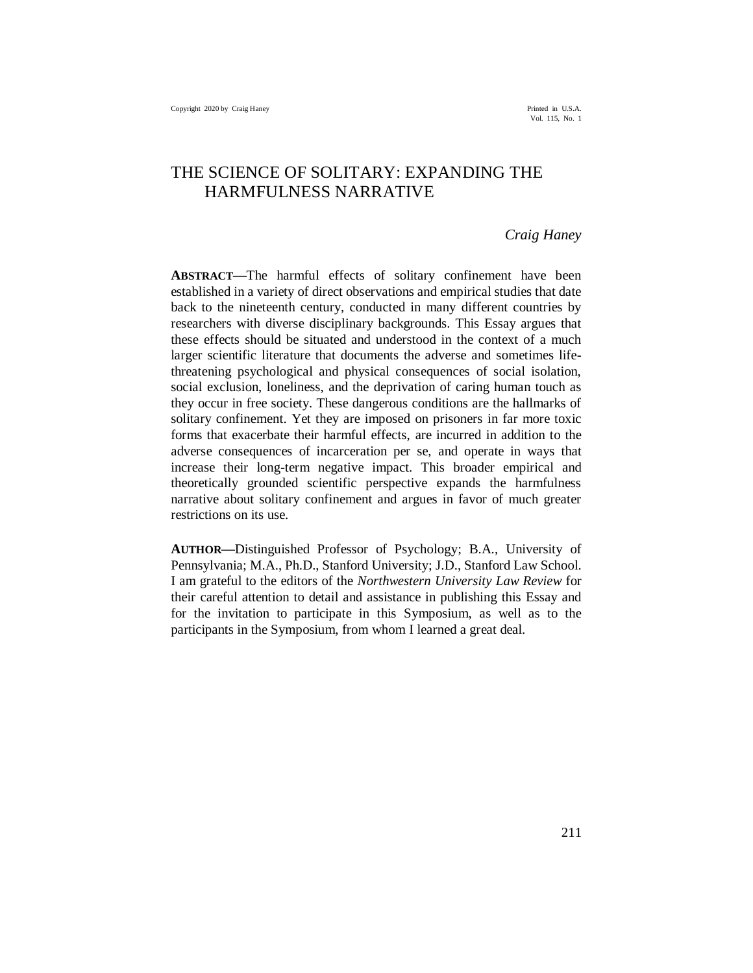# THE SCIENCE OF SOLITARY: EXPANDING THE HARMFULNESS NARRATIVE

## *Craig Haney*

**ABSTRACT—**The harmful effects of solitary confinement have been established in a variety of direct observations and empirical studies that date back to the nineteenth century, conducted in many different countries by researchers with diverse disciplinary backgrounds. This Essay argues that these effects should be situated and understood in the context of a much larger scientific literature that documents the adverse and sometimes lifethreatening psychological and physical consequences of social isolation, social exclusion, loneliness, and the deprivation of caring human touch as they occur in free society. These dangerous conditions are the hallmarks of solitary confinement. Yet they are imposed on prisoners in far more toxic forms that exacerbate their harmful effects, are incurred in addition to the adverse consequences of incarceration per se, and operate in ways that increase their long-term negative impact. This broader empirical and theoretically grounded scientific perspective expands the harmfulness narrative about solitary confinement and argues in favor of much greater restrictions on its use.

**AUTHOR—**Distinguished Professor of Psychology; B.A., University of Pennsylvania; M.A., Ph.D., Stanford University; J.D., Stanford Law School. I am grateful to the editors of the *Northwestern University Law Review* for their careful attention to detail and assistance in publishing this Essay and for the invitation to participate in this Symposium, as well as to the participants in the Symposium, from whom I learned a great deal.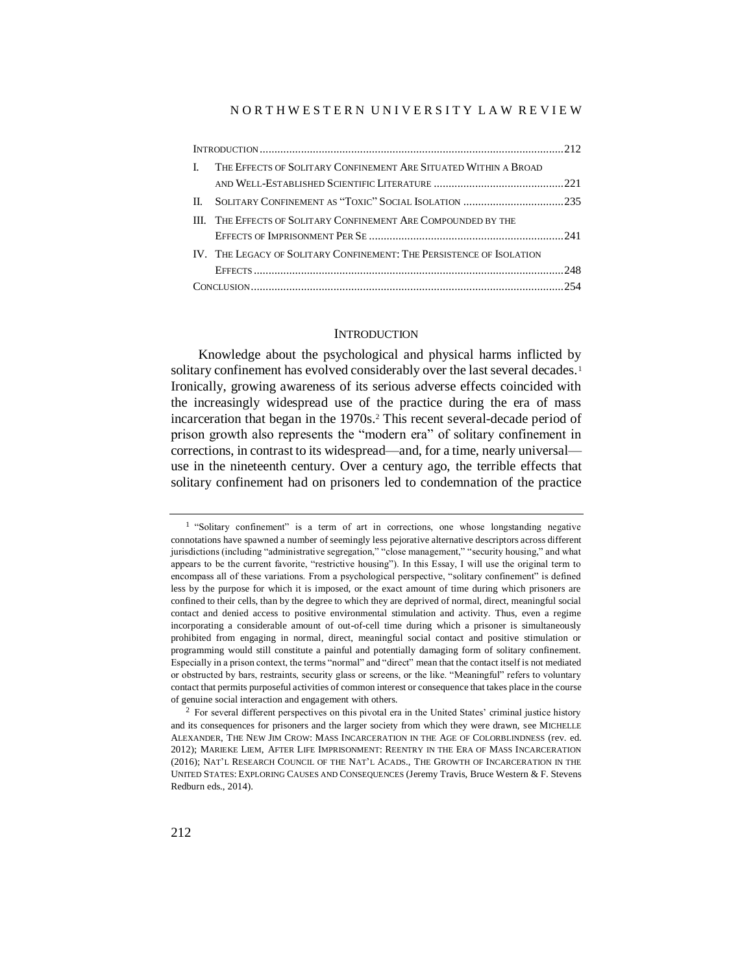#### N O R T H W E S T E R N U N I V E R S I T Y L A W R E V I E W

| L  | THE EFFECTS OF SOLITARY CONFINEMENT ARE SITUATED WITHIN A BROAD      |  |
|----|----------------------------------------------------------------------|--|
|    |                                                                      |  |
| H. |                                                                      |  |
|    | III. THE EFFECTS OF SOLITARY CONFINEMENT ARE COMPOUNDED BY THE       |  |
|    |                                                                      |  |
|    | IV. THE LEGACY OF SOLITARY CONFINEMENT: THE PERSISTENCE OF ISOLATION |  |
|    |                                                                      |  |
|    |                                                                      |  |

#### **INTRODUCTION**

Knowledge about the psychological and physical harms inflicted by solitary confinement has evolved considerably over the last several decades.<sup>1</sup> Ironically, growing awareness of its serious adverse effects coincided with the increasingly widespread use of the practice during the era of mass incarceration that began in the 1970s.<sup>2</sup> This recent several-decade period of prison growth also represents the "modern era" of solitary confinement in corrections, in contrast to its widespread—and, for a time, nearly universal use in the nineteenth century. Over a century ago, the terrible effects that solitary confinement had on prisoners led to condemnation of the practice

<sup>&</sup>lt;sup>1</sup> "Solitary confinement" is a term of art in corrections, one whose longstanding negative connotations have spawned a number of seemingly less pejorative alternative descriptors across different jurisdictions (including "administrative segregation," "close management," "security housing," and what appears to be the current favorite, "restrictive housing"). In this Essay, I will use the original term to encompass all of these variations. From a psychological perspective, "solitary confinement" is defined less by the purpose for which it is imposed, or the exact amount of time during which prisoners are confined to their cells, than by the degree to which they are deprived of normal, direct, meaningful social contact and denied access to positive environmental stimulation and activity. Thus, even a regime incorporating a considerable amount of out-of-cell time during which a prisoner is simultaneously prohibited from engaging in normal, direct, meaningful social contact and positive stimulation or programming would still constitute a painful and potentially damaging form of solitary confinement. Especially in a prison context, the terms "normal" and "direct" mean that the contact itself is not mediated or obstructed by bars, restraints, security glass or screens, or the like. "Meaningful" refers to voluntary contact that permits purposeful activities of common interest or consequence that takes place in the course of genuine social interaction and engagement with others.

<sup>&</sup>lt;sup>2</sup> For several different perspectives on this pivotal era in the United States' criminal justice history and its consequences for prisoners and the larger society from which they were drawn, see MICHELLE ALEXANDER, THE NEW JIM CROW: MASS INCARCERATION IN THE AGE OF COLORBLINDNESS (rev. ed. 2012); MARIEKE LIEM, AFTER LIFE IMPRISONMENT: REENTRY IN THE ERA OF MASS INCARCERATION (2016); NAT'L RESEARCH COUNCIL OF THE NAT'L ACADS., THE GROWTH OF INCARCERATION IN THE UNITED STATES: EXPLORING CAUSES AND CONSEQUENCES (Jeremy Travis, Bruce Western & F. Stevens Redburn eds., 2014).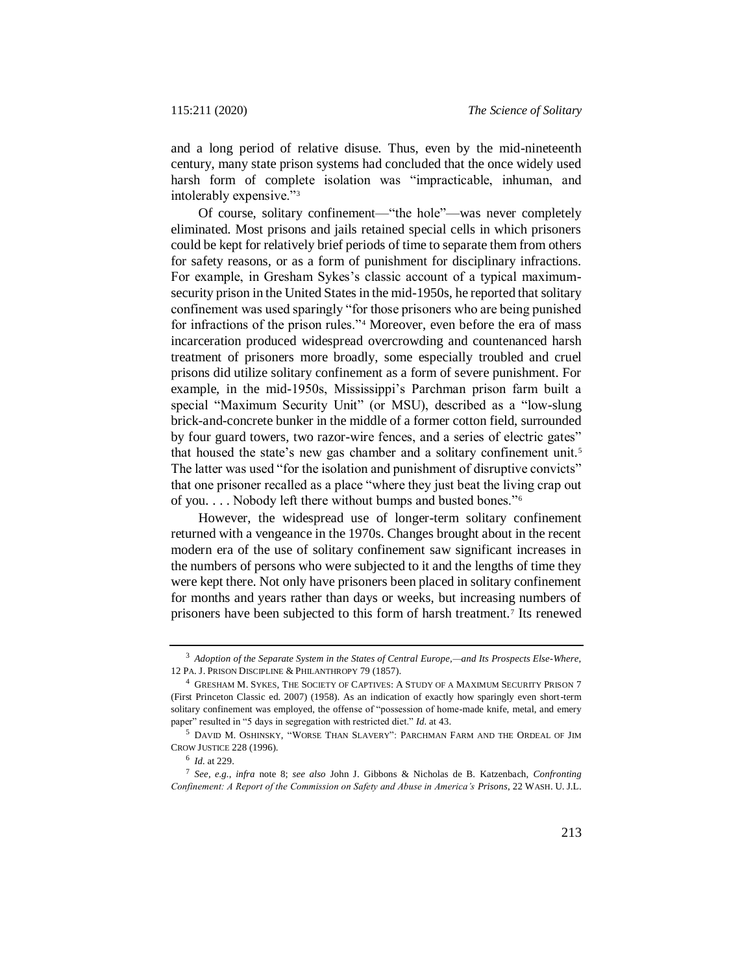and a long period of relative disuse. Thus, even by the mid-nineteenth century, many state prison systems had concluded that the once widely used harsh form of complete isolation was "impracticable, inhuman, and intolerably expensive."<sup>3</sup>

Of course, solitary confinement—"the hole"—was never completely eliminated. Most prisons and jails retained special cells in which prisoners could be kept for relatively brief periods of time to separate them from others for safety reasons, or as a form of punishment for disciplinary infractions. For example, in Gresham Sykes's classic account of a typical maximumsecurity prison in the United States in the mid-1950s, he reported that solitary confinement was used sparingly "for those prisoners who are being punished for infractions of the prison rules."<sup>4</sup> Moreover, even before the era of mass incarceration produced widespread overcrowding and countenanced harsh treatment of prisoners more broadly, some especially troubled and cruel prisons did utilize solitary confinement as a form of severe punishment. For example, in the mid-1950s, Mississippi's Parchman prison farm built a special "Maximum Security Unit" (or MSU), described as a "low-slung brick-and-concrete bunker in the middle of a former cotton field, surrounded by four guard towers, two razor-wire fences, and a series of electric gates" that housed the state's new gas chamber and a solitary confinement unit.<sup>5</sup> The latter was used "for the isolation and punishment of disruptive convicts" that one prisoner recalled as a place "where they just beat the living crap out of you. . . . Nobody left there without bumps and busted bones."<sup>6</sup>

However, the widespread use of longer-term solitary confinement returned with a vengeance in the 1970s. Changes brought about in the recent modern era of the use of solitary confinement saw significant increases in the numbers of persons who were subjected to it and the lengths of time they were kept there. Not only have prisoners been placed in solitary confinement for months and years rather than days or weeks, but increasing numbers of prisoners have been subjected to this form of harsh treatment.<sup>7</sup> Its renewed

<span id="page-2-0"></span><sup>3</sup> *Adoption of the Separate System in the States of Central Europe,—and Its Prospects Else-Where*, 12 PA. J. PRISON DISCIPLINE & PHILANTHROPY 79 (1857).

<sup>4</sup> GRESHAM M. SYKES, THE SOCIETY OF CAPTIVES: A STUDY OF A MAXIMUM SECURITY PRISON 7 (First Princeton Classic ed. 2007) (1958). As an indication of exactly how sparingly even short-term solitary confinement was employed, the offense of "possession of home-made knife, metal, and emery paper" resulted in "5 days in segregation with restricted diet." *Id.* at 43.

<sup>5</sup> DAVID M. OSHINSKY, "WORSE THAN SLAVERY": PARCHMAN FARM AND THE ORDEAL OF JIM CROW JUSTICE 228 (1996).

<sup>6</sup> *Id.* at 229.

<sup>7</sup> *See, e.g.*, *infra* note [8;](#page-3-0) *see also* John J. Gibbons & Nicholas de B. Katzenbach, *Confronting Confinement: A Report of the Commission on Safety and Abuse in America's Prisons*, 22 WASH. U. J.L.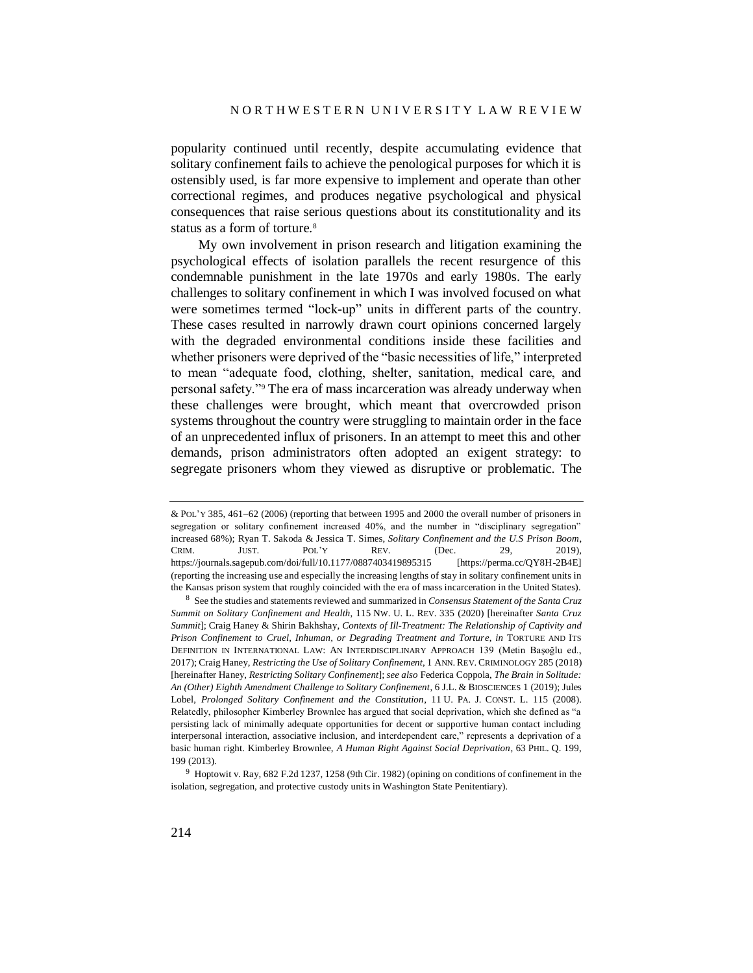popularity continued until recently, despite accumulating evidence that solitary confinement fails to achieve the penological purposes for which it is ostensibly used, is far more expensive to implement and operate than other correctional regimes, and produces negative psychological and physical consequences that raise serious questions about its constitutionality and its status as a form of torture.<sup>8</sup>

<span id="page-3-0"></span>My own involvement in prison research and litigation examining the psychological effects of isolation parallels the recent resurgence of this condemnable punishment in the late 1970s and early 1980s. The early challenges to solitary confinement in which I was involved focused on what were sometimes termed "lock-up" units in different parts of the country. These cases resulted in narrowly drawn court opinions concerned largely with the degraded environmental conditions inside these facilities and whether prisoners were deprived of the "basic necessities of life," interpreted to mean "adequate food, clothing, shelter, sanitation, medical care, and personal safety."<sup>9</sup> The era of mass incarceration was already underway when these challenges were brought, which meant that overcrowded prison systems throughout the country were struggling to maintain order in the face of an unprecedented influx of prisoners. In an attempt to meet this and other demands, prison administrators often adopted an exigent strategy: to segregate prisoners whom they viewed as disruptive or problematic. The

<sup>&</sup>amp; POL'Y 385, 461-62 (2006) (reporting that between 1995 and 2000 the overall number of prisoners in segregation or solitary confinement increased 40%, and the number in "disciplinary segregation" increased 68%); Ryan T. Sakoda & Jessica T. Simes, *Solitary Confinement and the U.S Prison Boom*, CRIM. JUST. POL'Y REV. (Dec. 29, 2019), https://journals.sagepub.com/doi/full/10.1177/0887403419895315 [https://perma.cc/QY8H-2B4E] (reporting the increasing use and especially the increasing lengths of stay in solitary confinement units in the Kansas prison system that roughly coincided with the era of mass incarceration in the United States).

<sup>8</sup> See the studies and statements reviewed and summarized in *Consensus Statement of the Santa Cruz Summit on Solitary Confinement and Health*, 115 NW. U. L. REV. 335 (2020) [hereinafter *Santa Cruz Summit*]; Craig Haney & Shirin Bakhshay, *Contexts of Ill-Treatment: The Relationship of Captivity and Prison Confinement to Cruel, Inhuman, or Degrading Treatment and Torture*, *in* TORTURE AND ITS DEFINITION IN INTERNATIONAL LAW: AN INTERDISCIPLINARY APPROACH 139 (Metin Başoğlu ed., 2017); Craig Haney, *Restricting the Use of Solitary Confinement*, 1 ANN. REV. CRIMINOLOGY 285 (2018) [hereinafter Haney, *Restricting Solitary Confinement*]; *see also* Federica Coppola, *The Brain in Solitude: An (Other) Eighth Amendment Challenge to Solitary Confinement*, 6 J.L. & BIOSCIENCES 1 (2019); Jules Lobel, *Prolonged Solitary Confinement and the Constitution*, 11 U. PA. J. CONST. L. 115 (2008). Relatedly, philosopher Kimberley Brownlee has argued that social deprivation, which she defined as "a persisting lack of minimally adequate opportunities for decent or supportive human contact including interpersonal interaction, associative inclusion, and interdependent care," represents a deprivation of a basic human right. Kimberley Brownlee, *A Human Right Against Social Deprivation*, 63 PHIL. Q. 199, 199 (2013).

<sup>9</sup> Hoptowit v. Ray, 682 F.2d 1237, 1258 (9th Cir. 1982) (opining on conditions of confinement in the isolation, segregation, and protective custody units in Washington State Penitentiary).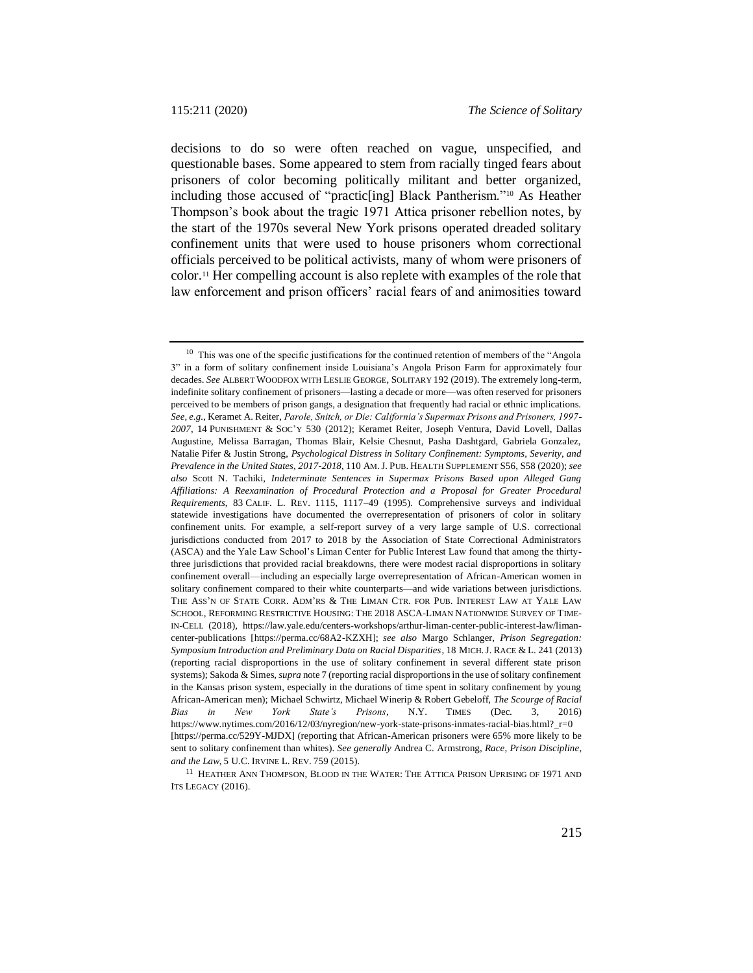<span id="page-4-0"></span>decisions to do so were often reached on vague, unspecified, and questionable bases. Some appeared to stem from racially tinged fears about prisoners of color becoming politically militant and better organized, including those accused of "practic[ing] Black Pantherism."<sup>10</sup> As Heather Thompson's book about the tragic 1971 Attica prisoner rebellion notes, by the start of the 1970s several New York prisons operated dreaded solitary confinement units that were used to house prisoners whom correctional officials perceived to be political activists, many of whom were prisoners of color.<sup>11</sup> Her compelling account is also replete with examples of the role that law enforcement and prison officers' racial fears of and animosities toward

 $10$  This was one of the specific justifications for the continued retention of members of the "Angola" 3" in a form of solitary confinement inside Louisiana's Angola Prison Farm for approximately four decades. *See* ALBERT WOODFOX WITH LESLIE GEORGE, SOLITARY 192 (2019). The extremely long-term, indefinite solitary confinement of prisoners—lasting a decade or more—was often reserved for prisoners perceived to be members of prison gangs, a designation that frequently had racial or ethnic implications. *See, e.g.*, Keramet A. Reiter, *Parole, Snitch, or Die: California's Supermax Prisons and Prisoners, 1997- 2007*, 14 PUNISHMENT & SOC'Y 530 (2012); Keramet Reiter, Joseph Ventura, David Lovell, Dallas Augustine, Melissa Barragan, Thomas Blair, Kelsie Chesnut, Pasha Dashtgard, Gabriela Gonzalez, Natalie Pifer & Justin Strong, *Psychological Distress in Solitary Confinement: Symptoms, Severity, and Prevalence in the United States, 2017-2018*, 110 AM.J. PUB. HEALTH SUPPLEMENT S56, S58 (2020); *see also* Scott N. Tachiki, *Indeterminate Sentences in Supermax Prisons Based upon Alleged Gang Affiliations: A Reexamination of Procedural Protection and a Proposal for Greater Procedural Requirements*, 83 CALIF. L. REV. 1115, 111749 (1995). Comprehensive surveys and individual statewide investigations have documented the overrepresentation of prisoners of color in solitary confinement units. For example, a self-report survey of a very large sample of U.S. correctional jurisdictions conducted from 2017 to 2018 by the Association of State Correctional Administrators (ASCA) and the Yale Law School's Liman Center for Public Interest Law found that among the thirtythree jurisdictions that provided racial breakdowns, there were modest racial disproportions in solitary confinement overall—including an especially large overrepresentation of African-American women in solitary confinement compared to their white counterparts—and wide variations between jurisdictions. THE ASS'N OF STATE CORR. ADM'RS & THE LIMAN CTR. FOR PUB. INTEREST LAW AT YALE LAW SCHOOL, REFORMING RESTRICTIVE HOUSING: THE 2018 ASCA-LIMAN NATIONWIDE SURVEY OF TIME-IN-CELL (2018), https://law.yale.edu/centers-workshops/arthur-liman-center-public-interest-law/limancenter-publications [https://perma.cc/68A2-KZXH]; *see also* Margo Schlanger, *Prison Segregation: Symposium Introduction and Preliminary Data on Racial Disparities*, 18 MICH.J. RACE & L. 241 (2013) (reporting racial disproportions in the use of solitary confinement in several different state prison systems); Sakoda & Simes, *supra* not[e 7](#page-2-0) (reporting racial disproportions in the use of solitary confinement in the Kansas prison system, especially in the durations of time spent in solitary confinement by young African-American men); Michael Schwirtz, Michael Winerip & Robert Gebeloff, *The Scourge of Racial Bias in New York State's Prisons*, N.Y. TIMES (Dec. 3, 2016) https://www.nytimes.com/2016/12/03/nyregion/new-york-state-prisons-inmates-racial-bias.html? r=0 [https://perma.cc/529Y-MJDX] (reporting that African-American prisoners were 65% more likely to be sent to solitary confinement than whites). *See generally* Andrea C. Armstrong, *Race, Prison Discipline, and the Law*, 5 U.C. IRVINE L. REV. 759 (2015).

 $^{11}\,$  Heather Ann Thompson, Blood in the Water: The Attica Prison Uprising of 1971 and ITS LEGACY (2016).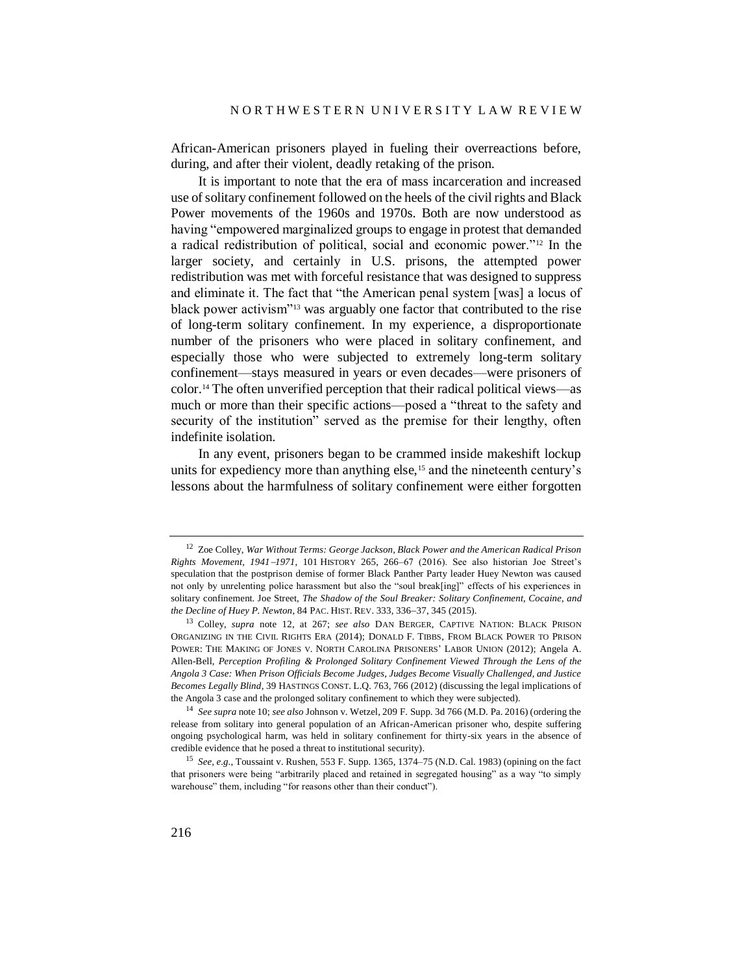African-American prisoners played in fueling their overreactions before, during, and after their violent, deadly retaking of the prison.

<span id="page-5-0"></span>It is important to note that the era of mass incarceration and increased use of solitary confinement followed on the heels of the civil rights and Black Power movements of the 1960s and 1970s. Both are now understood as having "empowered marginalized groups to engage in protest that demanded a radical redistribution of political, social and economic power."<sup>12</sup> In the larger society, and certainly in U.S. prisons, the attempted power redistribution was met with forceful resistance that was designed to suppress and eliminate it. The fact that "the American penal system [was] a locus of black power activism"<sup>13</sup> was arguably one factor that contributed to the rise of long-term solitary confinement. In my experience, a disproportionate number of the prisoners who were placed in solitary confinement, and especially those who were subjected to extremely long-term solitary confinement—stays measured in years or even decades—were prisoners of color.<sup>14</sup> The often unverified perception that their radical political views—as much or more than their specific actions—posed a "threat to the safety and security of the institution" served as the premise for their lengthy, often indefinite isolation.

In any event, prisoners began to be crammed inside makeshift lockup units for expediency more than anything else,<sup>15</sup> and the nineteenth century's lessons about the harmfulness of solitary confinement were either forgotten

<sup>12</sup> Zoe Colley, *War Without Terms: George Jackson, Black Power and the American Radical Prison Rights Movement, 19411971*, 101 HISTORY 265, 266–67 (2016). See also historian Joe Street's speculation that the postprison demise of former Black Panther Party leader Huey Newton was caused not only by unrelenting police harassment but also the "soul break[ing]" effects of his experiences in solitary confinement. Joe Street, *The Shadow of the Soul Breaker: Solitary Confinement, Cocaine, and the Decline of Huey P. Newton, 84 PAC. HIST. REV. 333, 336-37, 345 (2015).* 

<sup>13</sup> Colley, *supra* note [12,](#page-5-0) at 267; *see also* DAN BERGER, CAPTIVE NATION: BLACK PRISON ORGANIZING IN THE CIVIL RIGHTS ERA (2014); DONALD F. TIBBS, FROM BLACK POWER TO PRISON POWER: THE MAKING OF JONES V. NORTH CAROLINA PRISONERS' LABOR UNION (2012); Angela A. Allen-Bell, *Perception Profiling & Prolonged Solitary Confinement Viewed Through the Lens of the Angola 3 Case: When Prison Officials Become Judges, Judges Become Visually Challenged, and Justice Becomes Legally Blind*, 39 HASTINGS CONST. L.Q. 763, 766 (2012) (discussing the legal implications of the Angola 3 case and the prolonged solitary confinement to which they were subjected).

<sup>14</sup> *See supra* note [10;](#page-4-0) *see also* Johnson v. Wetzel, 209 F. Supp. 3d 766 (M.D. Pa. 2016) (ordering the release from solitary into general population of an African-American prisoner who, despite suffering ongoing psychological harm, was held in solitary confinement for thirty-six years in the absence of credible evidence that he posed a threat to institutional security).

<sup>15</sup> *See, e.g.*, Toussaint v. Rushen, 553 F. Supp. 1365, 1374–75 (N.D. Cal. 1983) (opining on the fact that prisoners were being "arbitrarily placed and retained in segregated housing" as a way "to simply warehouse" them, including "for reasons other than their conduct").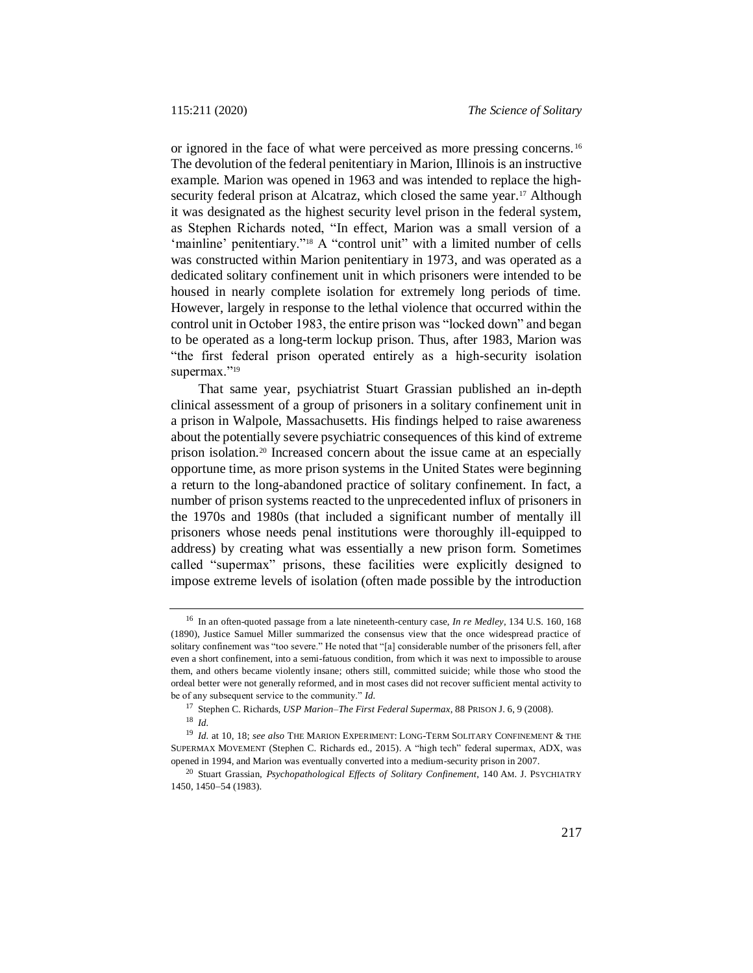or ignored in the face of what were perceived as more pressing concerns. <sup>16</sup> The devolution of the federal penitentiary in Marion, Illinois is an instructive example. Marion was opened in 1963 and was intended to replace the highsecurity federal prison at Alcatraz, which closed the same year.<sup>17</sup> Although it was designated as the highest security level prison in the federal system, as Stephen Richards noted, "In effect, Marion was a small version of a 'mainline' penitentiary."<sup>18</sup> A "control unit" with a limited number of cells was constructed within Marion penitentiary in 1973, and was operated as a dedicated solitary confinement unit in which prisoners were intended to be housed in nearly complete isolation for extremely long periods of time. However, largely in response to the lethal violence that occurred within the control unit in October 1983, the entire prison was "locked down" and began to be operated as a long-term lockup prison. Thus, after 1983, Marion was "the first federal prison operated entirely as a high-security isolation supermax."<sup>19</sup>

That same year, psychiatrist Stuart Grassian published an in-depth clinical assessment of a group of prisoners in a solitary confinement unit in a prison in Walpole, Massachusetts. His findings helped to raise awareness about the potentially severe psychiatric consequences of this kind of extreme prison isolation.<sup>20</sup> Increased concern about the issue came at an especially opportune time, as more prison systems in the United States were beginning a return to the long-abandoned practice of solitary confinement. In fact, a number of prison systems reacted to the unprecedented influx of prisoners in the 1970s and 1980s (that included a significant number of mentally ill prisoners whose needs penal institutions were thoroughly ill-equipped to address) by creating what was essentially a new prison form. Sometimes called "supermax" prisons, these facilities were explicitly designed to impose extreme levels of isolation (often made possible by the introduction

<sup>16</sup> In an often-quoted passage from a late nineteenth-century case, *In re Medley*, 134 U.S. 160, 168 (1890), Justice Samuel Miller summarized the consensus view that the once widespread practice of solitary confinement was "too severe." He noted that "[a] considerable number of the prisoners fell, after even a short confinement, into a semi-fatuous condition, from which it was next to impossible to arouse them, and others became violently insane; others still, committed suicide; while those who stood the ordeal better were not generally reformed, and in most cases did not recover sufficient mental activity to be of any subsequent service to the community." *Id.*

<sup>17</sup> Stephen C. Richards, *USP Marion*–*The First Federal Supermax*, 88 PRISON J. 6, 9 (2008). <sup>18</sup> *Id.*

<sup>19</sup> *Id.* at 10, 18; *see also* THE MARION EXPERIMENT: LONG-TERM SOLITARY CONFINEMENT & THE SUPERMAX MOVEMENT (Stephen C. Richards ed., 2015). A "high tech" federal supermax, ADX, was opened in 1994, and Marion was eventually converted into a medium-security prison in 2007.

<sup>20</sup> Stuart Grassian, *Psychopathological Effects of Solitary Confinement*, 140 AM. J. PSYCHIATRY 1450, 1450-54 (1983).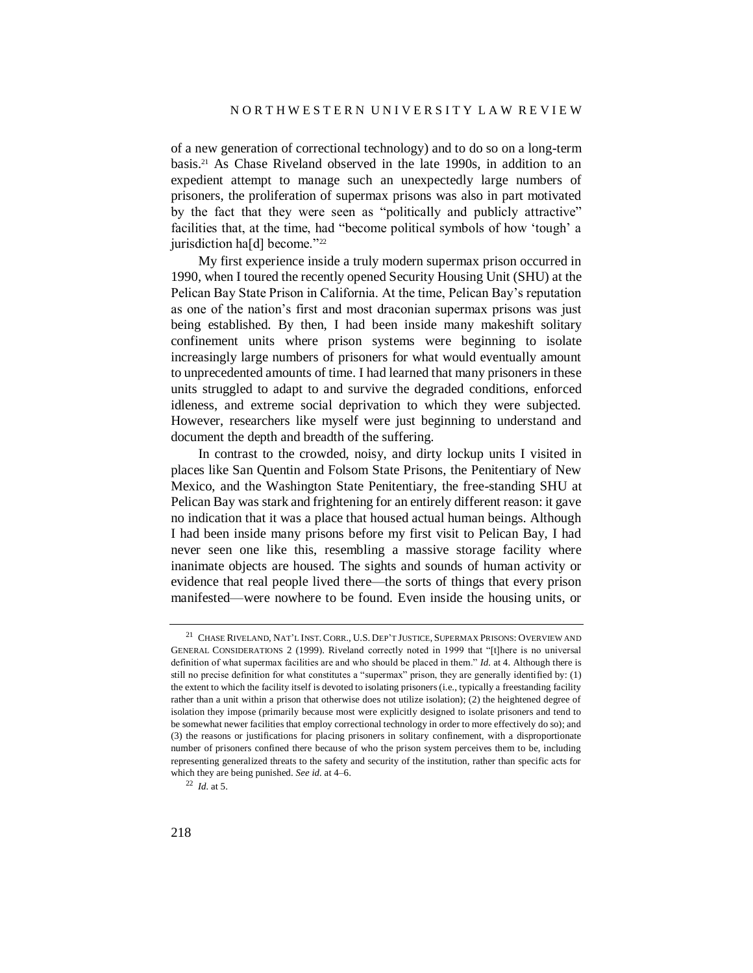of a new generation of correctional technology) and to do so on a long-term basis.<sup>21</sup> As Chase Riveland observed in the late 1990s, in addition to an expedient attempt to manage such an unexpectedly large numbers of prisoners, the proliferation of supermax prisons was also in part motivated by the fact that they were seen as "politically and publicly attractive" facilities that, at the time, had "become political symbols of how 'tough' a jurisdiction ha[d] become."<sup>22</sup>

My first experience inside a truly modern supermax prison occurred in 1990, when I toured the recently opened Security Housing Unit (SHU) at the Pelican Bay State Prison in California. At the time, Pelican Bay's reputation as one of the nation's first and most draconian supermax prisons was just being established. By then, I had been inside many makeshift solitary confinement units where prison systems were beginning to isolate increasingly large numbers of prisoners for what would eventually amount to unprecedented amounts of time. I had learned that many prisoners in these units struggled to adapt to and survive the degraded conditions, enforced idleness, and extreme social deprivation to which they were subjected. However, researchers like myself were just beginning to understand and document the depth and breadth of the suffering.

In contrast to the crowded, noisy, and dirty lockup units I visited in places like San Quentin and Folsom State Prisons, the Penitentiary of New Mexico, and the Washington State Penitentiary, the free-standing SHU at Pelican Bay was stark and frightening for an entirely different reason: it gave no indication that it was a place that housed actual human beings. Although I had been inside many prisons before my first visit to Pelican Bay, I had never seen one like this, resembling a massive storage facility where inanimate objects are housed. The sights and sounds of human activity or evidence that real people lived there—the sorts of things that every prison manifested—were nowhere to be found. Even inside the housing units, or

<sup>21</sup> CHASE RIVELAND, NAT'L INST. CORR., U.S. DEP'T JUSTICE, SUPERMAX PRISONS: OVERVIEW AND GENERAL CONSIDERATIONS 2 (1999). Riveland correctly noted in 1999 that "[t]here is no universal definition of what supermax facilities are and who should be placed in them." *Id.* at 4. Although there is still no precise definition for what constitutes a "supermax" prison, they are generally identified by: (1) the extent to which the facility itself is devoted to isolating prisoners (i.e., typically a freestanding facility rather than a unit within a prison that otherwise does not utilize isolation); (2) the heightened degree of isolation they impose (primarily because most were explicitly designed to isolate prisoners and tend to be somewhat newer facilities that employ correctional technology in order to more effectively do so); and (3) the reasons or justifications for placing prisoners in solitary confinement, with a disproportionate number of prisoners confined there because of who the prison system perceives them to be, including representing generalized threats to the safety and security of the institution, rather than specific acts for which they are being punished. *See id.* at 4–6.

<sup>22</sup> *Id.* at 5.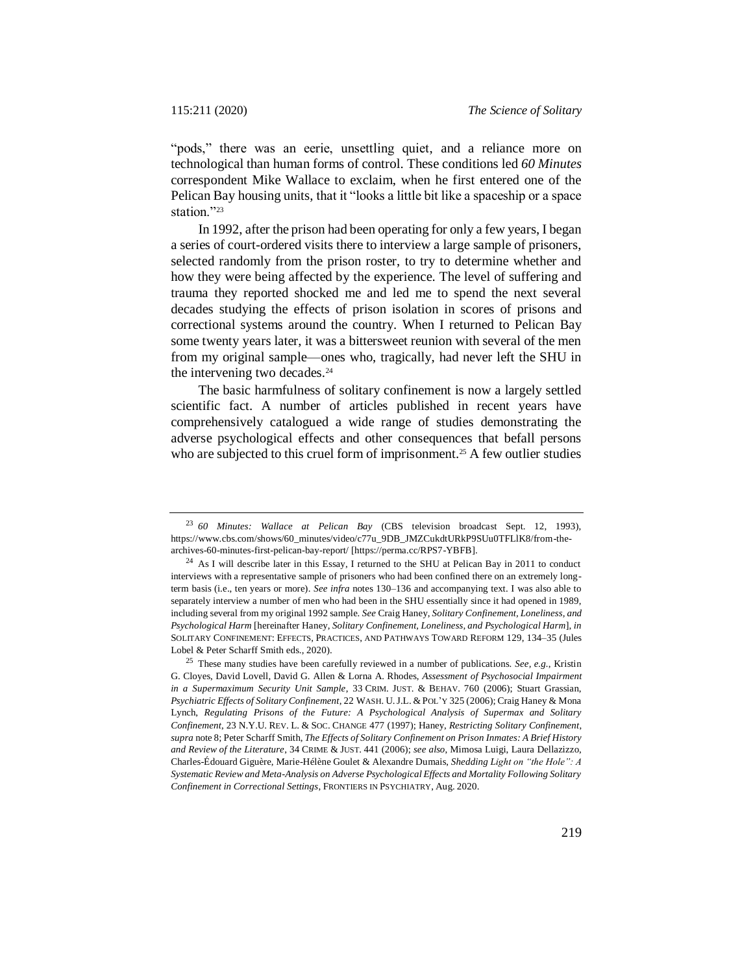"pods," there was an eerie, unsettling quiet, and a reliance more on technological than human forms of control. These conditions led *60 Minutes* correspondent Mike Wallace to exclaim, when he first entered one of the Pelican Bay housing units, that it "looks a little bit like a spaceship or a space station."23

In 1992, after the prison had been operating for only a few years, I began a series of court-ordered visits there to interview a large sample of prisoners, selected randomly from the prison roster, to try to determine whether and how they were being affected by the experience. The level of suffering and trauma they reported shocked me and led me to spend the next several decades studying the effects of prison isolation in scores of prisons and correctional systems around the country. When I returned to Pelican Bay some twenty years later, it was a bittersweet reunion with several of the men from my original sample—ones who, tragically, had never left the SHU in the intervening two decades.<sup>24</sup>

<span id="page-8-0"></span>The basic harmfulness of solitary confinement is now a largely settled scientific fact. A number of articles published in recent years have comprehensively catalogued a wide range of studies demonstrating the adverse psychological effects and other consequences that befall persons who are subjected to this cruel form of imprisonment.<sup>25</sup> A few outlier studies

<sup>23</sup> *60 Minutes: Wallace at Pelican Bay* (CBS television broadcast Sept. 12, 1993), https://www.cbs.com/shows/60\_minutes/video/c77u\_9DB\_JMZCukdtURkP9SUu0TFLlK8/from-thearchives-60-minutes-first-pelican-bay-report/ [https://perma.cc/RPS7-YBFB].

<sup>&</sup>lt;sup>24</sup> As I will describe later in this Essay, I returned to the SHU at Pelican Bay in 2011 to conduct interviews with a representative sample of prisoners who had been confined there on an extremely longterm basis (i.e., ten years or more). *See infra* notes [130](#page-35-0)[–136](#page-36-0) and accompanying text. I was also able to separately interview a number of men who had been in the SHU essentially since it had opened in 1989, including several from my original 1992 sample. *See* Craig Haney, *Solitary Confinement, Loneliness, and Psychological Harm* [hereinafter Haney, *Solitary Confinement, Loneliness, and Psychological Harm*], *in* SOLITARY CONFINEMENT: EFFECTS, PRACTICES, AND PATHWAYS TOWARD REFORM 129, 134–35 (Jules Lobel & Peter Scharff Smith eds., 2020).

<sup>25</sup> These many studies have been carefully reviewed in a number of publications. *See, e.g.*, Kristin G. Cloyes, David Lovell, David G. Allen & Lorna A. Rhodes, *Assessment of Psychosocial Impairment in a Supermaximum Security Unit Sample*, 33 CRIM. JUST. & BEHAV. 760 (2006); Stuart Grassian, *Psychiatric Effects of Solitary Confinement*, 22 WASH. U.J.L. & POL'Y 325 (2006); Craig Haney & Mona Lynch, *Regulating Prisons of the Future: A Psychological Analysis of Supermax and Solitary Confinement*, 23 N.Y.U. REV. L. & SOC. CHANGE 477 (1997); Haney, *Restricting Solitary Confinement*, *supra* not[e 8;](#page-3-0) Peter Scharff Smith, *The Effects of Solitary Confinement on Prison Inmates: A Brief History and Review of the Literature*, 34 CRIME & JUST. 441 (2006); *see also*, Mimosa Luigi, Laura Dellazizzo, Charles-Édouard Giguère, Marie-Hélène Goulet & Alexandre Dumais, *Shedding Light on "the Hole": A Systematic Review and Meta-Analysis on Adverse Psychological Effects and Mortality Following Solitary Confinement in Correctional Settings*, FRONTIERS IN PSYCHIATRY, Aug. 2020.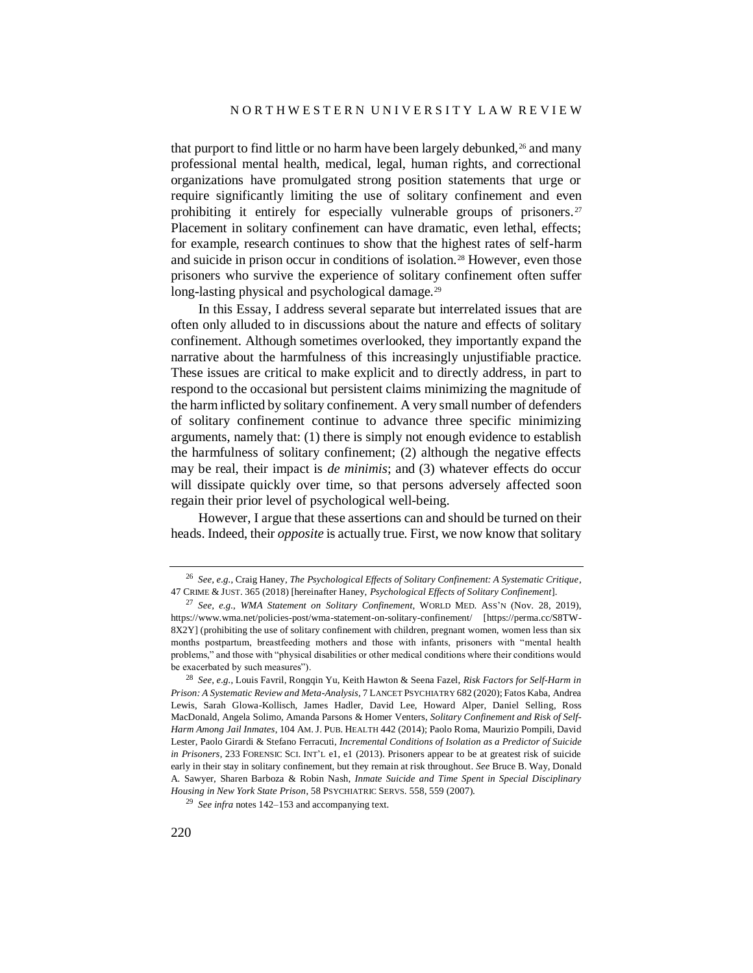<span id="page-9-0"></span>that purport to find little or no harm have been largely debunked,<sup>26</sup> and many professional mental health, medical, legal, human rights, and correctional organizations have promulgated strong position statements that urge or require significantly limiting the use of solitary confinement and even prohibiting it entirely for especially vulnerable groups of prisoners.<sup>27</sup> Placement in solitary confinement can have dramatic, even lethal, effects; for example, research continues to show that the highest rates of self-harm and suicide in prison occur in conditions of isolation.<sup>28</sup> However, even those prisoners who survive the experience of solitary confinement often suffer long-lasting physical and psychological damage.<sup>29</sup>

In this Essay, I address several separate but interrelated issues that are often only alluded to in discussions about the nature and effects of solitary confinement. Although sometimes overlooked, they importantly expand the narrative about the harmfulness of this increasingly unjustifiable practice. These issues are critical to make explicit and to directly address, in part to respond to the occasional but persistent claims minimizing the magnitude of the harm inflicted by solitary confinement. A very small number of defenders of solitary confinement continue to advance three specific minimizing arguments, namely that: (1) there is simply not enough evidence to establish the harmfulness of solitary confinement; (2) although the negative effects may be real, their impact is *de minimis*; and (3) whatever effects do occur will dissipate quickly over time, so that persons adversely affected soon regain their prior level of psychological well-being.

However, I argue that these assertions can and should be turned on their heads. Indeed, their *opposite* is actually true. First, we now know that solitary

<sup>26</sup> *See, e.g.*, Craig Haney, *The Psychological Effects of Solitary Confinement: A Systematic Critique*, 47 CRIME & JUST. 365 (2018) [hereinafter Haney, *Psychological Effects of Solitary Confinement*].

<sup>27</sup> *See, e.g.*, *WMA Statement on Solitary Confinement*, WORLD MED. ASS'<sup>N</sup> (Nov. 28, 2019), https://www.wma.net/policies-post/wma-statement-on-solitary-confinement/ [https://perma.cc/S8TW-8X2Y] (prohibiting the use of solitary confinement with children, pregnant women, women less than six months postpartum, breastfeeding mothers and those with infants, prisoners with "mental health problems," and those with "physical disabilities or other medical conditions where their conditions would be exacerbated by such measures").

<sup>28</sup> *See, e.g.*, Louis Favril, Rongqin Yu, Keith Hawton & Seena Fazel, *Risk Factors for Self-Harm in Prison: A Systematic Review and Meta-Analysis*, 7 LANCET PSYCHIATRY 682 (2020); Fatos Kaba, Andrea Lewis, Sarah Glowa-Kollisch, James Hadler, David Lee, Howard Alper, Daniel Selling, Ross MacDonald, Angela Solimo, Amanda Parsons & Homer Venters, *Solitary Confinement and Risk of Self-Harm Among Jail Inmates*, 104 AM. J. PUB. HEALTH 442 (2014); Paolo Roma, Maurizio Pompili, David Lester, Paolo Girardi & Stefano Ferracuti, *Incremental Conditions of Isolation as a Predictor of Suicide in Prisoners*, 233 FORENSIC SCI. INT'L e1, e1 (2013). Prisoners appear to be at greatest risk of suicide early in their stay in solitary confinement, but they remain at risk throughout. *See* Bruce B. Way, Donald A. Sawyer, Sharen Barboza & Robin Nash, *Inmate Suicide and Time Spent in Special Disciplinary Housing in New York State Prison*, 58 PSYCHIATRIC SERVS. 558, 559 (2007).

<sup>29</sup> *See infra* note[s 142](#page-38-0)[–153](#page-41-0) and accompanying text.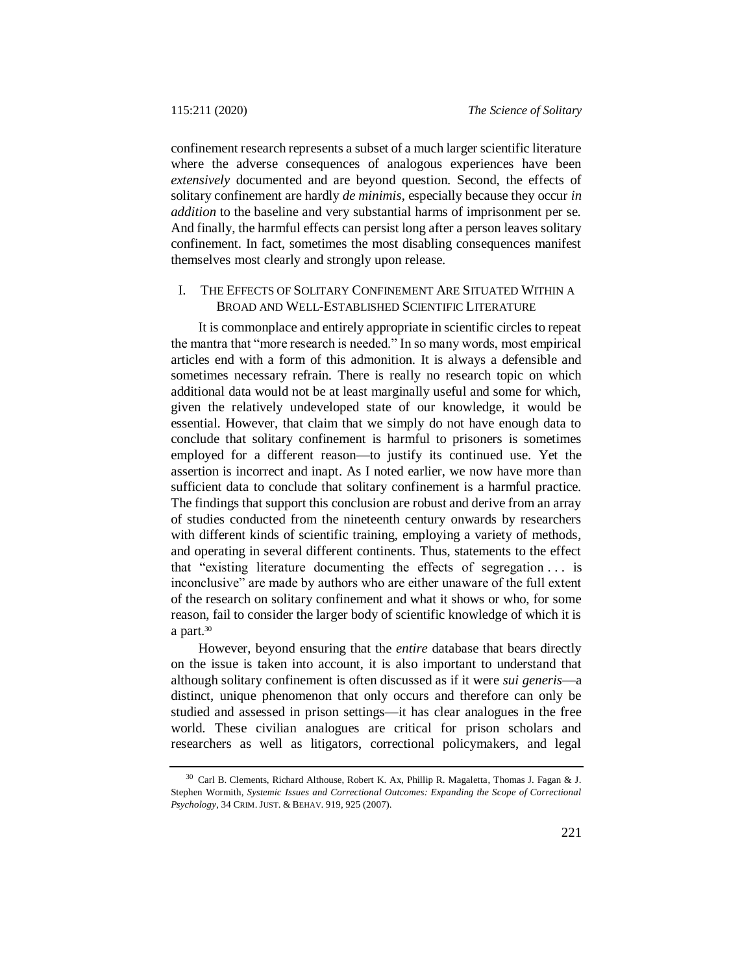confinement research represents a subset of a much larger scientific literature where the adverse consequences of analogous experiences have been *extensively* documented and are beyond question. Second, the effects of solitary confinement are hardly *de minimis*, especially because they occur *in addition* to the baseline and very substantial harms of imprisonment per se. And finally, the harmful effects can persist long after a person leaves solitary confinement. In fact, sometimes the most disabling consequences manifest themselves most clearly and strongly upon release.

# I. THE EFFECTS OF SOLITARY CONFINEMENT ARE SITUATED WITHIN A BROAD AND WELL-ESTABLISHED SCIENTIFIC LITERATURE

It is commonplace and entirely appropriate in scientific circles to repeat the mantra that "more research is needed." In so many words, most empirical articles end with a form of this admonition. It is always a defensible and sometimes necessary refrain. There is really no research topic on which additional data would not be at least marginally useful and some for which, given the relatively undeveloped state of our knowledge, it would be essential. However, that claim that we simply do not have enough data to conclude that solitary confinement is harmful to prisoners is sometimes employed for a different reason—to justify its continued use. Yet the assertion is incorrect and inapt. As I noted earlier, we now have more than sufficient data to conclude that solitary confinement is a harmful practice. The findings that support this conclusion are robust and derive from an array of studies conducted from the nineteenth century onwards by researchers with different kinds of scientific training, employing a variety of methods, and operating in several different continents. Thus, statements to the effect that "existing literature documenting the effects of segregation . . . is inconclusive" are made by authors who are either unaware of the full extent of the research on solitary confinement and what it shows or who, for some reason, fail to consider the larger body of scientific knowledge of which it is a part.<sup>30</sup>

<span id="page-10-0"></span>However, beyond ensuring that the *entire* database that bears directly on the issue is taken into account, it is also important to understand that although solitary confinement is often discussed as if it were *sui generis*—a distinct, unique phenomenon that only occurs and therefore can only be studied and assessed in prison settings—it has clear analogues in the free world. These civilian analogues are critical for prison scholars and researchers as well as litigators, correctional policymakers, and legal

<sup>30</sup> Carl B. Clements, Richard Althouse, Robert K. Ax, Phillip R. Magaletta, Thomas J. Fagan & J. Stephen Wormith, *Systemic Issues and Correctional Outcomes: Expanding the Scope of Correctional Psychology*, 34 CRIM. JUST. & BEHAV. 919, 925 (2007).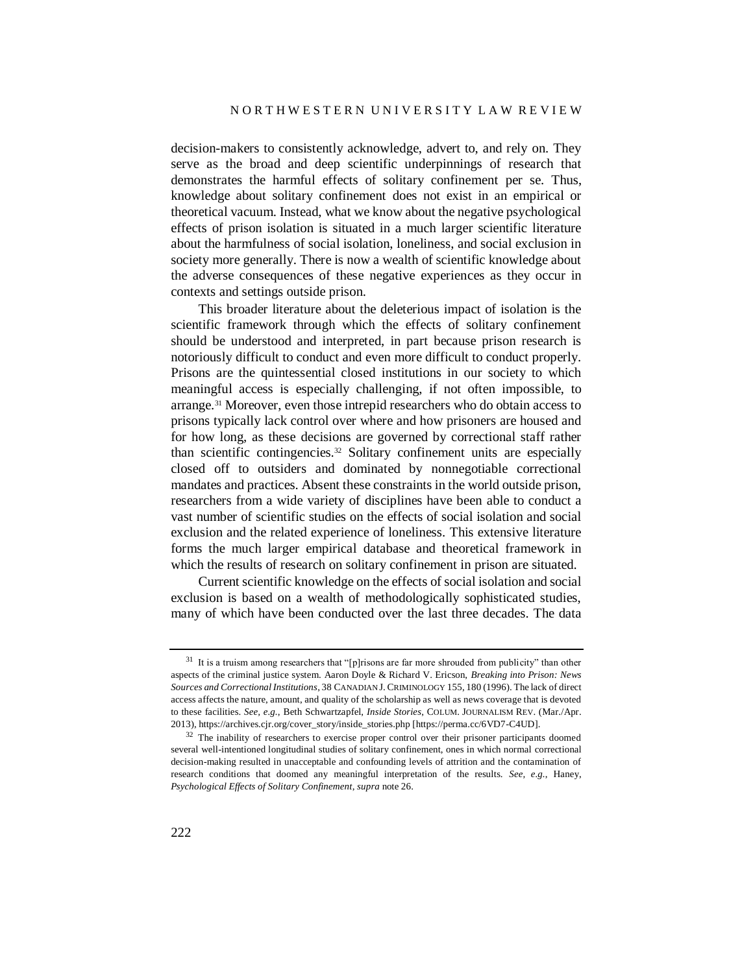decision-makers to consistently acknowledge, advert to, and rely on. They serve as the broad and deep scientific underpinnings of research that demonstrates the harmful effects of solitary confinement per se. Thus, knowledge about solitary confinement does not exist in an empirical or theoretical vacuum. Instead, what we know about the negative psychological effects of prison isolation is situated in a much larger scientific literature about the harmfulness of social isolation, loneliness, and social exclusion in society more generally. There is now a wealth of scientific knowledge about the adverse consequences of these negative experiences as they occur in contexts and settings outside prison.

This broader literature about the deleterious impact of isolation is the scientific framework through which the effects of solitary confinement should be understood and interpreted, in part because prison research is notoriously difficult to conduct and even more difficult to conduct properly. Prisons are the quintessential closed institutions in our society to which meaningful access is especially challenging, if not often impossible, to arrange.<sup>31</sup> Moreover, even those intrepid researchers who do obtain access to prisons typically lack control over where and how prisoners are housed and for how long, as these decisions are governed by correctional staff rather than scientific contingencies.<sup>32</sup> Solitary confinement units are especially closed off to outsiders and dominated by nonnegotiable correctional mandates and practices. Absent these constraints in the world outside prison, researchers from a wide variety of disciplines have been able to conduct a vast number of scientific studies on the effects of social isolation and social exclusion and the related experience of loneliness. This extensive literature forms the much larger empirical database and theoretical framework in which the results of research on solitary confinement in prison are situated.

Current scientific knowledge on the effects of social isolation and social exclusion is based on a wealth of methodologically sophisticated studies, many of which have been conducted over the last three decades. The data

 $31$  It is a truism among researchers that "[p]risons are far more shrouded from publicity" than other aspects of the criminal justice system. Aaron Doyle & Richard V. Ericson, *Breaking into Prison: News Sources and Correctional Institutions*, 38 CANADIAN J. CRIMINOLOGY 155, 180 (1996). The lack of direct access affects the nature, amount, and quality of the scholarship as well as news coverage that is devoted to these facilities. *See, e.g.*, Beth Schwartzapfel, *Inside Stories*, COLUM. JOURNALISM REV. (Mar./Apr. 2013), https://archives.cjr.org/cover\_story/inside\_stories.php [https://perma.cc/6VD7-C4UD].

<sup>&</sup>lt;sup>32</sup> The inability of researchers to exercise proper control over their prisoner participants doomed several well-intentioned longitudinal studies of solitary confinement, ones in which normal correctional decision-making resulted in unacceptable and confounding levels of attrition and the contamination of research conditions that doomed any meaningful interpretation of the results. *See, e.g.*, Haney, *Psychological Effects of Solitary Confinement*, *supra* not[e 26.](#page-9-0)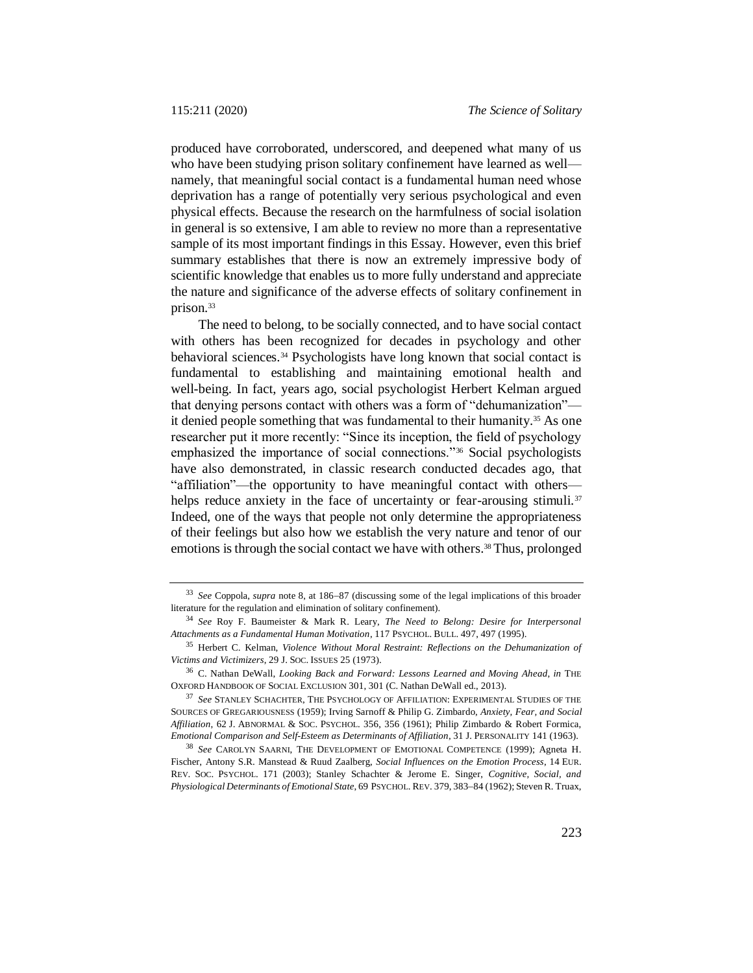produced have corroborated, underscored, and deepened what many of us who have been studying prison solitary confinement have learned as well namely, that meaningful social contact is a fundamental human need whose deprivation has a range of potentially very serious psychological and even physical effects. Because the research on the harmfulness of social isolation in general is so extensive, I am able to review no more than a representative sample of its most important findings in this Essay. However, even this brief summary establishes that there is now an extremely impressive body of scientific knowledge that enables us to more fully understand and appreciate the nature and significance of the adverse effects of solitary confinement in prison.<sup>33</sup>

<span id="page-12-0"></span>The need to belong, to be socially connected, and to have social contact with others has been recognized for decades in psychology and other behavioral sciences.<sup>34</sup> Psychologists have long known that social contact is fundamental to establishing and maintaining emotional health and well-being. In fact, years ago, social psychologist Herbert Kelman argued that denying persons contact with others was a form of "dehumanization" it denied people something that was fundamental to their humanity.<sup>35</sup> As one researcher put it more recently: "Since its inception, the field of psychology emphasized the importance of social connections."<sup>36</sup> Social psychologists have also demonstrated, in classic research conducted decades ago, that "affiliation"—the opportunity to have meaningful contact with others helps reduce anxiety in the face of uncertainty or fear-arousing stimuli.<sup>37</sup> Indeed, one of the ways that people not only determine the appropriateness of their feelings but also how we establish the very nature and tenor of our emotions is through the social contact we have with others.<sup>38</sup> Thus, prolonged

<sup>&</sup>lt;sup>33</sup> *See* Coppola, *supra* note [8,](#page-3-0) at 186–87 (discussing some of the legal implications of this broader literature for the regulation and elimination of solitary confinement).

<sup>34</sup> *See* Roy F. Baumeister & Mark R. Leary, *The Need to Belong: Desire for Interpersonal Attachments as a Fundamental Human Motivation*, 117 PSYCHOL. BULL. 497, 497 (1995).

<sup>35</sup> Herbert C. Kelman, *Violence Without Moral Restraint: Reflections on the Dehumanization of Victims and Victimizers*, 29 J. SOC. ISSUES 25 (1973).

<sup>36</sup> C. Nathan DeWall, *Looking Back and Forward: Lessons Learned and Moving Ahead*, *in* THE OXFORD HANDBOOK OF SOCIAL EXCLUSION 301, 301 (C. Nathan DeWall ed., 2013).

<sup>37</sup> *See* STANLEY SCHACHTER, THE PSYCHOLOGY OF AFFILIATION: EXPERIMENTAL STUDIES OF THE SOURCES OF GREGARIOUSNESS (1959); Irving Sarnoff & Philip G. Zimbardo, *Anxiety, Fear, and Social Affiliation*, 62 J. ABNORMAL & SOC. PSYCHOL. 356, 356 (1961); Philip Zimbardo & Robert Formica, *Emotional Comparison and Self-Esteem as Determinants of Affiliation*, 31 J. PERSONALITY 141 (1963).

<sup>38</sup> *See* CAROLYN SAARNI, THE DEVELOPMENT OF EMOTIONAL COMPETENCE (1999); Agneta H. Fischer, Antony S.R. Manstead & Ruud Zaalberg, *Social Influences on the Emotion Process*, 14 EUR. REV. SOC. PSYCHOL. 171 (2003); Stanley Schachter & Jerome E. Singer, *Cognitive, Social, and*  Physiological Determinants of Emotional State, 69 PSYCHOL. REV. 379, 383-84 (1962); Steven R. Truax,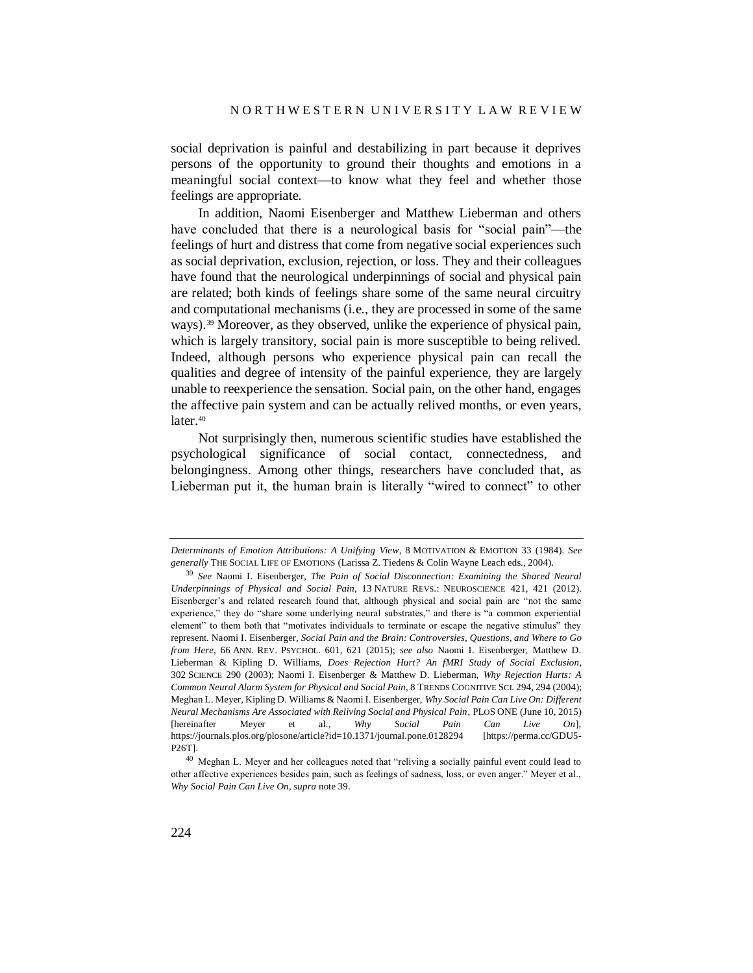social deprivation is painful and destabilizing in part because it deprives persons of the opportunity to ground their thoughts and emotions in a meaningful social context—to know what they feel and whether those feelings are appropriate.

<span id="page-13-0"></span>In addition, Naomi Eisenberger and Matthew Lieberman and others have concluded that there is a neurological basis for "social pain"—the feelings of hurt and distress that come from negative social experiences such as social deprivation, exclusion, rejection, or loss. They and their colleagues have found that the neurological underpinnings of social and physical pain are related; both kinds of feelings share some of the same neural circuitry and computational mechanisms (i.e., they are processed in some of the same ways).<sup>39</sup> Moreover, as they observed, unlike the experience of physical pain, which is largely transitory, social pain is more susceptible to being relived. Indeed, although persons who experience physical pain can recall the qualities and degree of intensity of the painful experience, they are largely unable to reexperience the sensation. Social pain, on the other hand, engages the affective pain system and can be actually relived months, or even years, later.<sup>40</sup>

Not surprisingly then, numerous scientific studies have established the psychological significance of social contact, connectedness, and belongingness. Among other things, researchers have concluded that, as Lieberman put it, the human brain is literally "wired to connect" to other

*Determinants of Emotion Attributions: A Unifying View*, 8 MOTIVATION & EMOTION 33 (1984). *See generally* THE SOCIAL LIFE OF EMOTIONS (Larissa Z. Tiedens & Colin Wayne Leach eds., 2004).

<sup>39</sup> *See* Naomi I. Eisenberger, *The Pain of Social Disconnection: Examining the Shared Neural Underpinnings of Physical and Social Pain*, 13 NATURE REVS.: NEUROSCIENCE 421, 421 (2012). Eisenberger's and related research found that, although physical and social pain are "not the same experience," they do "share some underlying neural substrates," and there is "a common experiential element" to them both that "motivates individuals to terminate or escape the negative stimulus" they represent. Naomi I. Eisenberger, *Social Pain and the Brain: Controversies, Questions, and Where to Go from Here*, 66 ANN. REV. PSYCHOL. 601, 621 (2015); *see also* Naomi I. Eisenberger, Matthew D. Lieberman & Kipling D. Williams, *Does Rejection Hurt? An fMRI Study of Social Exclusion*, 302 SCIENCE 290 (2003); Naomi I. Eisenberger & Matthew D. Lieberman, *Why Rejection Hurts: A Common Neural Alarm System for Physical and Social Pain*, 8 TRENDS COGNITIVE SCI. 294, 294 (2004); Meghan L. Meyer, Kipling D. Williams & Naomi I. Eisenberger, *Why Social Pain Can Live On: Different Neural Mechanisms Are Associated with Reliving Social and Physical Pain*, PLOS ONE (June 10, 2015) [hereinafter Meyer et al., *Why Social Pain Can Live On*], <https://journals.plos.org/plosone/article?id=10.1371/journal.pone.0128294> [https://perma.cc/GDU5- P26T].

<sup>40</sup> Meghan L. Meyer and her colleagues noted that "reliving a socially painful event could lead to other affective experiences besides pain, such as feelings of sadness, loss, or even anger." Meyer et al., *Why Social Pain Can Live On*, *supra* not[e 39.](#page-13-0)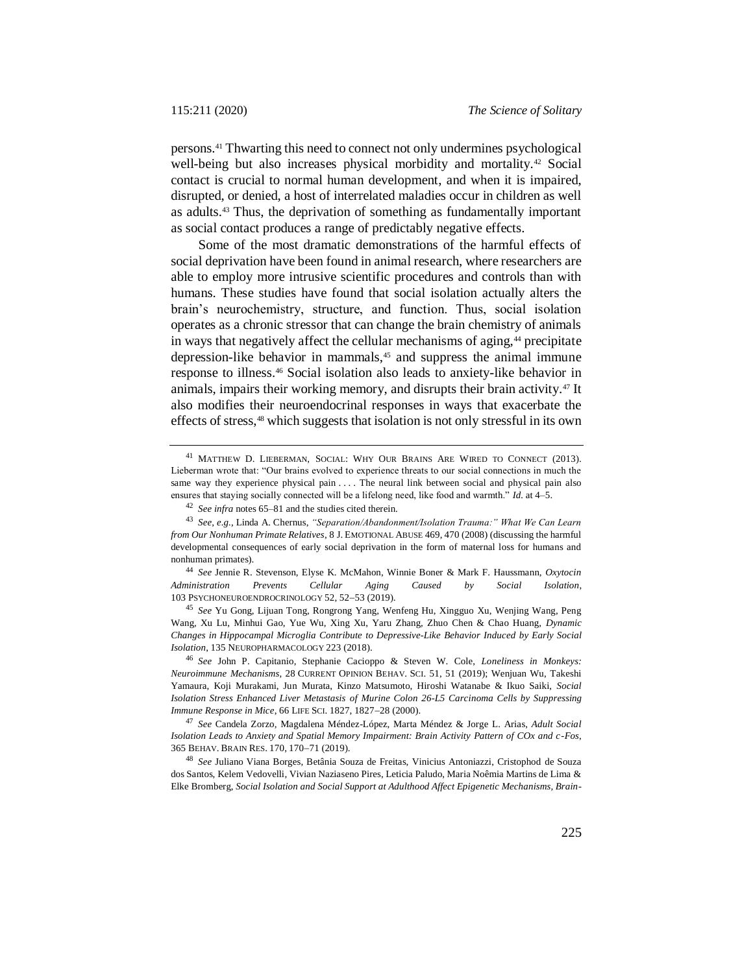persons.<sup>41</sup> Thwarting this need to connect not only undermines psychological well-being but also increases physical morbidity and mortality.<sup>42</sup> Social contact is crucial to normal human development, and when it is impaired, disrupted, or denied, a host of interrelated maladies occur in children as well as adults.<sup>43</sup> Thus, the deprivation of something as fundamentally important as social contact produces a range of predictably negative effects.

Some of the most dramatic demonstrations of the harmful effects of social deprivation have been found in animal research, where researchers are able to employ more intrusive scientific procedures and controls than with humans. These studies have found that social isolation actually alters the brain's neurochemistry, structure, and function. Thus, social isolation operates as a chronic stressor that can change the brain chemistry of animals in ways that negatively affect the cellular mechanisms of aging,<sup>44</sup> precipitate depression-like behavior in mammals,<sup>45</sup> and suppress the animal immune response to illness.<sup>46</sup> Social isolation also leads to anxiety-like behavior in animals, impairs their working memory, and disrupts their brain activity.<sup>47</sup> It also modifies their neuroendocrinal responses in ways that exacerbate the effects of stress,<sup>48</sup> which suggests that isolation is not only stressful in its own

<sup>44</sup> *See* Jennie R. Stevenson, Elyse K. McMahon, Winnie Boner & Mark F. Haussmann, *Oxytocin Administration Prevents Cellular Aging Caused by Social Isolation*, 103 PSYCHONEUROENDROCRINOLOGY 52, 52-53 (2019).

<sup>45</sup> *See* Yu Gong, Lijuan Tong, Rongrong Yang, Wenfeng Hu, Xingguo Xu, Wenjing Wang, Peng Wang, Xu Lu, Minhui Gao, Yue Wu, Xing Xu, Yaru Zhang, Zhuo Chen & Chao Huang, *Dynamic Changes in Hippocampal Microglia Contribute to Depressive-Like Behavior Induced by Early Social Isolation*, 135 NEUROPHARMACOLOGY 223 (2018).

<sup>46</sup> *See* John P. Capitanio, Stephanie Cacioppo & Steven W. Cole, *Loneliness in Monkeys: Neuroimmune Mechanisms*, 28 CURRENT OPINION BEHAV. SCI. 51, 51 (2019); Wenjuan Wu, Takeshi Yamaura, Koji Murakami, Jun Murata, Kinzo Matsumoto, Hiroshi Watanabe & Ikuo Saiki, *Social Isolation Stress Enhanced Liver Metastasis of Murine Colon 26-L5 Carcinoma Cells by Suppressing Immune Response in Mice*, 66 LIFE SCI. 1827, 1827-28 (2000).

<sup>47</sup> *See* Candela Zorzo, Magdalena Méndez-López, Marta Méndez & Jorge L. Arias, *Adult Social Isolation Leads to Anxiety and Spatial Memory Impairment: Brain Activity Pattern of COx and c-Fos*, 365 BEHAV. BRAIN RES. 170, 170-71 (2019).

<sup>48</sup> *See* Juliano Viana Borges, Betânia Souza de Freitas, Vinicius Antoniazzi, Cristophod de Souza dos Santos, Kelem Vedovelli, Vivian Naziaseno Pires, Leticia Paludo, Maria Noêmia Martins de Lima & Elke Bromberg, *Social Isolation and Social Support at Adulthood Affect Epigenetic Mechanisms, Brain-*

<sup>41</sup> MATTHEW D. LIEBERMAN, SOCIAL: WHY OUR BRAINS ARE WIRED TO CONNECT (2013). Lieberman wrote that: "Our brains evolved to experience threats to our social connections in much the same way they experience physical pain . . . . The neural link between social and physical pain also ensures that staying socially connected will be a lifelong need, like food and warmth." *Id.* at 4–5.

<sup>42</sup> *See infra* note[s 65–](#page-19-0)[81](#page-21-0) and the studies cited therein.

<sup>43</sup> *See, e.g.*, Linda A. Chernus, *"Separation/Abandonment/Isolation Trauma:" What We Can Learn from Our Nonhuman Primate Relatives*, 8 J. EMOTIONAL ABUSE 469, 470 (2008) (discussing the harmful developmental consequences of early social deprivation in the form of maternal loss for humans and nonhuman primates).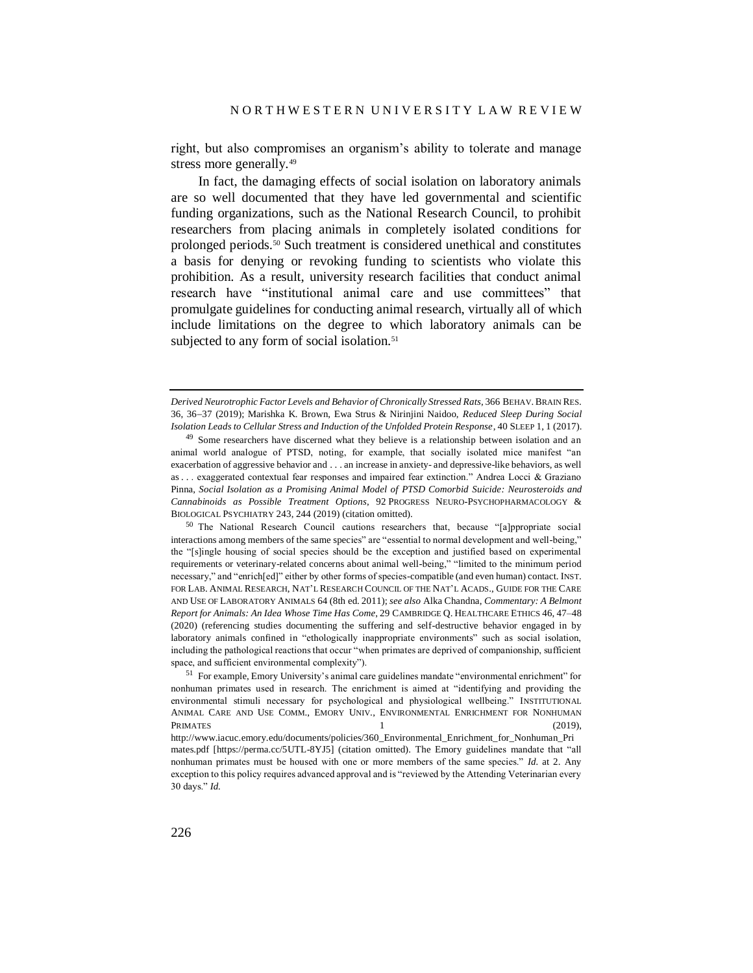right, but also compromises an organism's ability to tolerate and manage stress more generally.<sup>49</sup>

In fact, the damaging effects of social isolation on laboratory animals are so well documented that they have led governmental and scientific funding organizations, such as the National Research Council, to prohibit researchers from placing animals in completely isolated conditions for prolonged periods.<sup>50</sup> Such treatment is considered unethical and constitutes a basis for denying or revoking funding to scientists who violate this prohibition. As a result, university research facilities that conduct animal research have "institutional animal care and use committees" that promulgate guidelines for conducting animal research, virtually all of which include limitations on the degree to which laboratory animals can be subjected to any form of social isolation.<sup>51</sup>

*Derived Neurotrophic Factor Levels and Behavior of Chronically Stressed Rats*, 366 BEHAV. BRAIN RES. 36, 3637 (2019); Marishka K. Brown, Ewa Strus & Nirinjini Naidoo, *Reduced Sleep During Social Isolation Leads to Cellular Stress and Induction of the Unfolded Protein Response*, 40 SLEEP 1, 1 (2017).

<sup>&</sup>lt;sup>49</sup> Some researchers have discerned what they believe is a relationship between isolation and an animal world analogue of PTSD, noting, for example, that socially isolated mice manifest "an exacerbation of aggressive behavior and . . . an increase in anxiety- and depressive-like behaviors, as well as . . . exaggerated contextual fear responses and impaired fear extinction." Andrea Locci & Graziano Pinna, *Social Isolation as a Promising Animal Model of PTSD Comorbid Suicide: Neurosteroids and Cannabinoids as Possible Treatment Options*, 92 PROGRESS NEURO-PSYCHOPHARMACOLOGY & BIOLOGICAL PSYCHIATRY 243, 244 (2019) (citation omitted).

<sup>&</sup>lt;sup>50</sup> The National Research Council cautions researchers that, because "[a]ppropriate social interactions among members of the same species" are "essential to normal development and well-being," the "[s]ingle housing of social species should be the exception and justified based on experimental requirements or veterinary-related concerns about animal well-being," "limited to the minimum period necessary," and "enrich[ed]" either by other forms of species-compatible (and even human) contact. INST. FOR LAB. ANIMAL RESEARCH, NAT'L RESEARCH COUNCIL OF THE NAT'L ACADS., GUIDE FOR THE CARE AND USE OF LABORATORY ANIMALS 64 (8th ed. 2011); *see also* Alka Chandna, *Commentary: A Belmont Report for Animals: An Idea Whose Time Has Come*, 29 CAMBRIDGE Q. HEALTHCARE ETHICS 46, 47–48 (2020) (referencing studies documenting the suffering and self-destructive behavior engaged in by laboratory animals confined in "ethologically inappropriate environments" such as social isolation, including the pathological reactions that occur "when primates are deprived of companionship, sufficient space, and sufficient environmental complexity").

<sup>51</sup> For example, Emory University's animal care guidelines mandate "environmental enrichment" for nonhuman primates used in research. The enrichment is aimed at "identifying and providing the environmental stimuli necessary for psychological and physiological wellbeing." INSTITUTIONAL ANIMAL CARE AND USE COMM., EMORY UNIV., ENVIRONMENTAL ENRICHMENT FOR NONHUMAN PRIMATES  $1$  (2019),

http://www.iacuc.emory.edu/documents/policies/360\_Environmental\_Enrichment\_for\_Nonhuman\_Pri mates.pdf [https://perma.cc/5UTL-8YJ5] (citation omitted). The Emory guidelines mandate that "all nonhuman primates must be housed with one or more members of the same species." *Id.* at 2. Any exception to this policy requires advanced approval and is "reviewed by the Attending Veterinarian every 30 days." *Id.*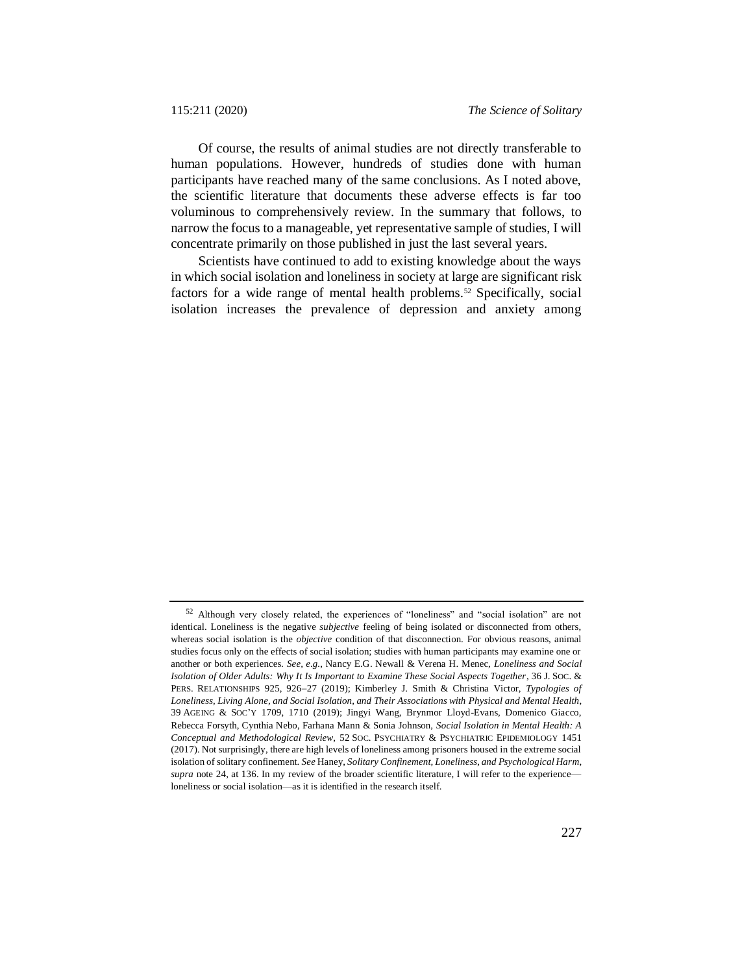Of course, the results of animal studies are not directly transferable to human populations. However, hundreds of studies done with human participants have reached many of the same conclusions. As I noted above, the scientific literature that documents these adverse effects is far too voluminous to comprehensively review. In the summary that follows, to narrow the focus to a manageable, yet representative sample of studies, I will concentrate primarily on those published in just the last several years.

Scientists have continued to add to existing knowledge about the ways in which social isolation and loneliness in society at large are significant risk factors for a wide range of mental health problems.<sup>52</sup> Specifically, social isolation increases the prevalence of depression and anxiety among

<sup>52</sup> Although very closely related, the experiences of "loneliness" and "social isolation" are not identical. Loneliness is the negative *subjective* feeling of being isolated or disconnected from others, whereas social isolation is the *objective* condition of that disconnection. For obvious reasons, animal studies focus only on the effects of social isolation; studies with human participants may examine one or another or both experiences. *See, e.g.*, Nancy E.G. Newall & Verena H. Menec, *Loneliness and Social Isolation of Older Adults: Why It Is Important to Examine These Social Aspects Together*, 36 J. SOC. & PERS. RELATIONSHIPS 925, 926-27 (2019); Kimberley J. Smith & Christina Victor, *Typologies of Loneliness, Living Alone, and Social Isolation, and Their Associations with Physical and Mental Health*, 39 AGEING & SOC'Y 1709, 1710 (2019); Jingyi Wang, Brynmor Lloyd-Evans, Domenico Giacco, Rebecca Forsyth, Cynthia Nebo, Farhana Mann & Sonia Johnson, *Social Isolation in Mental Health: A Conceptual and Methodological Review*, 52 SOC. PSYCHIATRY & PSYCHIATRIC EPIDEMIOLOGY 1451 (2017). Not surprisingly, there are high levels of loneliness among prisoners housed in the extreme social isolation of solitary confinement. *See* Haney, *Solitary Confinement, Loneliness, and Psychological Harm*, *supra* note [24,](#page-8-0) at 136. In my review of the broader scientific literature, I will refer to the experience loneliness or social isolation—as it is identified in the research itself.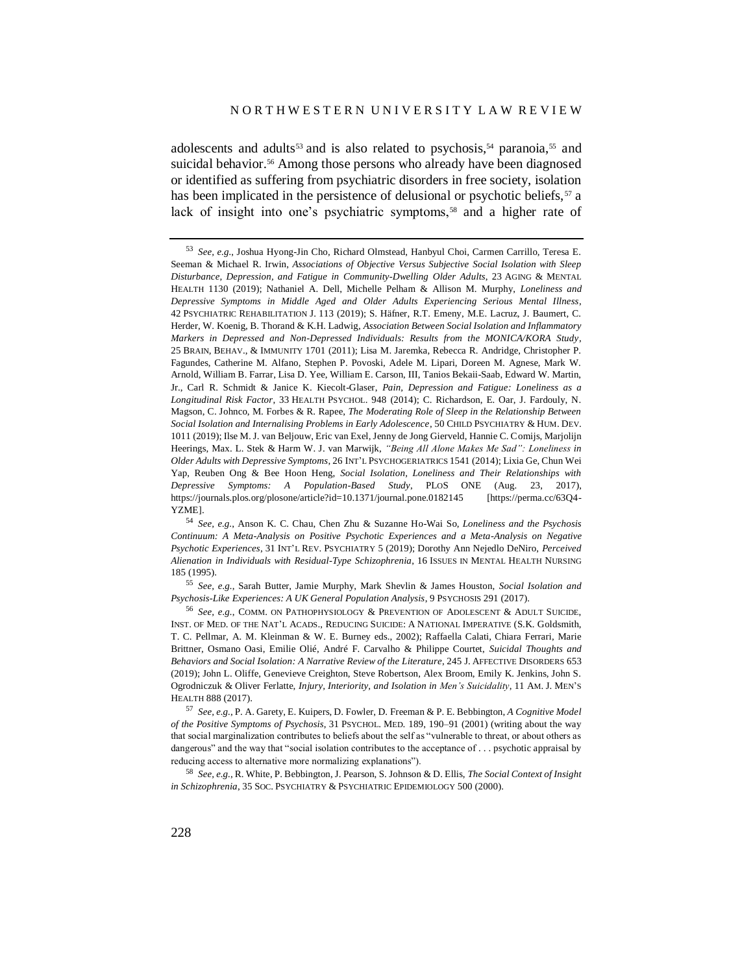adolescents and adults<sup>53</sup> and is also related to psychosis,<sup>54</sup> paranoia,<sup>55</sup> and suicidal behavior.<sup>56</sup> Among those persons who already have been diagnosed or identified as suffering from psychiatric disorders in free society, isolation has been implicated in the persistence of delusional or psychotic beliefs,  $57$  a lack of insight into one's psychiatric symptoms,<sup>58</sup> and a higher rate of

<sup>55</sup> *See, e.g.*, Sarah Butter, Jamie Murphy, Mark Shevlin & James Houston, *Social Isolation and Psychosis-Like Experiences: A UK General Population Analysis*, 9 PSYCHOSIS 291 (2017).

<sup>53</sup> *See, e.g.*, Joshua Hyong-Jin Cho, Richard Olmstead, Hanbyul Choi, Carmen Carrillo, Teresa E. Seeman & Michael R. Irwin, *Associations of Objective Versus Subjective Social Isolation with Sleep Disturbance, Depression, and Fatigue in Community-Dwelling Older Adults*, 23 AGING & MENTAL HEALTH 1130 (2019); Nathaniel A. Dell, Michelle Pelham & Allison M. Murphy, *Loneliness and Depressive Symptoms in Middle Aged and Older Adults Experiencing Serious Mental Illness*, 42 PSYCHIATRIC REHABILITATION J. 113 (2019); S. Häfner, R.T. Emeny, M.E. Lacruz, J. Baumert, C. Herder, W. Koenig, B. Thorand & K.H. Ladwig, *Association Between Social Isolation and Inflammatory Markers in Depressed and Non-Depressed Individuals: Results from the MONICA/KORA Study*, 25 BRAIN, BEHAV., & IMMUNITY 1701 (2011); Lisa M. Jaremka, Rebecca R. Andridge, Christopher P. Fagundes, Catherine M. Alfano, Stephen P. Povoski, Adele M. Lipari, Doreen M. Agnese, Mark W. Arnold, William B. Farrar, Lisa D. Yee, William E. Carson, III, Tanios Bekaii-Saab, Edward W. Martin, Jr., Carl R. Schmidt & Janice K. Kiecolt-Glaser, *Pain, Depression and Fatigue: Loneliness as a Longitudinal Risk Factor*, 33 HEALTH PSYCHOL. 948 (2014); C. Richardson, E. Oar, J. Fardouly, N. Magson, C. Johnco, M. Forbes & R. Rapee, *The Moderating Role of Sleep in the Relationship Between Social Isolation and Internalising Problems in Early Adolescence*, 50 CHILD PSYCHIATRY & HUM. DEV. 1011 (2019); Ilse M. J. van Beljouw, Eric van Exel, Jenny de Jong Gierveld, Hannie C. Comijs, Marjolijn Heerings, Max. L. Stek & Harm W. J. van Marwijk, *"Being All Alone Makes Me Sad": Loneliness in Older Adults with Depressive Symptoms*, 26 INT'L PSYCHOGERIATRICS 1541 (2014); Lixia Ge, Chun Wei Yap, Reuben Ong & Bee Hoon Heng, *Social Isolation, Loneliness and Their Relationships with Depressive Symptoms: A Population-Based Study*, PLOS ONE (Aug. 23, 2017), https://journals.plos.org/plosone/article?id=10.1371/journal.pone.0182145 [https://perma.cc/63Q4- YZME].

<sup>54</sup> *See, e.g.*, Anson K. C. Chau, Chen Zhu & Suzanne Ho-Wai So, *Loneliness and the Psychosis Continuum: A Meta-Analysis on Positive Psychotic Experiences and a Meta-Analysis on Negative Psychotic Experiences*, 31 INT'L REV. PSYCHIATRY 5 (2019); Dorothy Ann Nejedlo DeNiro, *Perceived Alienation in Individuals with Residual-Type Schizophrenia*, 16 ISSUES IN MENTAL HEALTH NURSING 185 (1995).

<sup>56</sup> *See, e.g.*, COMM. ON PATHOPHYSIOLOGY & PREVENTION OF ADOLESCENT & ADULT SUICIDE, INST. OF MED. OF THE NAT'L ACADS., REDUCING SUICIDE: A NATIONAL IMPERATIVE (S.K. Goldsmith, T. C. Pellmar, A. M. Kleinman & W. E. Burney eds., 2002); Raffaella Calati, Chiara Ferrari, Marie Brittner, Osmano Oasi, Emilie Olié, André F. Carvalho & Philippe Courtet, *Suicidal Thoughts and Behaviors and Social Isolation: A Narrative Review of the Literature*, 245 J. AFFECTIVE DISORDERS 653 (2019); John L. Oliffe, Genevieve Creighton, Steve Robertson, Alex Broom, Emily K. Jenkins, John S. Ogrodniczuk & Oliver Ferlatte, *Injury, Interiority, and Isolation in Men's Suicidality*, 11 AM. J. MEN'S HEALTH 888 (2017).

<sup>57</sup> *See, e.g.*, P. A. Garety, E. Kuipers, D. Fowler, D. Freeman & P. E. Bebbington, *A Cognitive Model of the Positive Symptoms of Psychosis*, 31 PSYCHOL. MED. 189, 190–91 (2001) (writing about the way that social marginalization contributes to beliefs about the self as "vulnerable to threat, or about others as dangerous" and the way that "social isolation contributes to the acceptance of . . . psychotic appraisal by reducing access to alternative more normalizing explanations").

<sup>58</sup> *See, e.g.*, R. White, P. Bebbington, J. Pearson, S. Johnson & D. Ellis, *The Social Context of Insight in Schizophrenia*, 35 SOC. PSYCHIATRY & PSYCHIATRIC EPIDEMIOLOGY 500 (2000).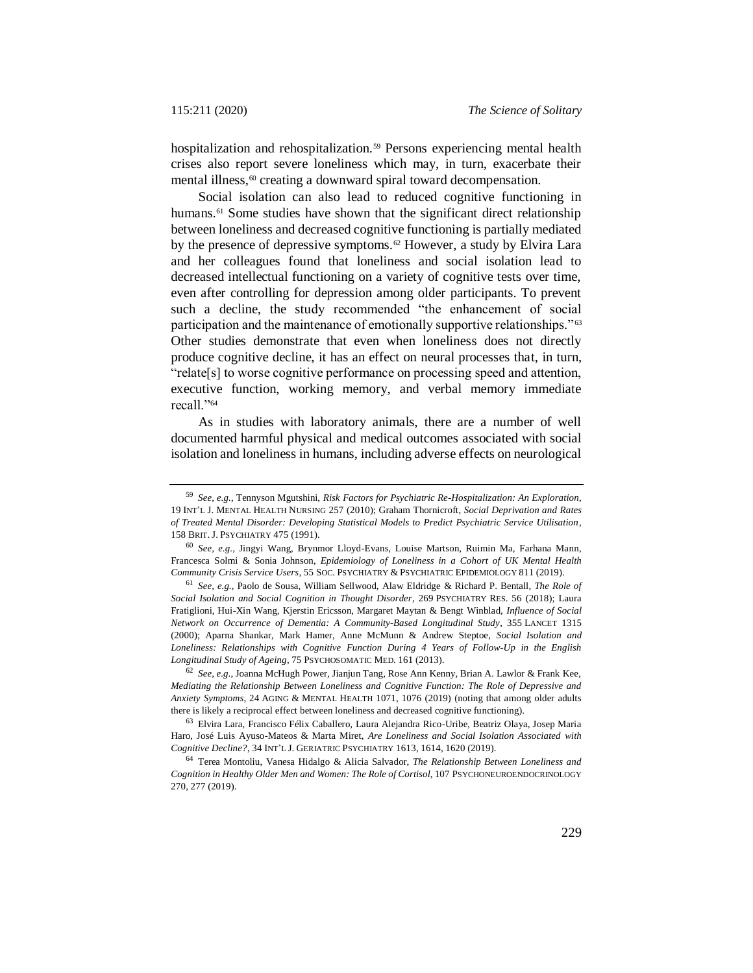hospitalization and rehospitalization.<sup>59</sup> Persons experiencing mental health crises also report severe loneliness which may, in turn, exacerbate their mental illness,<sup>60</sup> creating a downward spiral toward decompensation.

Social isolation can also lead to reduced cognitive functioning in humans.<sup>61</sup> Some studies have shown that the significant direct relationship between loneliness and decreased cognitive functioning is partially mediated by the presence of depressive symptoms.<sup>62</sup> However, a study by Elvira Lara and her colleagues found that loneliness and social isolation lead to decreased intellectual functioning on a variety of cognitive tests over time, even after controlling for depression among older participants. To prevent such a decline, the study recommended "the enhancement of social participation and the maintenance of emotionally supportive relationships."<sup>63</sup> Other studies demonstrate that even when loneliness does not directly produce cognitive decline, it has an effect on neural processes that, in turn, "relate[s] to worse cognitive performance on processing speed and attention, executive function, working memory, and verbal memory immediate recall."<sup>64</sup>

As in studies with laboratory animals, there are a number of well documented harmful physical and medical outcomes associated with social isolation and loneliness in humans, including adverse effects on neurological

<sup>59</sup> *See, e.g.*, Tennyson Mgutshini, *Risk Factors for Psychiatric Re-Hospitalization: An Exploration*, 19 INT'L J. MENTAL HEALTH NURSING 257 (2010); Graham Thornicroft, *Social Deprivation and Rates of Treated Mental Disorder: Developing Statistical Models to Predict Psychiatric Service Utilisation*, 158 BRIT. J. PSYCHIATRY 475 (1991).

<sup>60</sup> *See, e.g.*, Jingyi Wang, Brynmor Lloyd-Evans, Louise Martson, Ruimin Ma, Farhana Mann, Francesca Solmi & Sonia Johnson, *Epidemiology of Loneliness in a Cohort of UK Mental Health Community Crisis Service Users*, 55 SOC. PSYCHIATRY & PSYCHIATRIC EPIDEMIOLOGY 811 (2019).

<sup>61</sup> *See, e.g.*, Paolo de Sousa, William Sellwood, Alaw Eldridge & Richard P. Bentall, *The Role of Social Isolation and Social Cognition in Thought Disorder*, 269 PSYCHIATRY RES. 56 (2018); Laura Fratiglioni, Hui-Xin Wang, Kjerstin Ericsson, Margaret Maytan & Bengt Winblad, *Influence of Social Network on Occurrence of Dementia: A Community-Based Longitudinal Study*, 355 LANCET 1315 (2000); Aparna Shankar, Mark Hamer, Anne McMunn & Andrew Steptoe, *Social Isolation and Loneliness: Relationships with Cognitive Function During 4 Years of Follow-Up in the English Longitudinal Study of Ageing*, 75 PSYCHOSOMATIC MED. 161 (2013).

<sup>62</sup> *See, e.g.*, Joanna McHugh Power, Jianjun Tang, Rose Ann Kenny, Brian A. Lawlor & Frank Kee, *Mediating the Relationship Between Loneliness and Cognitive Function: The Role of Depressive and Anxiety Symptoms*, 24 AGING & MENTAL HEALTH 1071, 1076 (2019) (noting that among older adults there is likely a reciprocal effect between loneliness and decreased cognitive functioning).

<sup>63</sup> Elvira Lara, Francisco Félix Caballero, Laura Alejandra Rico-Uribe, Beatriz Olaya, Josep Maria Haro, José Luis Ayuso-Mateos & Marta Miret, *Are Loneliness and Social Isolation Associated with Cognitive Decline?*, 34 INT'L J. GERIATRIC PSYCHIATRY 1613, 1614, 1620 (2019).

<sup>64</sup> Terea Montoliu, Vanesa Hidalgo & Alicia Salvador, *The Relationship Between Loneliness and Cognition in Healthy Older Men and Women: The Role of Cortisol*, 107 PSYCHONEUROENDOCRINOLOGY 270, 277 (2019).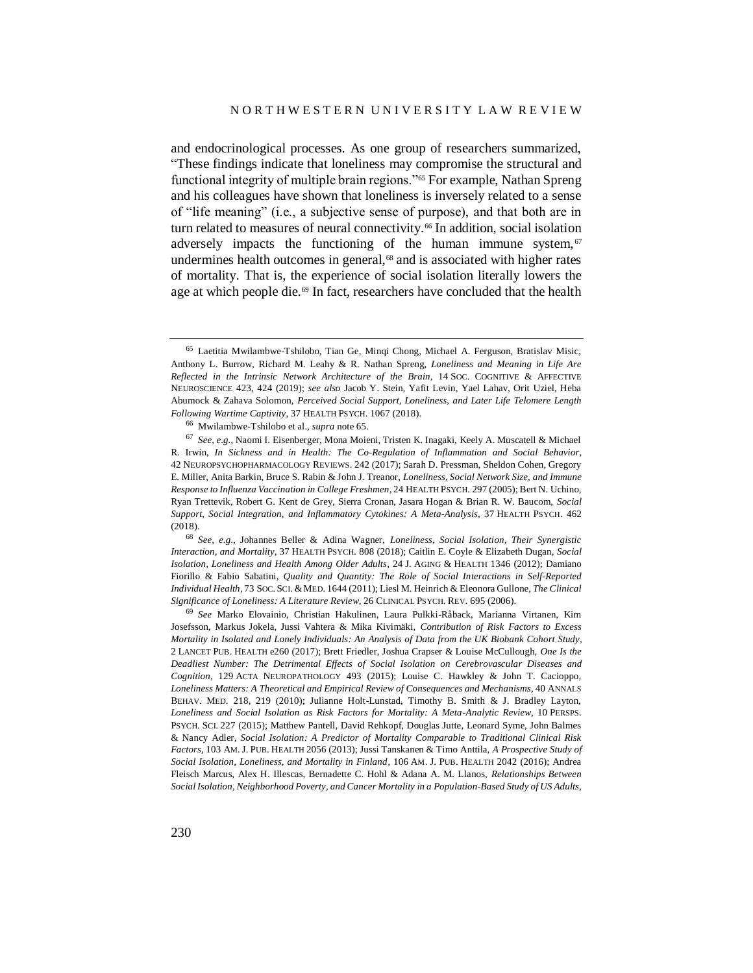<span id="page-19-0"></span>and endocrinological processes. As one group of researchers summarized, "These findings indicate that loneliness may compromise the structural and functional integrity of multiple brain regions."<sup>65</sup> For example, Nathan Spreng and his colleagues have shown that loneliness is inversely related to a sense of "life meaning" (i.e., a subjective sense of purpose), and that both are in turn related to measures of neural connectivity.<sup>66</sup> In addition, social isolation adversely impacts the functioning of the human immune system,  $67$ undermines health outcomes in general,<sup>68</sup> and is associated with higher rates of mortality. That is, the experience of social isolation literally lowers the age at which people die.<sup>69</sup> In fact, researchers have concluded that the health

<sup>68</sup> *See, e.g.*, Johannes Beller & Adina Wagner, *Loneliness, Social Isolation, Their Synergistic Interaction, and Mortality*, 37 HEALTH PSYCH. 808 (2018); Caitlin E. Coyle & Elizabeth Dugan, *Social Isolation, Loneliness and Health Among Older Adults*, 24 J. AGING & HEALTH 1346 (2012); Damiano Fiorillo & Fabio Sabatini, *Quality and Quantity: The Role of Social Interactions in Self-Reported Individual Health*, 73 SOC. SCI. &MED. 1644 (2011); Liesl M. Heinrich & Eleonora Gullone, *The Clinical Significance of Loneliness: A Literature Review*, 26 CLINICAL PSYCH. REV. 695 (2006).

<sup>69</sup> *See* Marko Elovainio, Christian Hakulinen, Laura Pulkki-Råback, Marianna Virtanen, Kim Josefsson, Markus Jokela, Jussi Vahtera & Mika Kivimäki, *Contribution of Risk Factors to Excess Mortality in Isolated and Lonely Individuals: An Analysis of Data from the UK Biobank Cohort Study*, 2 LANCET PUB. HEALTH e260 (2017); Brett Friedler, Joshua Crapser & Louise McCullough, *One Is the Deadliest Number: The Detrimental Effects of Social Isolation on Cerebrovascular Diseases and Cognition*, 129 ACTA NEUROPATHOLOGY 493 (2015); Louise C. Hawkley & John T. Cacioppo, *Loneliness Matters: A Theoretical and Empirical Review of Consequences and Mechanisms*, 40 ANNALS BEHAV. MED. 218, 219 (2010); Julianne Holt-Lunstad, Timothy B. Smith & J. Bradley Layton, *Loneliness and Social Isolation as Risk Factors for Mortality: A Meta-Analytic Review*, 10 PERSPS. PSYCH. SCI. 227 (2015); Matthew Pantell, David Rehkopf, Douglas Jutte, Leonard Syme, John Balmes & Nancy Adler, *Social Isolation: A Predictor of Mortality Comparable to Traditional Clinical Risk Factors*, 103 AM. J. PUB. HEALTH 2056 (2013); Jussi Tanskanen & Timo Anttila, *A Prospective Study of Social Isolation, Loneliness, and Mortality in Finland*, 106 AM. J. PUB. HEALTH 2042 (2016); Andrea Fleisch Marcus, Alex H. Illescas, Bernadette C. Hohl & Adana A. M. Llanos, *Relationships Between Social Isolation, Neighborhood Poverty, and Cancer Mortality in a Population-Based Study of US Adults*,

<sup>65</sup> Laetitia Mwilambwe-Tshilobo, Tian Ge, Minqi Chong, Michael A. Ferguson, Bratislav Misic, Anthony L. Burrow, Richard M. Leahy & R. Nathan Spreng, *Loneliness and Meaning in Life Are Reflected in the Intrinsic Network Architecture of the Brain*, 14 SOC. COGNITIVE & AFFECTIVE NEUROSCIENCE 423, 424 (2019); *see also* Jacob Y. Stein, Yafit Levin, Yael Lahav, Orit Uziel, Heba Abumock & Zahava Solomon, *Perceived Social Support, Loneliness, and Later Life Telomere Length Following Wartime Captivity*, 37 HEALTH PSYCH. 1067 (2018).

<sup>66</sup> Mwilambwe-Tshilobo et al., *supra* not[e 65.](#page-19-0)

<sup>67</sup> *See, e.g.*, Naomi I. Eisenberger, Mona Moieni, Tristen K. Inagaki, Keely A. Muscatell & Michael R. Irwin, *In Sickness and in Health: The Co-Regulation of Inflammation and Social Behavior*, 42 NEUROPSYCHOPHARMACOLOGY REVIEWS. 242 (2017); Sarah D. Pressman, Sheldon Cohen, Gregory E. Miller, Anita Barkin, Bruce S. Rabin & John J. Treanor, *Loneliness, Social Network Size, and Immune Response to Influenza Vaccination in College Freshmen*, 24 HEALTH PSYCH. 297 (2005); Bert N. Uchino, Ryan Trettevik, Robert G. Kent de Grey, Sierra Cronan, Jasara Hogan & Brian R. W. Baucom, *Social Support, Social Integration, and Inflammatory Cytokines: A Meta-Analysis*, 37 HEALTH PSYCH. 462 (2018).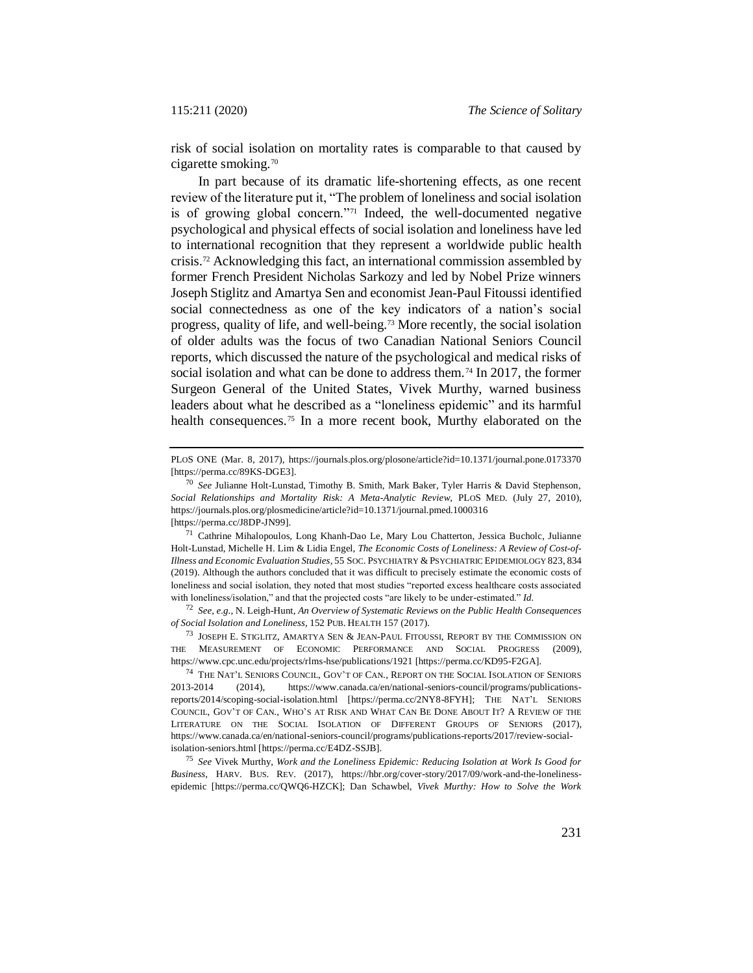risk of social isolation on mortality rates is comparable to that caused by cigarette smoking.<sup>70</sup>

In part because of its dramatic life-shortening effects, as one recent review of the literature put it, "The problem of loneliness and social isolation is of growing global concern."<sup>71</sup> Indeed, the well-documented negative psychological and physical effects of social isolation and loneliness have led to international recognition that they represent a worldwide public health crisis.<sup>72</sup> Acknowledging this fact, an international commission assembled by former French President Nicholas Sarkozy and led by Nobel Prize winners Joseph Stiglitz and Amartya Sen and economist Jean-Paul Fitoussi identified social connectedness as one of the key indicators of a nation's social progress, quality of life, and well-being.<sup>73</sup> More recently, the social isolation of older adults was the focus of two Canadian National Seniors Council reports, which discussed the nature of the psychological and medical risks of social isolation and what can be done to address them.<sup>74</sup> In 2017, the former Surgeon General of the United States, Vivek Murthy, warned business leaders about what he described as a "loneliness epidemic" and its harmful health consequences.<sup>75</sup> In a more recent book, Murthy elaborated on the

<sup>71</sup> Cathrine Mihalopoulos, Long Khanh-Dao Le, Mary Lou Chatterton, Jessica Bucholc, Julianne Holt-Lunstad, Michelle H. Lim & Lidia Engel, *The Economic Costs of Loneliness: A Review of Cost-of-Illness and Economic Evaluation Studies*, 55 SOC. PSYCHIATRY & PSYCHIATRIC EPIDEMIOLOGY 823, 834 (2019). Although the authors concluded that it was difficult to precisely estimate the economic costs of loneliness and social isolation, they noted that most studies "reported excess healthcare costs associated with loneliness/isolation," and that the projected costs "are likely to be under-estimated." *Id.*

<sup>72</sup> *See, e.g.*, N. Leigh-Hunt, *An Overview of Systematic Reviews on the Public Health Consequences of Social Isolation and Loneliness*, 152 PUB. HEALTH 157 (2017).

<sup>73</sup> JOSEPH E. STIGLITZ, AMARTYA SEN & JEAN-PAUL FITOUSSI, REPORT BY THE COMMISSION ON THE MEASUREMENT OF ECONOMIC PERFORMANCE AND SOCIAL PROGRESS (2009), https://www.cpc.unc.edu/projects/rlms-hse/publications/1921 [https://perma.cc/KD95-F2GA].

<sup>75</sup> *See* Vivek Murthy, *Work and the Loneliness Epidemic: Reducing Isolation at Work Is Good for Business*, HARV. BUS. REV. (2017), https://hbr.org/cover-story/2017/09/work-and-the-lonelinessepidemic [https://perma.cc/QWQ6-HZCK]; Dan Schawbel, *Vivek Murthy: How to Solve the Work* 

PLOS ONE (Mar. 8, 2017), https://journals.plos.org/plosone/article?id=10.1371/journal.pone.0173370 [https://perma.cc/89KS-DGE3].

<sup>70</sup> *See* Julianne Holt-Lunstad, Timothy B. Smith, Mark Baker, Tyler Harris & David Stephenson, *Social Relationships and Mortality Risk: A Meta-Analytic Review*, PLOS MED. (July 27, 2010), https://journals.plos.org/plosmedicine/article?id=10.1371/journal.pmed.1000316 [https://perma.cc/J8DP-JN99].

<sup>74</sup> THE NAT'L SENIORS COUNCIL, GOV'T OF CAN., REPORT ON THE SOCIAL ISOLATION OF SENIORS 2013-2014 (2014), https://www.canada.ca/en/national-seniors-council/programs/publicationsreports/2014/scoping-social-isolation.html [https://perma.cc/2NY8-8FYH]; THE NAT'L SENIORS COUNCIL, GOV'T OF CAN., WHO'S AT RISK AND WHAT CAN BE DONE ABOUT IT? A REVIEW OF THE LITERATURE ON THE SOCIAL ISOLATION OF DIFFERENT GROUPS OF SENIORS (2017), https://www.canada.ca/en/national-seniors-council/programs/publications-reports/2017/review-socialisolation-seniors.html [https://perma.cc/E4DZ-SSJB].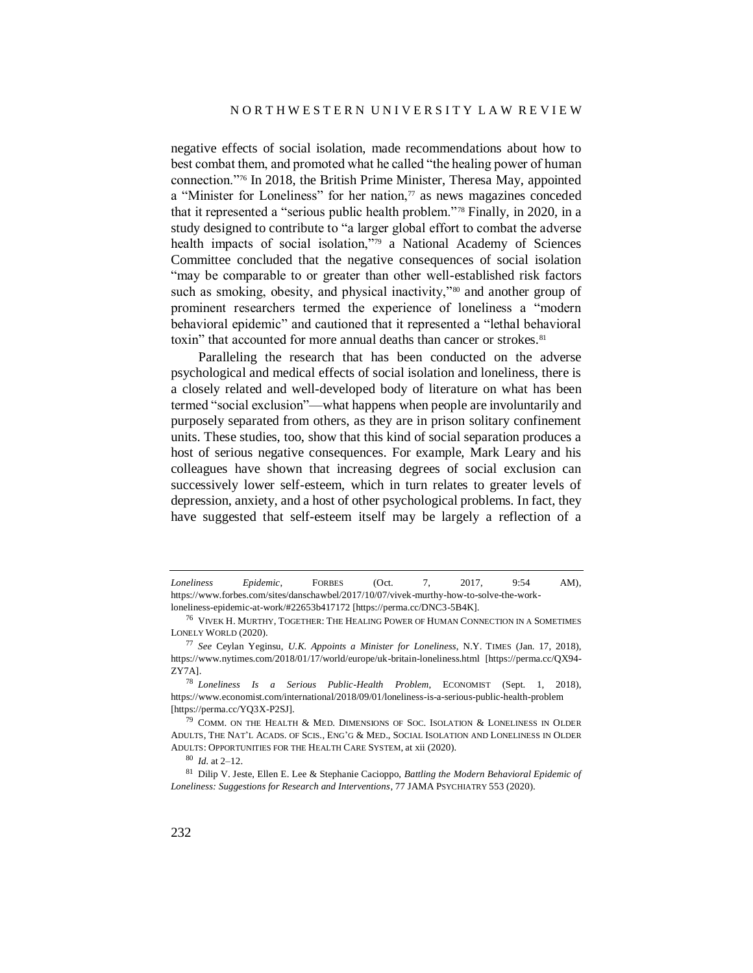negative effects of social isolation, made recommendations about how to best combat them, and promoted what he called "the healing power of human connection."<sup>76</sup> In 2018, the British Prime Minister, Theresa May, appointed a "Minister for Loneliness" for her nation, $\pi$  as news magazines conceded that it represented a "serious public health problem."<sup>78</sup> Finally, in 2020, in a study designed to contribute to "a larger global effort to combat the adverse health impacts of social isolation,"<sup>79</sup> a National Academy of Sciences Committee concluded that the negative consequences of social isolation "may be comparable to or greater than other well-established risk factors such as smoking, obesity, and physical inactivity,"<sup>80</sup> and another group of prominent researchers termed the experience of loneliness a "modern behavioral epidemic" and cautioned that it represented a "lethal behavioral toxin" that accounted for more annual deaths than cancer or strokes.<sup>81</sup>

<span id="page-21-0"></span>Paralleling the research that has been conducted on the adverse psychological and medical effects of social isolation and loneliness, there is a closely related and well-developed body of literature on what has been termed "social exclusion"—what happens when people are involuntarily and purposely separated from others, as they are in prison solitary confinement units. These studies, too, show that this kind of social separation produces a host of serious negative consequences. For example, Mark Leary and his colleagues have shown that increasing degrees of social exclusion can successively lower self-esteem, which in turn relates to greater levels of depression, anxiety, and a host of other psychological problems. In fact, they have suggested that self-esteem itself may be largely a reflection of a

*Loneliness Epidemic*, FORBES (Oct. 7, 2017, 9:54 AM), https://www.forbes.com/sites/danschawbel/2017/10/07/vivek-murthy-how-to-solve-the-workloneliness-epidemic-at-work/#22653b417172 [https://perma.cc/DNC3-5B4K].

 $^{76}\,$  VIVEK H. MURTHY, TOGETHER: THE HEALING POWER OF HUMAN CONNECTION IN A SOMETIMES LONELY WORLD (2020).

<sup>77</sup> *See* Ceylan Yeginsu, *U.K. Appoints a Minister for Loneliness*, N.Y. TIMES (Jan. 17, 2018), https://www.nytimes.com/2018/01/17/world/europe/uk-britain-loneliness.html [https://perma.cc/QX94- ZY7A].

<sup>78</sup> *Loneliness Is a Serious Public-Health Problem*, ECONOMIST (Sept. 1, 2018), https://www.economist.com/international/2018/09/01/loneliness-is-a-serious-public-health-problem [https://perma.cc/YQ3X-P2SJ].

 $^{79}$  COMM. ON THE HEALTH & MED. DIMENSIONS OF SOC. ISOLATION & LONELINESS IN OLDER ADULTS, THE NAT'L ACADS. OF SCIS., ENG'G & MED., SOCIAL ISOLATION AND LONELINESS IN OLDER ADULTS: OPPORTUNITIES FOR THE HEALTH CARE SYSTEM, at xii (2020).

<sup>80</sup> *Id.* at 2–12.

<sup>81</sup> Dilip V. Jeste, Ellen E. Lee & Stephanie Cacioppo, *Battling the Modern Behavioral Epidemic of Loneliness: Suggestions for Research and Interventions*, 77 JAMA PSYCHIATRY 553 (2020).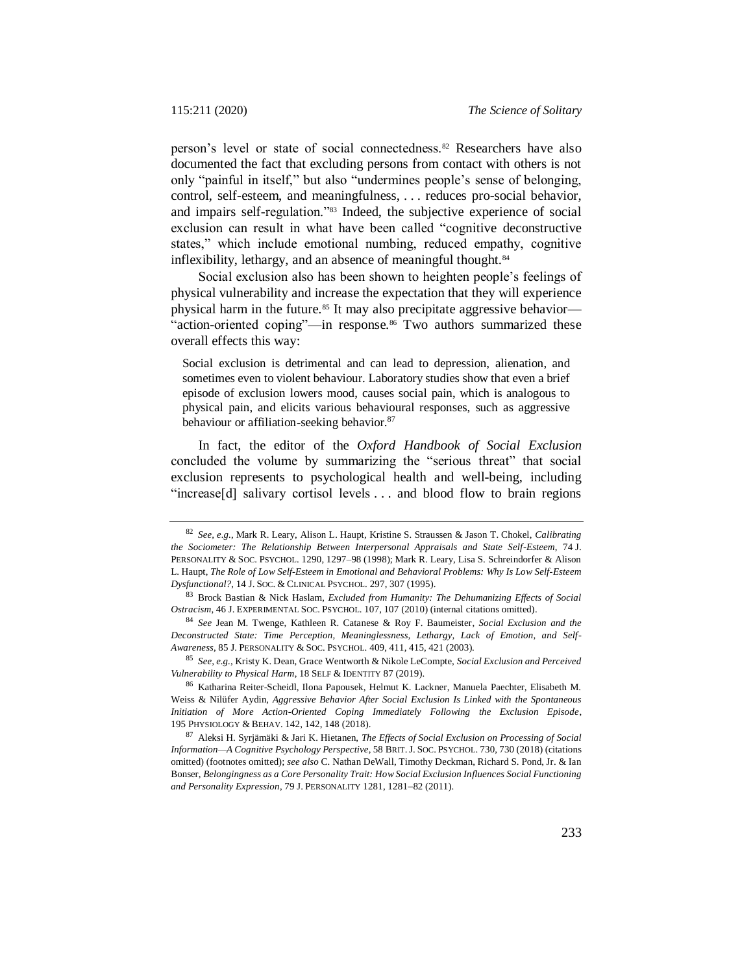person's level or state of social connectedness.<sup>82</sup> Researchers have also documented the fact that excluding persons from contact with others is not only "painful in itself," but also "undermines people's sense of belonging, control, self-esteem, and meaningfulness, . . . reduces pro-social behavior, and impairs self-regulation."<sup>83</sup> Indeed, the subjective experience of social exclusion can result in what have been called "cognitive deconstructive states," which include emotional numbing, reduced empathy, cognitive inflexibility, lethargy, and an absence of meaningful thought.<sup>84</sup>

Social exclusion also has been shown to heighten people's feelings of physical vulnerability and increase the expectation that they will experience physical harm in the future.<sup>85</sup> It may also precipitate aggressive behavior— "action-oriented coping"—in response.<sup>86</sup> Two authors summarized these overall effects this way:

Social exclusion is detrimental and can lead to depression, alienation, and sometimes even to violent behaviour. Laboratory studies show that even a brief episode of exclusion lowers mood, causes social pain, which is analogous to physical pain, and elicits various behavioural responses, such as aggressive behaviour or affiliation-seeking behavior.<sup>87</sup>

In fact, the editor of the *Oxford Handbook of Social Exclusion* concluded the volume by summarizing the "serious threat" that social exclusion represents to psychological health and well-being, including "increase[d] salivary cortisol levels . . . and blood flow to brain regions

<sup>85</sup> *See, e.g.*, Kristy K. Dean, Grace Wentworth & Nikole LeCompte, *Social Exclusion and Perceived Vulnerability to Physical Harm*, 18 SELF & IDENTITY 87 (2019).

<sup>82</sup> *See, e.g.*, Mark R. Leary, Alison L. Haupt, Kristine S. Straussen & Jason T. Chokel, *Calibrating the Sociometer: The Relationship Between Interpersonal Appraisals and State Self-Esteem*, 74 J. PERSONALITY & SOC. PSYCHOL. 1290, 1297–98 (1998); Mark R. Leary, Lisa S. Schreindorfer & Alison L. Haupt, *The Role of Low Self-Esteem in Emotional and Behavioral Problems: Why Is Low Self-Esteem Dysfunctional?*, 14 J. SOC. & CLINICAL PSYCHOL. 297, 307 (1995).

<sup>83</sup> Brock Bastian & Nick Haslam, *Excluded from Humanity: The Dehumanizing Effects of Social Ostracism*, 46 J. EXPERIMENTAL SOC. PSYCHOL. 107, 107 (2010) (internal citations omitted).

<sup>84</sup> *See* Jean M. Twenge, Kathleen R. Catanese & Roy F. Baumeister, *Social Exclusion and the Deconstructed State: Time Perception, Meaninglessness, Lethargy, Lack of Emotion, and Self-Awareness*, 85 J. PERSONALITY & SOC. PSYCHOL. 409, 411, 415, 421 (2003).

<sup>86</sup> Katharina Reiter-Scheidl, Ilona Papousek, Helmut K. Lackner, Manuela Paechter, Elisabeth M. Weiss & Nilüfer Aydin, *Aggressive Behavior After Social Exclusion Is Linked with the Spontaneous Initiation of More Action-Oriented Coping Immediately Following the Exclusion Episode*, 195 PHYSIOLOGY & BEHAV. 142, 142, 148 (2018).

<sup>87</sup> Aleksi H. Syrjämäki & Jari K. Hietanen, *The Effects of Social Exclusion on Processing of Social Information—A Cognitive Psychology Perspective*, 58 BRIT.J. SOC. PSYCHOL. 730, 730 (2018) (citations omitted) (footnotes omitted); *see also* C. Nathan DeWall, Timothy Deckman, Richard S. Pond, Jr. & Ian Bonser, *Belongingness as a Core Personality Trait: How Social Exclusion Influences Social Functioning*  and Personality Expression, 79 J. PERSONALITY 1281, 1281-82 (2011).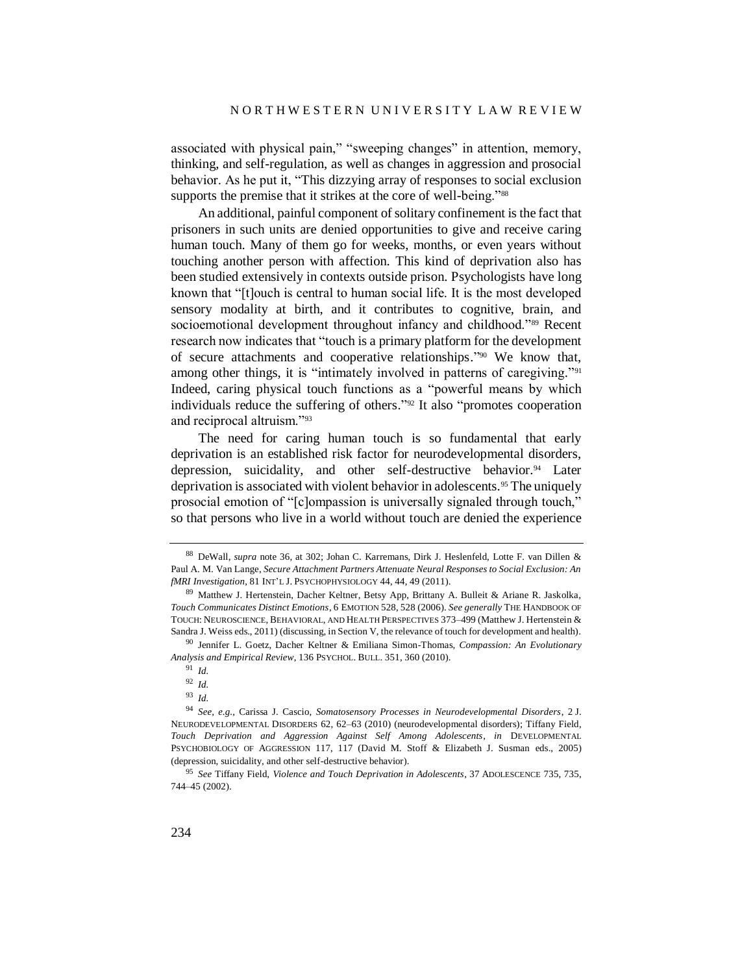associated with physical pain," "sweeping changes" in attention, memory, thinking, and self-regulation, as well as changes in aggression and prosocial behavior. As he put it, "This dizzying array of responses to social exclusion supports the premise that it strikes at the core of well-being."<sup>88</sup>

An additional, painful component of solitary confinement is the fact that prisoners in such units are denied opportunities to give and receive caring human touch. Many of them go for weeks, months, or even years without touching another person with affection. This kind of deprivation also has been studied extensively in contexts outside prison. Psychologists have long known that "[t]ouch is central to human social life. It is the most developed sensory modality at birth, and it contributes to cognitive, brain, and socioemotional development throughout infancy and childhood."<sup>89</sup> Recent research now indicates that "touch is a primary platform for the development of secure attachments and cooperative relationships." <sup>90</sup> We know that, among other things, it is "intimately involved in patterns of caregiving."<sup>91</sup> Indeed, caring physical touch functions as a "powerful means by which individuals reduce the suffering of others." <sup>92</sup> It also "promotes cooperation and reciprocal altruism."<sup>93</sup>

<span id="page-23-0"></span>The need for caring human touch is so fundamental that early deprivation is an established risk factor for neurodevelopmental disorders, depression, suicidality, and other self-destructive behavior.<sup>94</sup> Later deprivation is associated with violent behavior in adolescents.<sup>95</sup> The uniquely prosocial emotion of "[c]ompassion is universally signaled through touch," so that persons who live in a world without touch are denied the experience

<sup>88</sup> DeWall, *supra* note [36,](#page-12-0) at 302; Johan C. Karremans, Dirk J. Heslenfeld, Lotte F. van Dillen & Paul A. M. Van Lange, *Secure Attachment Partners Attenuate Neural Responses to Social Exclusion: An fMRI Investigation*, 81 INT'L J. PSYCHOPHYSIOLOGY 44, 44, 49 (2011).

<sup>89</sup> Matthew J. Hertenstein, Dacher Keltner, Betsy App, Brittany A. Bulleit & Ariane R. Jaskolka, *Touch Communicates Distinct Emotions*, 6 EMOTION 528, 528 (2006). *See generally* THE HANDBOOK OF TOUCH: NEUROSCIENCE, BEHAVIORAL, AND HEALTH PERSPECTIVES 373–499 (Matthew J. Hertenstein & Sandra J. Weiss eds., 2011) (discussing, in Section V, the relevance of touch for development and health).

<sup>90</sup> Jennifer L. Goetz, Dacher Keltner & Emiliana Simon-Thomas, *Compassion: An Evolutionary Analysis and Empirical Review*, 136 PSYCHOL. BULL. 351, 360 (2010).

<sup>91</sup> *Id.*

<sup>92</sup> *Id.*

<sup>93</sup> *Id.*

<sup>94</sup> *See, e.g.*, Carissa J. Cascio, *Somatosensory Processes in Neurodevelopmental Disorders*, 2 J. NEURODEVELOPMENTAL DISORDERS 62, 62–63 (2010) (neurodevelopmental disorders); Tiffany Field, *Touch Deprivation and Aggression Against Self Among Adolescents*, *in* DEVELOPMENTAL PSYCHOBIOLOGY OF AGGRESSION 117, 117 (David M. Stoff & Elizabeth J. Susman eds., 2005) (depression, suicidality, and other self-destructive behavior).

<sup>95</sup> *See* Tiffany Field, *Violence and Touch Deprivation in Adolescents*, 37 ADOLESCENCE 735, 735, 744–45 (2002).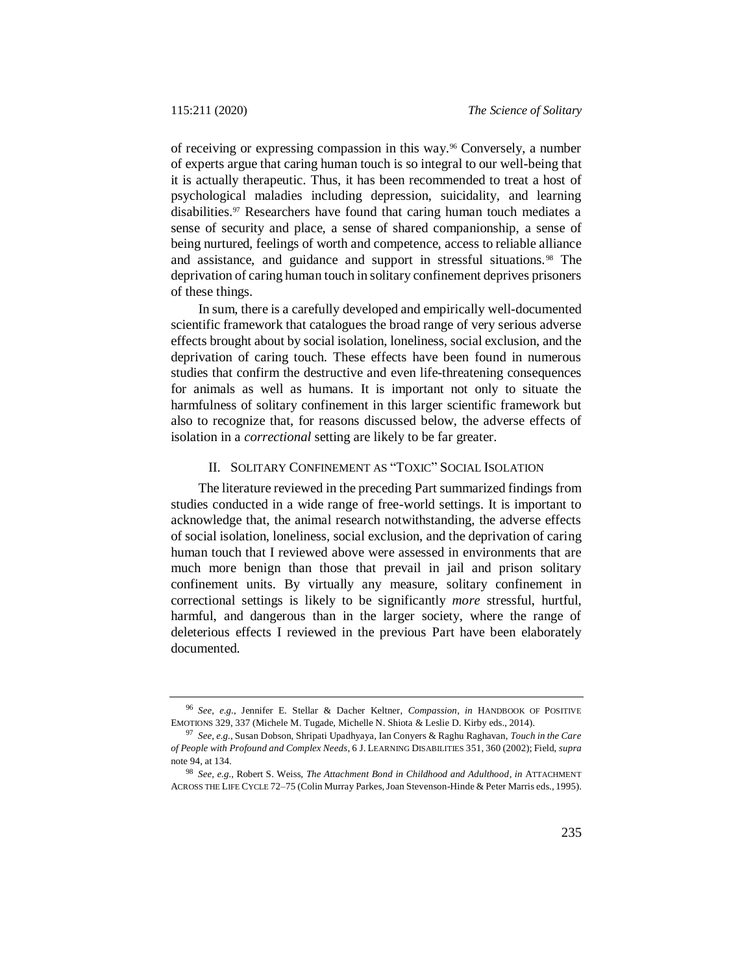of receiving or expressing compassion in this way.<sup>96</sup> Conversely, a number of experts argue that caring human touch is so integral to our well-being that it is actually therapeutic. Thus, it has been recommended to treat a host of psychological maladies including depression, suicidality, and learning disabilities.<sup>97</sup> Researchers have found that caring human touch mediates a sense of security and place, a sense of shared companionship, a sense of being nurtured, feelings of worth and competence, access to reliable alliance and assistance, and guidance and support in stressful situations. <sup>98</sup> The deprivation of caring human touch in solitary confinement deprives prisoners of these things.

In sum, there is a carefully developed and empirically well-documented scientific framework that catalogues the broad range of very serious adverse effects brought about by social isolation, loneliness, social exclusion, and the deprivation of caring touch. These effects have been found in numerous studies that confirm the destructive and even life-threatening consequences for animals as well as humans. It is important not only to situate the harmfulness of solitary confinement in this larger scientific framework but also to recognize that, for reasons discussed below, the adverse effects of isolation in a *correctional* setting are likely to be far greater.

# II. SOLITARY CONFINEMENT AS "TOXIC" SOCIAL ISOLATION

The literature reviewed in the preceding Part summarized findings from studies conducted in a wide range of free-world settings. It is important to acknowledge that, the animal research notwithstanding, the adverse effects of social isolation, loneliness, social exclusion, and the deprivation of caring human touch that I reviewed above were assessed in environments that are much more benign than those that prevail in jail and prison solitary confinement units. By virtually any measure, solitary confinement in correctional settings is likely to be significantly *more* stressful, hurtful, harmful, and dangerous than in the larger society, where the range of deleterious effects I reviewed in the previous Part have been elaborately documented.

<sup>96</sup> *See, e.g.*, Jennifer E. Stellar & Dacher Keltner, *Compassion*, *in* HANDBOOK OF POSITIVE EMOTIONS 329, 337 (Michele M. Tugade, Michelle N. Shiota & Leslie D. Kirby eds., 2014).

<sup>97</sup> *See, e.g.*, Susan Dobson, Shripati Upadhyaya, Ian Conyers & Raghu Raghavan, *Touch in the Care of People with Profound and Complex Needs*, 6 J. LEARNING DISABILITIES 351, 360 (2002); Field, *supra*  not[e 94,](#page-23-0) at 134.

<sup>98</sup> *See, e.g.*, Robert S. Weiss, *The Attachment Bond in Childhood and Adulthood*, *in* ATTACHMENT ACROSS THE LIFE CYCLE 72–75 (Colin Murray Parkes, Joan Stevenson-Hinde & Peter Marris eds., 1995).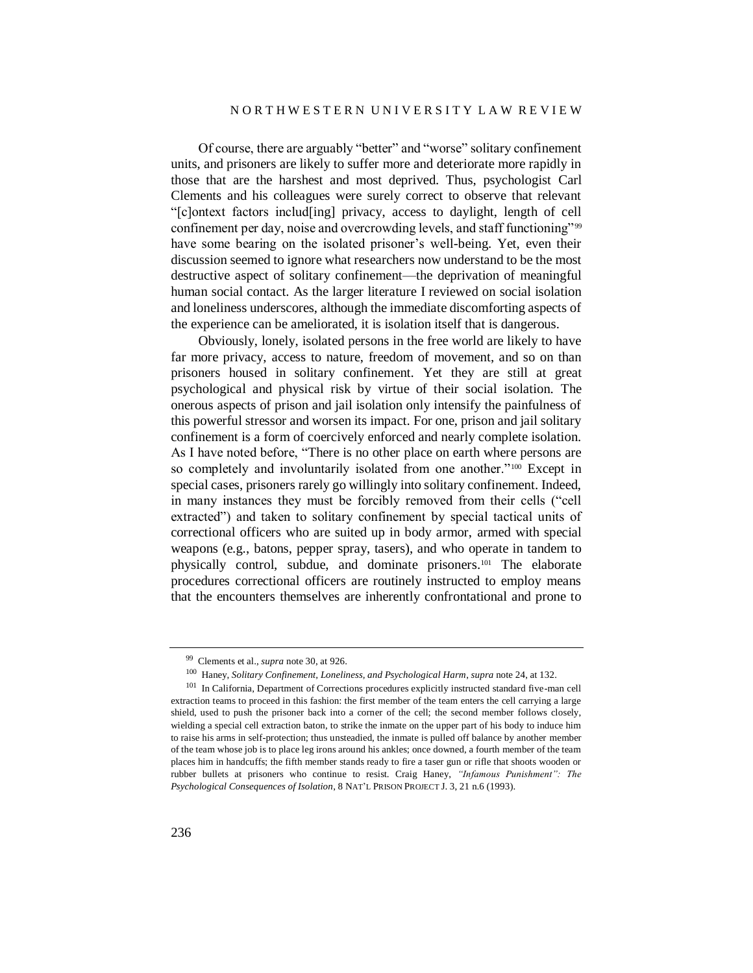### N O R T H W E S T E R N U N I V E R S I T Y L A W R E V I E W

Of course, there are arguably "better" and "worse" solitary confinement units, and prisoners are likely to suffer more and deteriorate more rapidly in those that are the harshest and most deprived. Thus, psychologist Carl Clements and his colleagues were surely correct to observe that relevant "[c]ontext factors includ[ing] privacy, access to daylight, length of cell confinement per day, noise and overcrowding levels, and staff functioning"<sup>99</sup> have some bearing on the isolated prisoner's well-being. Yet, even their discussion seemed to ignore what researchers now understand to be the most destructive aspect of solitary confinement—the deprivation of meaningful human social contact. As the larger literature I reviewed on social isolation and loneliness underscores, although the immediate discomforting aspects of the experience can be ameliorated, it is isolation itself that is dangerous.

Obviously, lonely, isolated persons in the free world are likely to have far more privacy, access to nature, freedom of movement, and so on than prisoners housed in solitary confinement. Yet they are still at great psychological and physical risk by virtue of their social isolation. The onerous aspects of prison and jail isolation only intensify the painfulness of this powerful stressor and worsen its impact. For one, prison and jail solitary confinement is a form of coercively enforced and nearly complete isolation. As I have noted before, "There is no other place on earth where persons are so completely and involuntarily isolated from one another."<sup>100</sup> Except in special cases, prisoners rarely go willingly into solitary confinement. Indeed, in many instances they must be forcibly removed from their cells ("cell extracted") and taken to solitary confinement by special tactical units of correctional officers who are suited up in body armor, armed with special weapons (e.g., batons, pepper spray, tasers), and who operate in tandem to physically control, subdue, and dominate prisoners.<sup>101</sup> The elaborate procedures correctional officers are routinely instructed to employ means that the encounters themselves are inherently confrontational and prone to

<sup>99</sup> Clements et al., *supra* note [30,](#page-10-0) at 926.

<sup>100</sup> Haney, *Solitary Confinement, Loneliness, and Psychological Harm*, *supra* not[e 24,](#page-8-0) at 132.

<sup>101</sup> In California, Department of Corrections procedures explicitly instructed standard five-man cell extraction teams to proceed in this fashion: the first member of the team enters the cell carrying a large shield, used to push the prisoner back into a corner of the cell; the second member follows closely, wielding a special cell extraction baton, to strike the inmate on the upper part of his body to induce him to raise his arms in self-protection; thus unsteadied, the inmate is pulled off balance by another member of the team whose job is to place leg irons around his ankles; once downed, a fourth member of the team places him in handcuffs; the fifth member stands ready to fire a taser gun or rifle that shoots wooden or rubber bullets at prisoners who continue to resist. Craig Haney, *"Infamous Punishment": The Psychological Consequences of Isolation*, 8 NAT'L PRISON PROJECT J. 3, 21 n.6 (1993).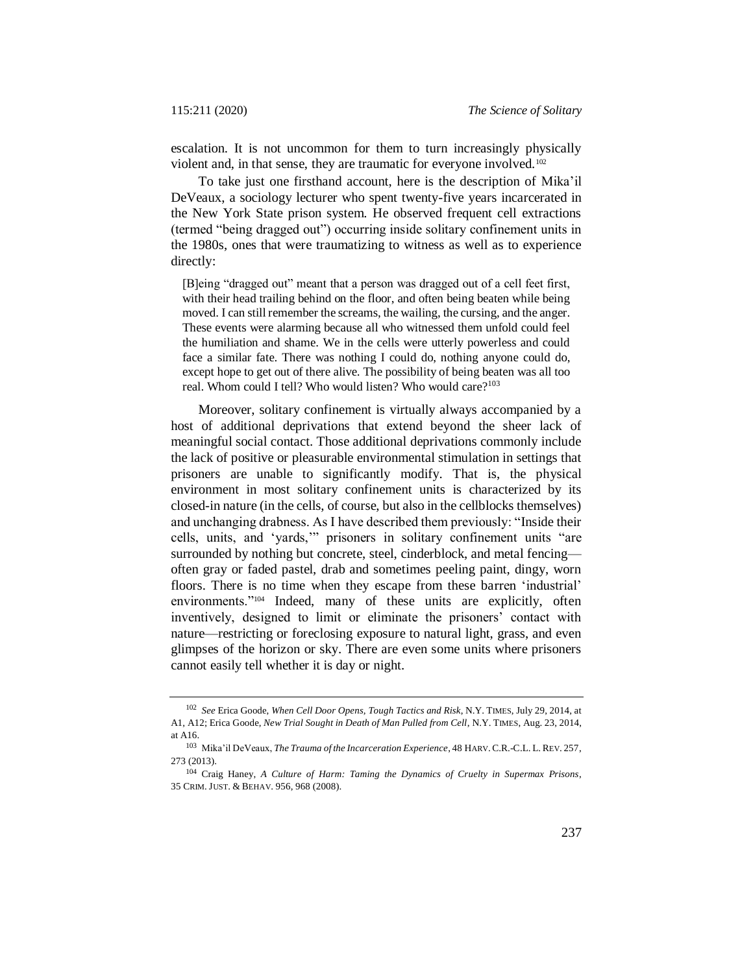escalation. It is not uncommon for them to turn increasingly physically violent and, in that sense, they are traumatic for everyone involved.<sup>102</sup>

To take just one firsthand account, here is the description of Mika'il DeVeaux, a sociology lecturer who spent twenty-five years incarcerated in the New York State prison system. He observed frequent cell extractions (termed "being dragged out") occurring inside solitary confinement units in the 1980s, ones that were traumatizing to witness as well as to experience directly:

[B]eing "dragged out" meant that a person was dragged out of a cell feet first, with their head trailing behind on the floor, and often being beaten while being moved. I can still remember the screams, the wailing, the cursing, and the anger. These events were alarming because all who witnessed them unfold could feel the humiliation and shame. We in the cells were utterly powerless and could face a similar fate. There was nothing I could do, nothing anyone could do, except hope to get out of there alive. The possibility of being beaten was all too real. Whom could I tell? Who would listen? Who would care?<sup>103</sup>

<span id="page-26-1"></span>Moreover, solitary confinement is virtually always accompanied by a host of additional deprivations that extend beyond the sheer lack of meaningful social contact. Those additional deprivations commonly include the lack of positive or pleasurable environmental stimulation in settings that prisoners are unable to significantly modify. That is, the physical environment in most solitary confinement units is characterized by its closed-in nature (in the cells, of course, but also in the cellblocks themselves) and unchanging drabness. As I have described them previously: "Inside their cells, units, and 'yards,'" prisoners in solitary confinement units "are surrounded by nothing but concrete, steel, cinderblock, and metal fencing often gray or faded pastel, drab and sometimes peeling paint, dingy, worn floors. There is no time when they escape from these barren 'industrial' environments."<sup>104</sup> Indeed, many of these units are explicitly, often inventively, designed to limit or eliminate the prisoners' contact with nature—restricting or foreclosing exposure to natural light, grass, and even glimpses of the horizon or sky. There are even some units where prisoners cannot easily tell whether it is day or night.

<span id="page-26-0"></span><sup>102</sup> *See* Erica Goode, *When Cell Door Opens, Tough Tactics and Risk*, N.Y. TIMES, July 29, 2014, at A1, A12; Erica Goode, *New Trial Sought in Death of Man Pulled from Cell*, N.Y. TIMES, Aug. 23, 2014, at A16.

<sup>103</sup> Mika'il DeVeaux, *The Trauma of the Incarceration Experience*, 48 HARV. C.R.-C.L. L. REV. 257, 273 (2013).

<sup>104</sup> Craig Haney, *A Culture of Harm: Taming the Dynamics of Cruelty in Supermax Prisons*, 35 CRIM. JUST. & BEHAV. 956, 968 (2008).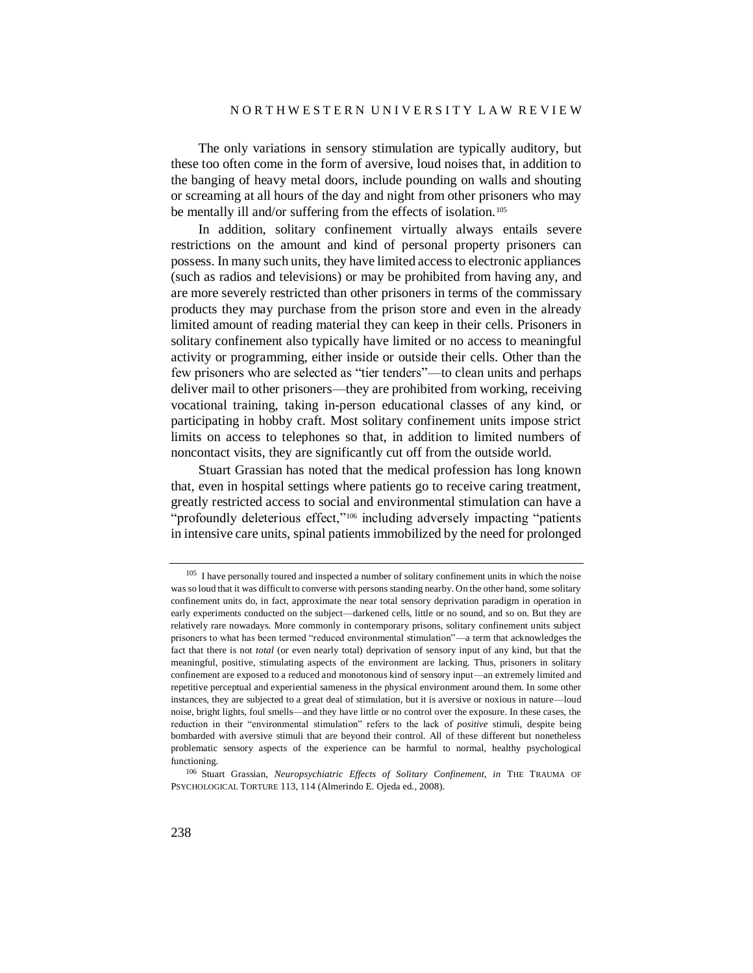### N O R T H W E S T E R N U N I V E R S I T Y L A W R E V I E W

The only variations in sensory stimulation are typically auditory, but these too often come in the form of aversive, loud noises that, in addition to the banging of heavy metal doors, include pounding on walls and shouting or screaming at all hours of the day and night from other prisoners who may be mentally ill and/or suffering from the effects of isolation.<sup>105</sup>

In addition, solitary confinement virtually always entails severe restrictions on the amount and kind of personal property prisoners can possess. In many such units, they have limited access to electronic appliances (such as radios and televisions) or may be prohibited from having any, and are more severely restricted than other prisoners in terms of the commissary products they may purchase from the prison store and even in the already limited amount of reading material they can keep in their cells. Prisoners in solitary confinement also typically have limited or no access to meaningful activity or programming, either inside or outside their cells. Other than the few prisoners who are selected as "tier tenders"—to clean units and perhaps deliver mail to other prisoners—they are prohibited from working, receiving vocational training, taking in-person educational classes of any kind, or participating in hobby craft. Most solitary confinement units impose strict limits on access to telephones so that, in addition to limited numbers of noncontact visits, they are significantly cut off from the outside world.

Stuart Grassian has noted that the medical profession has long known that, even in hospital settings where patients go to receive caring treatment, greatly restricted access to social and environmental stimulation can have a "profoundly deleterious effect,"<sup>106</sup> including adversely impacting "patients in intensive care units, spinal patients immobilized by the need for prolonged

 $105$  I have personally toured and inspected a number of solitary confinement units in which the noise was so loud that it was difficult to converse with persons standing nearby. On the other hand, some solitary confinement units do, in fact, approximate the near total sensory deprivation paradigm in operation in early experiments conducted on the subject—darkened cells, little or no sound, and so on. But they are relatively rare nowadays. More commonly in contemporary prisons, solitary confinement units subject prisoners to what has been termed "reduced environmental stimulation"—a term that acknowledges the fact that there is not *total* (or even nearly total) deprivation of sensory input of any kind, but that the meaningful, positive, stimulating aspects of the environment are lacking. Thus, prisoners in solitary confinement are exposed to a reduced and monotonous kind of sensory input—an extremely limited and repetitive perceptual and experiential sameness in the physical environment around them. In some other instances, they are subjected to a great deal of stimulation, but it is aversive or noxious in nature—loud noise, bright lights, foul smells—and they have little or no control over the exposure. In these cases, the reduction in their "environmental stimulation" refers to the lack of *positive* stimuli, despite being bombarded with aversive stimuli that are beyond their control. All of these different but nonetheless problematic sensory aspects of the experience can be harmful to normal, healthy psychological functioning.

<sup>106</sup> Stuart Grassian, *Neuropsychiatric Effects of Solitary Confinement*, *in* THE TRAUMA OF PSYCHOLOGICAL TORTURE 113, 114 (Almerindo E. Ojeda ed., 2008).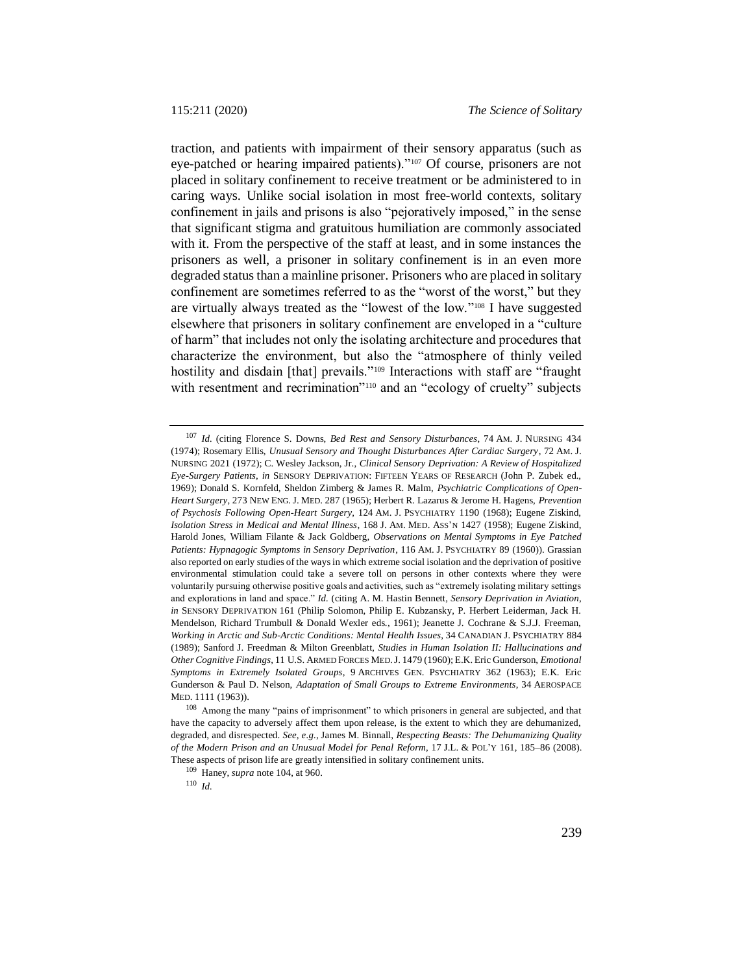traction, and patients with impairment of their sensory apparatus (such as eye-patched or hearing impaired patients)."<sup>107</sup> Of course, prisoners are not placed in solitary confinement to receive treatment or be administered to in caring ways. Unlike social isolation in most free-world contexts, solitary confinement in jails and prisons is also "pejoratively imposed," in the sense that significant stigma and gratuitous humiliation are commonly associated with it. From the perspective of the staff at least, and in some instances the prisoners as well, a prisoner in solitary confinement is in an even more degraded status than a mainline prisoner. Prisoners who are placed in solitary confinement are sometimes referred to as the "worst of the worst," but they are virtually always treated as the "lowest of the low."<sup>108</sup> I have suggested elsewhere that prisoners in solitary confinement are enveloped in a "culture of harm" that includes not only the isolating architecture and procedures that characterize the environment, but also the "atmosphere of thinly veiled hostility and disdain [that] prevails."<sup>109</sup> Interactions with staff are "fraught with resentment and recrimination"<sup>110</sup> and an "ecology of cruelty" subjects

<sup>110</sup> *Id.*

<sup>107</sup> *Id.* (citing Florence S. Downs, *Bed Rest and Sensory Disturbances*, 74 AM. J. NURSING 434 (1974); Rosemary Ellis, *Unusual Sensory and Thought Disturbances After Cardiac Surgery*, 72 AM. J. NURSING 2021 (1972); C. Wesley Jackson, Jr., *Clinical Sensory Deprivation: A Review of Hospitalized Eye-Surgery Patients*, *in* SENSORY DEPRIVATION: FIFTEEN YEARS OF RESEARCH (John P. Zubek ed., 1969); Donald S. Kornfeld, Sheldon Zimberg & James R. Malm, *Psychiatric Complications of Open-Heart Surgery*, 273 NEW ENG. J. MED. 287 (1965); Herbert R. Lazarus & Jerome H. Hagens, *Prevention of Psychosis Following Open-Heart Surgery*, 124 AM. J. PSYCHIATRY 1190 (1968); Eugene Ziskind, *Isolation Stress in Medical and Mental Illness*, 168 J. AM. MED. ASS'N 1427 (1958); Eugene Ziskind, Harold Jones, William Filante & Jack Goldberg, *Observations on Mental Symptoms in Eye Patched Patients: Hypnagogic Symptoms in Sensory Deprivation*, 116 AM. J. PSYCHIATRY 89 (1960)). Grassian also reported on early studies of the ways in which extreme social isolation and the deprivation of positive environmental stimulation could take a severe toll on persons in other contexts where they were voluntarily pursuing otherwise positive goals and activities, such as "extremely isolating military settings and explorations in land and space." *Id.* (citing A. M. Hastin Bennett, *Sensory Deprivation in Aviation*, *in* SENSORY DEPRIVATION 161 (Philip Solomon, Philip E. Kubzansky, P. Herbert Leiderman, Jack H. Mendelson, Richard Trumbull & Donald Wexler eds., 1961); Jeanette J. Cochrane & S.J.J. Freeman, *Working in Arctic and Sub-Arctic Conditions: Mental Health Issues*, 34 CANADIAN J. PSYCHIATRY 884 (1989); Sanford J. Freedman & Milton Greenblatt, *Studies in Human Isolation II: Hallucinations and Other Cognitive Findings*, 11 U.S. ARMED FORCES MED.J. 1479 (1960); E.K. Eric Gunderson, *Emotional Symptoms in Extremely Isolated Groups*, 9 ARCHIVES GEN. PSYCHIATRY 362 (1963); E.K. Eric Gunderson & Paul D. Nelson, *Adaptation of Small Groups to Extreme Environments*, 34 AEROSPACE MED. 1111 (1963)).

<sup>108</sup> Among the many "pains of imprisonment" to which prisoners in general are subjected, and that have the capacity to adversely affect them upon release, is the extent to which they are dehumanized, degraded, and disrespected. *See, e.g.*, James M. Binnall, *Respecting Beasts: The Dehumanizing Quality of the Modern Prison and an Unusual Model for Penal Reform*, 17 J.L. & POL'Y 161, 185–86 (2008). These aspects of prison life are greatly intensified in solitary confinement units.

<sup>109</sup> Haney, *supra* note [104,](#page-26-0) at 960.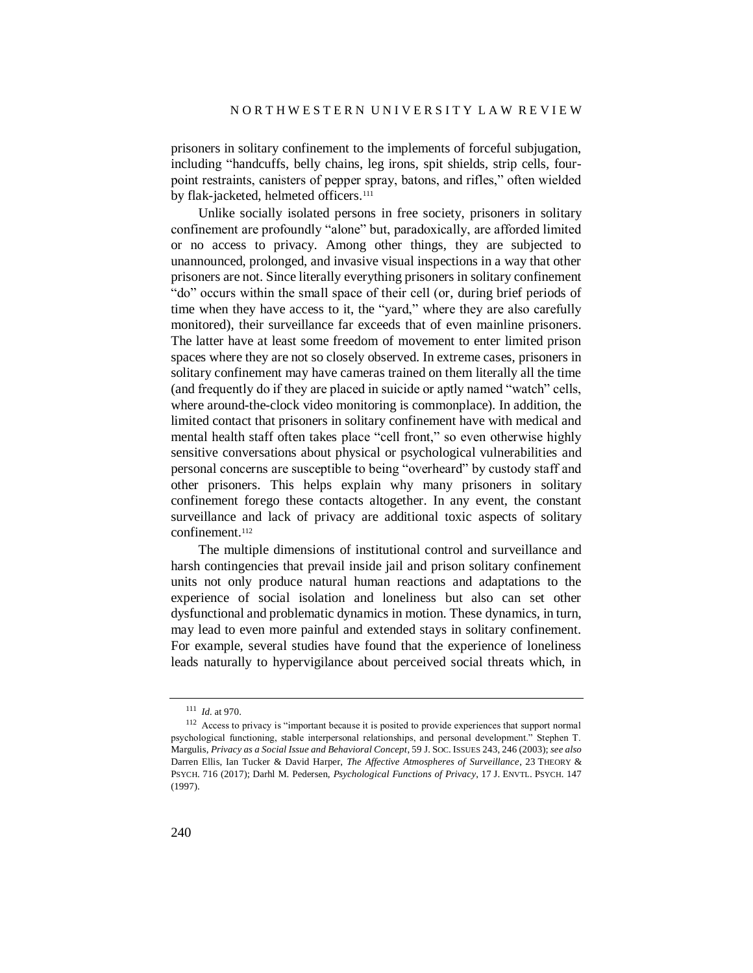prisoners in solitary confinement to the implements of forceful subjugation, including "handcuffs, belly chains, leg irons, spit shields, strip cells, fourpoint restraints, canisters of pepper spray, batons, and rifles," often wielded by flak-jacketed, helmeted officers.<sup>111</sup>

Unlike socially isolated persons in free society, prisoners in solitary confinement are profoundly "alone" but, paradoxically, are afforded limited or no access to privacy. Among other things, they are subjected to unannounced, prolonged, and invasive visual inspections in a way that other prisoners are not. Since literally everything prisoners in solitary confinement "do" occurs within the small space of their cell (or, during brief periods of time when they have access to it, the "yard," where they are also carefully monitored), their surveillance far exceeds that of even mainline prisoners. The latter have at least some freedom of movement to enter limited prison spaces where they are not so closely observed. In extreme cases, prisoners in solitary confinement may have cameras trained on them literally all the time (and frequently do if they are placed in suicide or aptly named "watch" cells, where around-the-clock video monitoring is commonplace). In addition, the limited contact that prisoners in solitary confinement have with medical and mental health staff often takes place "cell front," so even otherwise highly sensitive conversations about physical or psychological vulnerabilities and personal concerns are susceptible to being "overheard" by custody staff and other prisoners. This helps explain why many prisoners in solitary confinement forego these contacts altogether. In any event, the constant surveillance and lack of privacy are additional toxic aspects of solitary confinement.<sup>112</sup>

The multiple dimensions of institutional control and surveillance and harsh contingencies that prevail inside jail and prison solitary confinement units not only produce natural human reactions and adaptations to the experience of social isolation and loneliness but also can set other dysfunctional and problematic dynamics in motion. These dynamics, in turn, may lead to even more painful and extended stays in solitary confinement. For example, several studies have found that the experience of loneliness leads naturally to hypervigilance about perceived social threats which, in

<sup>111</sup> *Id.* at 970.

<sup>&</sup>lt;sup>112</sup> Access to privacy is "important because it is posited to provide experiences that support normal psychological functioning, stable interpersonal relationships, and personal development." Stephen T. Margulis, *Privacy as a Social Issue and Behavioral Concept*, 59 J. SOC. ISSUES 243, 246 (2003); *see also* Darren Ellis, Ian Tucker & David Harper, *The Affective Atmospheres of Surveillance*, 23 THEORY & PSYCH. 716 (2017); Darhl M. Pedersen, *Psychological Functions of Privacy*, 17 J. ENVTL. PSYCH. 147 (1997).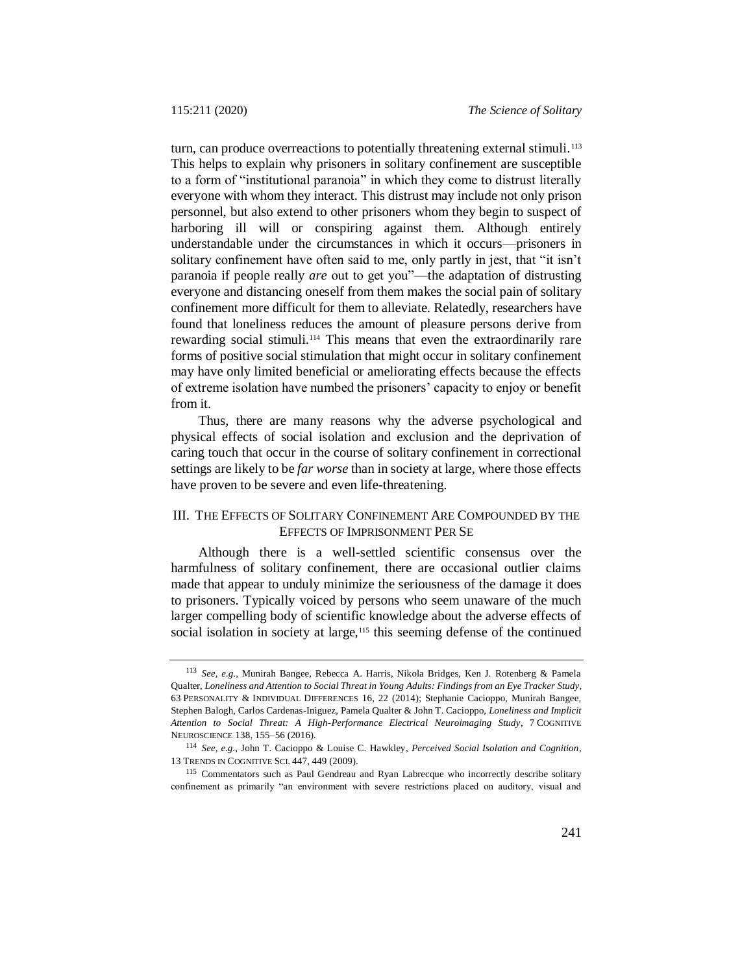turn, can produce overreactions to potentially threatening external stimuli.<sup>113</sup> This helps to explain why prisoners in solitary confinement are susceptible to a form of "institutional paranoia" in which they come to distrust literally everyone with whom they interact. This distrust may include not only prison personnel, but also extend to other prisoners whom they begin to suspect of harboring ill will or conspiring against them. Although entirely understandable under the circumstances in which it occurs—prisoners in solitary confinement have often said to me, only partly in jest, that "it isn't paranoia if people really *are* out to get you"—the adaptation of distrusting everyone and distancing oneself from them makes the social pain of solitary confinement more difficult for them to alleviate. Relatedly, researchers have found that loneliness reduces the amount of pleasure persons derive from rewarding social stimuli.<sup>114</sup> This means that even the extraordinarily rare forms of positive social stimulation that might occur in solitary confinement may have only limited beneficial or ameliorating effects because the effects of extreme isolation have numbed the prisoners' capacity to enjoy or benefit from it.

Thus, there are many reasons why the adverse psychological and physical effects of social isolation and exclusion and the deprivation of caring touch that occur in the course of solitary confinement in correctional settings are likely to be *far worse* than in society at large, where those effects have proven to be severe and even life-threatening.

# III. THE EFFECTS OF SOLITARY CONFINEMENT ARE COMPOUNDED BY THE EFFECTS OF IMPRISONMENT PER SE

Although there is a well-settled scientific consensus over the harmfulness of solitary confinement, there are occasional outlier claims made that appear to unduly minimize the seriousness of the damage it does to prisoners. Typically voiced by persons who seem unaware of the much larger compelling body of scientific knowledge about the adverse effects of social isolation in society at large,<sup>115</sup> this seeming defense of the continued

<span id="page-30-0"></span><sup>113</sup> *See, e.g.*, Munirah Bangee, Rebecca A. Harris, Nikola Bridges, Ken J. Rotenberg & Pamela Qualter, *Loneliness and Attention to Social Threat in Young Adults: Findings from an Eye Tracker Study*, 63 PERSONALITY & INDIVIDUAL DIFFERENCES 16, 22 (2014); Stephanie Cacioppo, Munirah Bangee, Stephen Balogh, Carlos Cardenas-Iniguez, Pamela Qualter & John T. Cacioppo, *Loneliness and Implicit Attention to Social Threat: A High-Performance Electrical Neuroimaging Study*, 7 COGNITIVE NEUROSCIENCE 138, 155–56 (2016).

<sup>114</sup> *See, e.g.*, John T. Cacioppo & Louise C. Hawkley, *Perceived Social Isolation and Cognition*, 13 TRENDS IN COGNITIVE SCI. 447, 449 (2009).

<sup>115</sup> Commentators such as Paul Gendreau and Ryan Labrecque who incorrectly describe solitary confinement as primarily "an environment with severe restrictions placed on auditory, visual and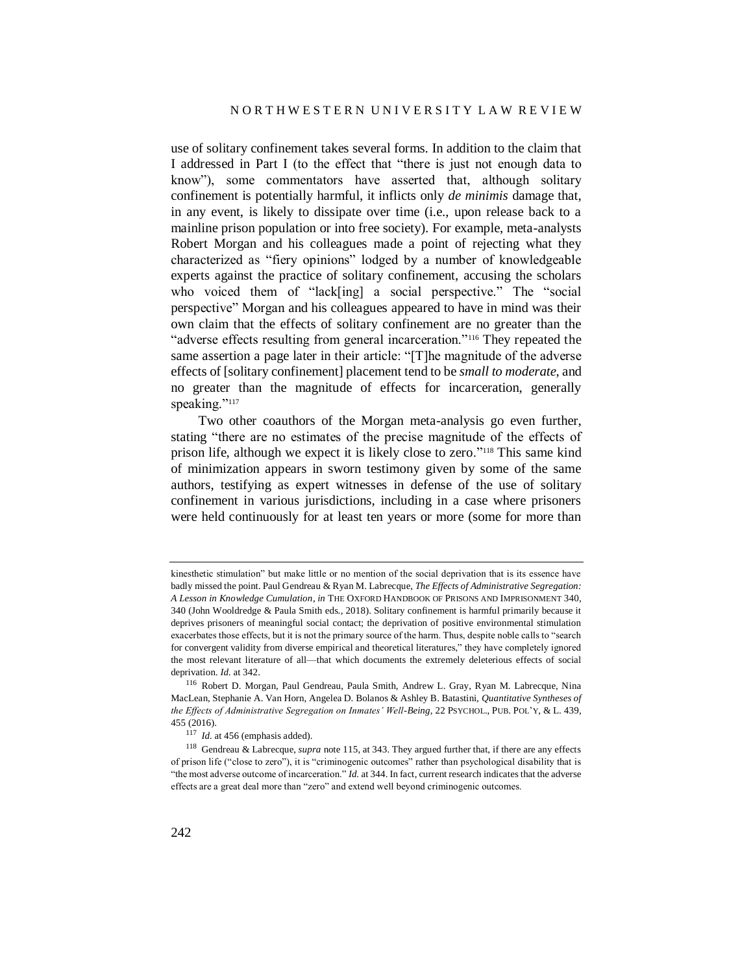use of solitary confinement takes several forms. In addition to the claim that I addressed in Part I (to the effect that "there is just not enough data to know"), some commentators have asserted that, although solitary confinement is potentially harmful, it inflicts only *de minimis* damage that, in any event, is likely to dissipate over time (i.e., upon release back to a mainline prison population or into free society). For example, meta-analysts Robert Morgan and his colleagues made a point of rejecting what they characterized as "fiery opinions" lodged by a number of knowledgeable experts against the practice of solitary confinement, accusing the scholars who voiced them of "lack[ing] a social perspective." The "social perspective" Morgan and his colleagues appeared to have in mind was their own claim that the effects of solitary confinement are no greater than the "adverse effects resulting from general incarceration."<sup>116</sup> They repeated the same assertion a page later in their article: "[T]he magnitude of the adverse effects of [solitary confinement] placement tend to be *small to moderate*, and no greater than the magnitude of effects for incarceration, generally speaking."<sup>117</sup>

Two other coauthors of the Morgan meta-analysis go even further, stating "there are no estimates of the precise magnitude of the effects of prison life, although we expect it is likely close to zero."<sup>118</sup> This same kind of minimization appears in sworn testimony given by some of the same authors, testifying as expert witnesses in defense of the use of solitary confinement in various jurisdictions, including in a case where prisoners were held continuously for at least ten years or more (some for more than

kinesthetic stimulation" but make little or no mention of the social deprivation that is its essence have badly missed the point. Paul Gendreau & Ryan M. Labrecque, *The Effects of Administrative Segregation: A Lesson in Knowledge Cumulation*, *in* THE OXFORD HANDBOOK OF PRISONS AND IMPRISONMENT 340, 340 (John Wooldredge & Paula Smith eds., 2018). Solitary confinement is harmful primarily because it deprives prisoners of meaningful social contact; the deprivation of positive environmental stimulation exacerbates those effects, but it is not the primary source of the harm. Thus, despite noble calls to "search for convergent validity from diverse empirical and theoretical literatures," they have completely ignored the most relevant literature of all—that which documents the extremely deleterious effects of social deprivation. *Id.* at 342.

<sup>116</sup> Robert D. Morgan, Paul Gendreau, Paula Smith, Andrew L. Gray, Ryan M. Labrecque, Nina MacLean, Stephanie A. Van Horn, Angelea D. Bolanos & Ashley B. Batastini, *Quantitative Syntheses of the Effects of Administrative Segregation on Inmates' Well-Being*, 22 PSYCHOL., PUB. POL'Y, & L. 439, 455 (2016).

<sup>&</sup>lt;sup>117</sup> *Id.* at 456 (emphasis added).

<sup>118</sup> Gendreau & Labrecque, *supra* note [115,](#page-30-0) at 343. They argued further that, if there are any effects of prison life ("close to zero"), it is "criminogenic outcomes" rather than psychological disability that is "the most adverse outcome of incarceration." *Id.* at 344. In fact, current research indicates that the adverse effects are a great deal more than "zero" and extend well beyond criminogenic outcomes.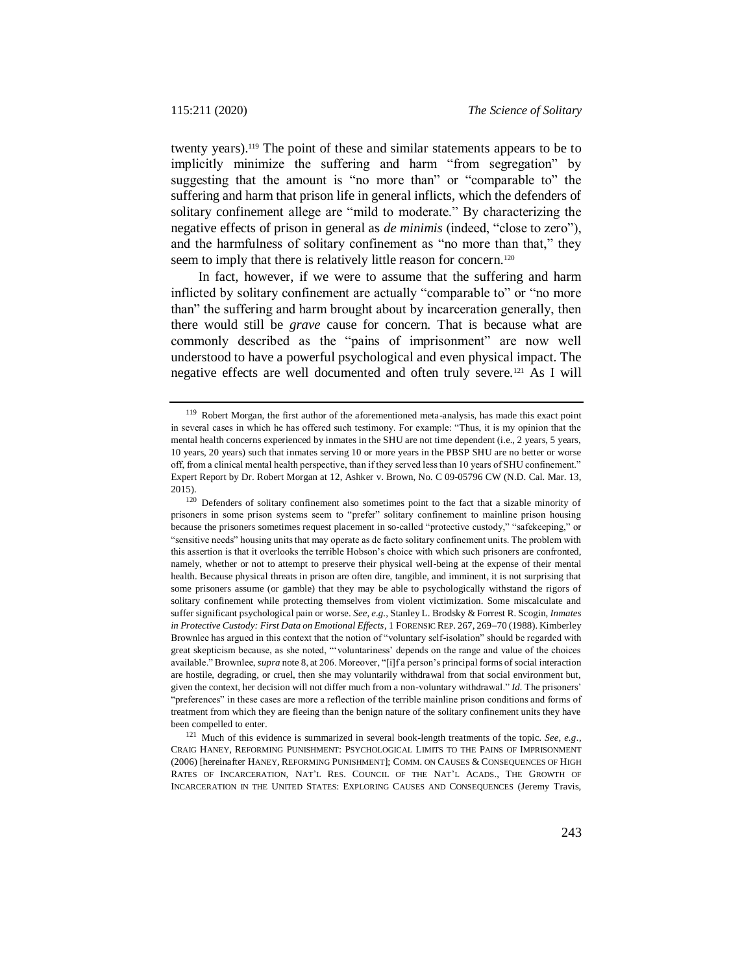twenty years).<sup>119</sup> The point of these and similar statements appears to be to implicitly minimize the suffering and harm "from segregation" by suggesting that the amount is "no more than" or "comparable to" the suffering and harm that prison life in general inflicts, which the defenders of solitary confinement allege are "mild to moderate." By characterizing the negative effects of prison in general as *de minimis* (indeed, "close to zero"), and the harmfulness of solitary confinement as "no more than that," they seem to imply that there is relatively little reason for concern.<sup>120</sup>

In fact, however, if we were to assume that the suffering and harm inflicted by solitary confinement are actually "comparable to" or "no more than" the suffering and harm brought about by incarceration generally, then there would still be *grave* cause for concern. That is because what are commonly described as the "pains of imprisonment" are now well understood to have a powerful psychological and even physical impact. The negative effects are well documented and often truly severe.<sup>121</sup> As I will

<span id="page-32-0"></span><sup>119</sup> Robert Morgan, the first author of the aforementioned meta-analysis, has made this exact point in several cases in which he has offered such testimony. For example: "Thus, it is my opinion that the mental health concerns experienced by inmates in the SHU are not time dependent (i.e., 2 years, 5 years, 10 years, 20 years) such that inmates serving 10 or more years in the PBSP SHU are no better or worse off, from a clinical mental health perspective, than if they served less than 10 years of SHU confinement." Expert Report by Dr. Robert Morgan at 12, Ashker v. Brown, No. C 09-05796 CW (N.D. Cal. Mar. 13, 2015).

<sup>&</sup>lt;sup>120</sup> Defenders of solitary confinement also sometimes point to the fact that a sizable minority of prisoners in some prison systems seem to "prefer" solitary confinement to mainline prison housing because the prisoners sometimes request placement in so-called "protective custody," "safekeeping," or "sensitive needs" housing units that may operate as de facto solitary confinement units. The problem with this assertion is that it overlooks the terrible Hobson's choice with which such prisoners are confronted, namely, whether or not to attempt to preserve their physical well-being at the expense of their mental health. Because physical threats in prison are often dire, tangible, and imminent, it is not surprising that some prisoners assume (or gamble) that they may be able to psychologically withstand the rigors of solitary confinement while protecting themselves from violent victimization. Some miscalculate and suffer significant psychological pain or worse. *See, e.g.*, Stanley L. Brodsky & Forrest R. Scogin, *Inmates in Protective Custody: First Data on Emotional Effects*, 1 FORENSIC REP. 267, 269-70 (1988). Kimberley Brownlee has argued in this context that the notion of "voluntary self-isolation" should be regarded with great skepticism because, as she noted, "'voluntariness' depends on the range and value of the choices available." Brownlee, *supra* not[e 8,](#page-3-0) at 206. Moreover, "[i]f a person's principal forms of social interaction are hostile, degrading, or cruel, then she may voluntarily withdrawal from that social environment but, given the context, her decision will not differ much from a non-voluntary withdrawal." *Id.* The prisoners' "preferences" in these cases are more a reflection of the terrible mainline prison conditions and forms of treatment from which they are fleeing than the benign nature of the solitary confinement units they have been compelled to enter.

<sup>121</sup> Much of this evidence is summarized in several book-length treatments of the topic*. See, e.g.*, CRAIG HANEY, REFORMING PUNISHMENT: PSYCHOLOGICAL LIMITS TO THE PAINS OF IMPRISONMENT (2006) [hereinafter HANEY, REFORMING PUNISHMENT]; COMM. ON CAUSES & CONSEQUENCES OF HIGH RATES OF INCARCERATION, NAT'L RES. COUNCIL OF THE NAT'L ACADS., THE GROWTH OF INCARCERATION IN THE UNITED STATES: EXPLORING CAUSES AND CONSEQUENCES (Jeremy Travis,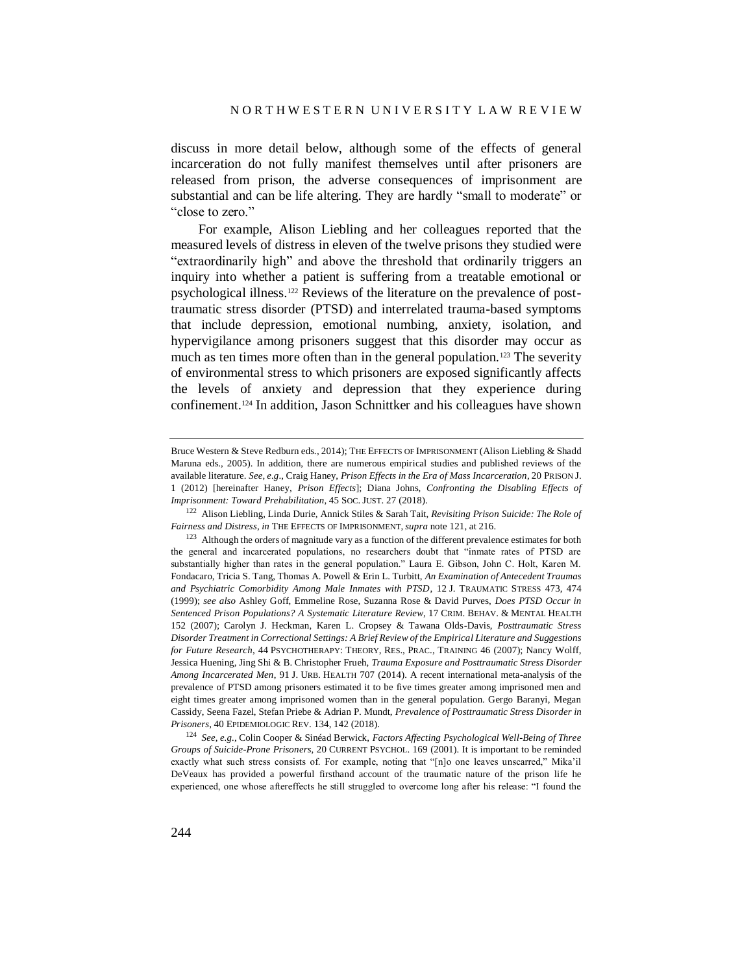discuss in more detail below, although some of the effects of general incarceration do not fully manifest themselves until after prisoners are released from prison, the adverse consequences of imprisonment are substantial and can be life altering. They are hardly "small to moderate" or "close to zero."

For example, Alison Liebling and her colleagues reported that the measured levels of distress in eleven of the twelve prisons they studied were "extraordinarily high" and above the threshold that ordinarily triggers an inquiry into whether a patient is suffering from a treatable emotional or psychological illness.<sup>122</sup> Reviews of the literature on the prevalence of posttraumatic stress disorder (PTSD) and interrelated trauma-based symptoms that include depression, emotional numbing, anxiety, isolation, and hypervigilance among prisoners suggest that this disorder may occur as much as ten times more often than in the general population.<sup>123</sup> The severity of environmental stress to which prisoners are exposed significantly affects the levels of anxiety and depression that they experience during confinement.<sup>124</sup> In addition, Jason Schnittker and his colleagues have shown

<sup>124</sup> *See, e.g.*, Colin Cooper & Sinéad Berwick, *Factors Affecting Psychological Well-Being of Three Groups of Suicide-Prone Prisoners*, 20 CURRENT PSYCHOL. 169 (2001). It is important to be reminded exactly what such stress consists of. For example, noting that "[n]o one leaves unscarred," Mika'il DeVeaux has provided a powerful firsthand account of the traumatic nature of the prison life he experienced, one whose aftereffects he still struggled to overcome long after his release: "I found the

Bruce Western & Steve Redburn eds., 2014); THE EFFECTS OF IMPRISONMENT (Alison Liebling & Shadd Maruna eds., 2005). In addition, there are numerous empirical studies and published reviews of the available literature. *See, e.g*., Craig Haney, *Prison Effects in the Era of Mass Incarceration*, 20 PRISON J. 1 (2012) [hereinafter Haney, *Prison Effects*]; Diana Johns, *Confronting the Disabling Effects of Imprisonment: Toward Prehabilitation*, 45 SOC. JUST. 27 (2018).

<sup>122</sup> Alison Liebling, Linda Durie, Annick Stiles & Sarah Tait, *Revisiting Prison Suicide: The Role of Fairness and Distress*, *in* THE EFFECTS OF IMPRISONMENT, *supra* not[e 121,](#page-32-0) at 216.

 $123$  Although the orders of magnitude vary as a function of the different prevalence estimates for both the general and incarcerated populations, no researchers doubt that "inmate rates of PTSD are substantially higher than rates in the general population." Laura E. Gibson, John C. Holt, Karen M. Fondacaro, Tricia S. Tang, Thomas A. Powell & Erin L. Turbitt, *An Examination of Antecedent Traumas and Psychiatric Comorbidity Among Male Inmates with PTSD*, 12 J. TRAUMATIC STRESS 473, 474 (1999); *see also* Ashley Goff, Emmeline Rose, Suzanna Rose & David Purves, *Does PTSD Occur in Sentenced Prison Populations? A Systematic Literature Review*, 17 CRIM. BEHAV. & MENTAL HEALTH 152 (2007); Carolyn J. Heckman, Karen L. Cropsey & Tawana Olds-Davis, *Posttraumatic Stress Disorder Treatment in Correctional Settings: A Brief Review of the Empirical Literature and Suggestions for Future Research*, 44 PSYCHOTHERAPY: THEORY, RES., PRAC., TRAINING 46 (2007); Nancy Wolff, Jessica Huening, Jing Shi & B. Christopher Frueh, *Trauma Exposure and Posttraumatic Stress Disorder Among Incarcerated Men*, 91 J. URB. HEALTH 707 (2014). A recent international meta-analysis of the prevalence of PTSD among prisoners estimated it to be five times greater among imprisoned men and eight times greater among imprisoned women than in the general population. Gergo Baranyi, Megan Cassidy, Seena Fazel, Stefan Priebe & Adrian P. Mundt, *Prevalence of Posttraumatic Stress Disorder in Prisoners*, 40 EPIDEMIOLOGIC REV. 134, 142 (2018).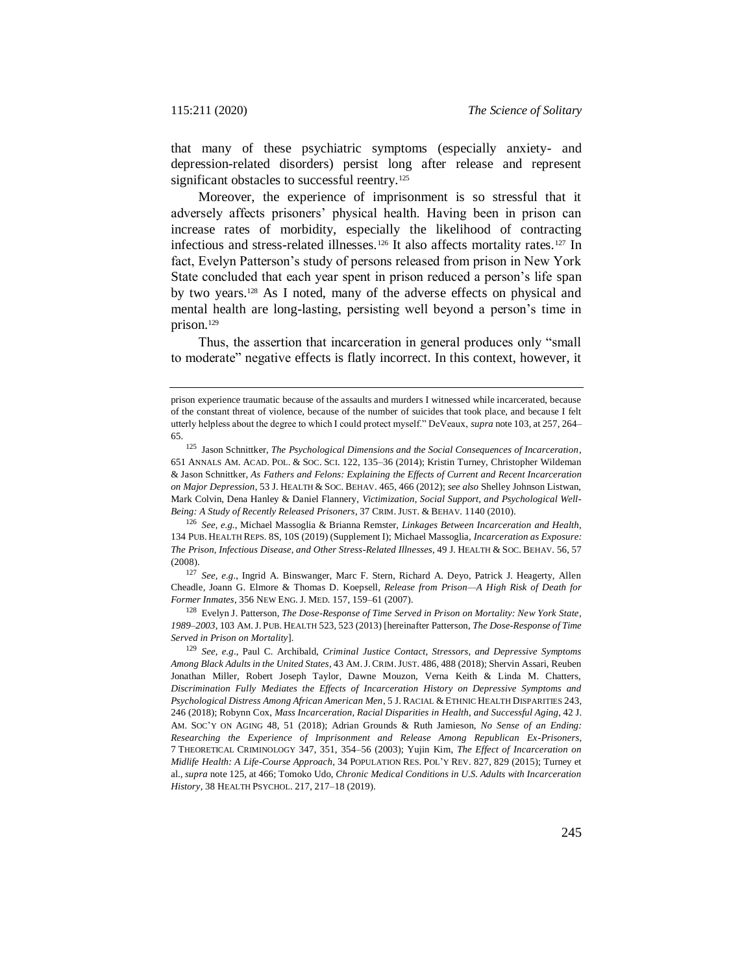that many of these psychiatric symptoms (especially anxiety- and depression-related disorders) persist long after release and represent significant obstacles to successful reentry.<sup>125</sup>

<span id="page-34-2"></span><span id="page-34-1"></span><span id="page-34-0"></span>Moreover, the experience of imprisonment is so stressful that it adversely affects prisoners' physical health. Having been in prison can increase rates of morbidity, especially the likelihood of contracting infectious and stress-related illnesses.<sup>126</sup> It also affects mortality rates.<sup>127</sup> In fact, Evelyn Patterson's study of persons released from prison in New York State concluded that each year spent in prison reduced a person's life span by two years.<sup>128</sup> As I noted, many of the adverse effects on physical and mental health are long-lasting, persisting well beyond a person's time in prison.<sup>129</sup>

<span id="page-34-3"></span>Thus, the assertion that incarceration in general produces only "small to moderate" negative effects is flatly incorrect. In this context, however, it

<sup>127</sup> *See, e.g*., Ingrid A. Binswanger, Marc F. Stern, Richard A. Deyo, Patrick J. Heagerty, Allen Cheadle, Joann G. Elmore & Thomas D. Koepsell, *Release from Prison—A High Risk of Death for Former Inmates*, 356 NEW ENG. J. MED. 157, 159–61 (2007).

<sup>128</sup> Evelyn J. Patterson, *The Dose-Response of Time Served in Prison on Mortality: New York State, 1989–2003*, 103 AM.J. PUB. HEALTH 523, 523 (2013) [hereinafter Patterson, *The Dose-Response of Time Served in Prison on Mortality*].

prison experience traumatic because of the assaults and murders I witnessed while incarcerated, because of the constant threat of violence, because of the number of suicides that took place, and because I felt utterly helpless about the degree to which I could protect myself." DeVeaux, *supra* not[e 103,](#page-26-1) at 257, 264– 65.

<sup>125</sup> Jason Schnittker, *The Psychological Dimensions and the Social Consequences of Incarceration*, 651 ANNALS AM. ACAD. POL. & SOC. SCI. 122, 135–36 (2014); Kristin Turney, Christopher Wildeman & Jason Schnittker, *As Fathers and Felons: Explaining the Effects of Current and Recent Incarceration on Major Depression*, 53 J. HEALTH & SOC. BEHAV. 465, 466 (2012); *see also* Shelley Johnson Listwan, Mark Colvin, Dena Hanley & Daniel Flannery, *Victimization, Social Support, and Psychological Well-Being: A Study of Recently Released Prisoners*, 37 CRIM. JUST. & BEHAV. 1140 (2010).

<sup>126</sup> *See, e.g.*, Michael Massoglia & Brianna Remster, *Linkages Between Incarceration and Health*, 134 PUB. HEALTH REPS. 8S, 10S (2019) (Supplement I); Michael Massoglia, *Incarceration as Exposure: The Prison, Infectious Disease, and Other Stress-Related Illnesses*, 49 J. HEALTH & SOC. BEHAV. 56, 57 (2008).

<sup>129</sup> *See, e.g*., Paul C. Archibald, *Criminal Justice Contact, Stressors, and Depressive Symptoms Among Black Adults in the United States*, 43 AM.J. CRIM.JUST. 486, 488 (2018); Shervin Assari, Reuben Jonathan Miller, Robert Joseph Taylor, Dawne Mouzon, Verna Keith & Linda M. Chatters, *Discrimination Fully Mediates the Effects of Incarceration History on Depressive Symptoms and Psychological Distress Among African American Men*, 5 J. RACIAL & ETHNIC HEALTH DISPARITIES 243, 246 (2018); Robynn Cox, *Mass Incarceration, Racial Disparities in Health, and Successful Aging*, 42 J. AM. SOC'Y ON AGING 48, 51 (2018); Adrian Grounds & Ruth Jamieson, *No Sense of an Ending: Researching the Experience of Imprisonment and Release Among Republican Ex-Prisoners*, 7 THEORETICAL CRIMINOLOGY 347, 351, 354–56 (2003); Yujin Kim, *The Effect of Incarceration on Midlife Health: A Life-Course Approach*, 34 POPULATION RES. POL'Y REV. 827, 829 (2015); Turney et al., *supra* not[e 125,](#page-34-0) at 466; Tomoko Udo, *Chronic Medical Conditions in U.S. Adults with Incarceration History*, 38 HEALTH PSYCHOL. 217, 217–18 (2019).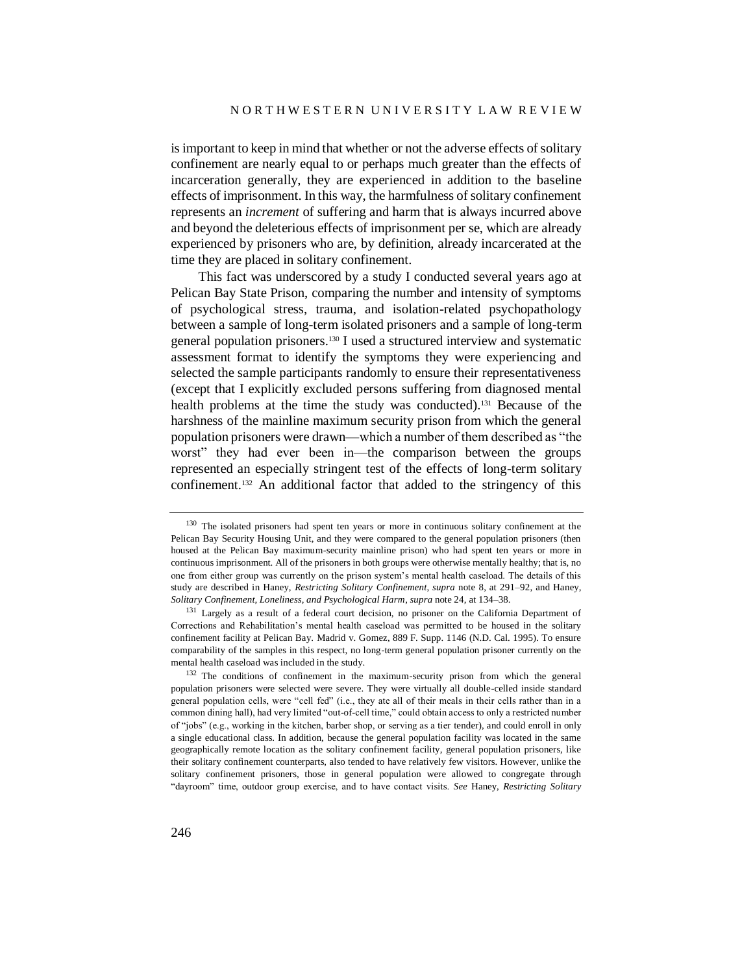is important to keep in mind that whether or not the adverse effects of solitary confinement are nearly equal to or perhaps much greater than the effects of incarceration generally, they are experienced in addition to the baseline effects of imprisonment. In this way, the harmfulness of solitary confinement represents an *increment* of suffering and harm that is always incurred above and beyond the deleterious effects of imprisonment per se, which are already experienced by prisoners who are, by definition, already incarcerated at the time they are placed in solitary confinement.

<span id="page-35-0"></span>This fact was underscored by a study I conducted several years ago at Pelican Bay State Prison, comparing the number and intensity of symptoms of psychological stress, trauma, and isolation-related psychopathology between a sample of long-term isolated prisoners and a sample of long-term general population prisoners.<sup>130</sup> I used a structured interview and systematic assessment format to identify the symptoms they were experiencing and selected the sample participants randomly to ensure their representativeness (except that I explicitly excluded persons suffering from diagnosed mental health problems at the time the study was conducted).<sup>131</sup> Because of the harshness of the mainline maximum security prison from which the general population prisoners were drawn—which a number of them described as "the worst" they had ever been in—the comparison between the groups represented an especially stringent test of the effects of long-term solitary confinement.<sup>132</sup> An additional factor that added to the stringency of this

<sup>&</sup>lt;sup>130</sup> The isolated prisoners had spent ten years or more in continuous solitary confinement at the Pelican Bay Security Housing Unit, and they were compared to the general population prisoners (then housed at the Pelican Bay maximum-security mainline prison) who had spent ten years or more in continuous imprisonment. All of the prisoners in both groups were otherwise mentally healthy; that is, no one from either group was currently on the prison system's mental health caseload. The details of this study are described in Haney, *Restricting Solitary Confinement*, *supra* note [8,](#page-3-0) at 291–92, and Haney, *Solitary Confinement, Loneliness, and Psychological Harm*, *supra* not[e 24,](#page-8-0) at 134–38.

<sup>&</sup>lt;sup>131</sup> Largely as a result of a federal court decision, no prisoner on the California Department of Corrections and Rehabilitation's mental health caseload was permitted to be housed in the solitary confinement facility at Pelican Bay. Madrid v. Gomez, 889 F. Supp. 1146 (N.D. Cal. 1995). To ensure comparability of the samples in this respect, no long-term general population prisoner currently on the mental health caseload was included in the study.

<sup>&</sup>lt;sup>132</sup> The conditions of confinement in the maximum-security prison from which the general population prisoners were selected were severe. They were virtually all double-celled inside standard general population cells, were "cell fed" (i.e., they ate all of their meals in their cells rather than in a common dining hall), had very limited "out-of-cell time," could obtain access to only a restricted number of "jobs" (e.g., working in the kitchen, barber shop, or serving as a tier tender), and could enroll in only a single educational class. In addition, because the general population facility was located in the same geographically remote location as the solitary confinement facility, general population prisoners, like their solitary confinement counterparts, also tended to have relatively few visitors. However, unlike the solitary confinement prisoners, those in general population were allowed to congregate through "dayroom" time, outdoor group exercise, and to have contact visits. *See* Haney, *Restricting Solitary*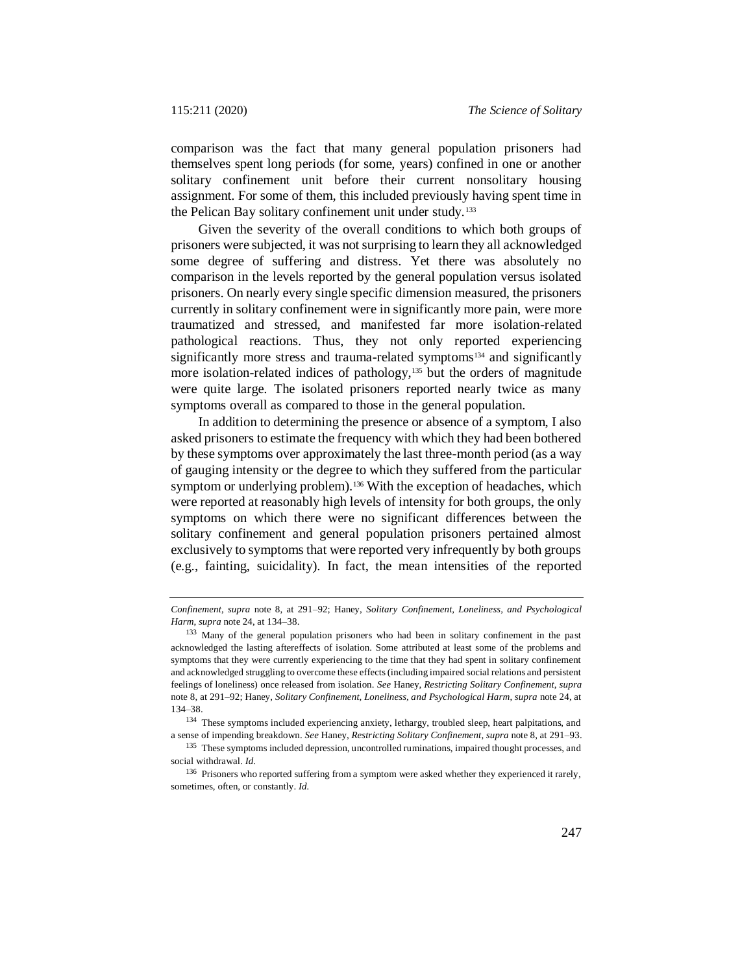comparison was the fact that many general population prisoners had themselves spent long periods (for some, years) confined in one or another solitary confinement unit before their current nonsolitary housing assignment. For some of them, this included previously having spent time in the Pelican Bay solitary confinement unit under study.<sup>133</sup>

Given the severity of the overall conditions to which both groups of prisoners were subjected, it was not surprising to learn they all acknowledged some degree of suffering and distress. Yet there was absolutely no comparison in the levels reported by the general population versus isolated prisoners. On nearly every single specific dimension measured, the prisoners currently in solitary confinement were in significantly more pain, were more traumatized and stressed, and manifested far more isolation-related pathological reactions. Thus, they not only reported experiencing significantly more stress and trauma-related symptoms<sup>134</sup> and significantly more isolation-related indices of pathology,<sup>135</sup> but the orders of magnitude were quite large. The isolated prisoners reported nearly twice as many symptoms overall as compared to those in the general population.

<span id="page-36-0"></span>In addition to determining the presence or absence of a symptom, I also asked prisoners to estimate the frequency with which they had been bothered by these symptoms over approximately the last three-month period (as a way of gauging intensity or the degree to which they suffered from the particular symptom or underlying problem).<sup>136</sup> With the exception of headaches, which were reported at reasonably high levels of intensity for both groups, the only symptoms on which there were no significant differences between the solitary confinement and general population prisoners pertained almost exclusively to symptoms that were reported very infrequently by both groups (e.g., fainting, suicidality). In fact, the mean intensities of the reported

*Confinement*, *supra* note [8,](#page-3-0) at 291–92; Haney, *Solitary Confinement, Loneliness, and Psychological Harm*, *supra* not[e 24,](#page-8-0) at 134–38.

<sup>&</sup>lt;sup>133</sup> Many of the general population prisoners who had been in solitary confinement in the past acknowledged the lasting aftereffects of isolation. Some attributed at least some of the problems and symptoms that they were currently experiencing to the time that they had spent in solitary confinement and acknowledged struggling to overcome these effects (including impaired social relations and persistent feelings of loneliness) once released from isolation. *See* Haney, *Restricting Solitary Confinement*, *supra* note [8,](#page-3-0) at 291–92; Haney, *Solitary Confinement, Loneliness, and Psychological Harm*, *supra* note [24,](#page-8-0) at 134–38.

<sup>&</sup>lt;sup>134</sup> These symptoms included experiencing anxiety, lethargy, troubled sleep, heart palpitations, and a sense of impending breakdown. *See* Haney, *Restricting Solitary Confinement*, *supra* not[e 8,](#page-3-0) at 291–93.

<sup>&</sup>lt;sup>135</sup> These symptoms included depression, uncontrolled ruminations, impaired thought processes, and social withdrawal. *Id.*

<sup>&</sup>lt;sup>136</sup> Prisoners who reported suffering from a symptom were asked whether they experienced it rarely, sometimes, often, or constantly. *Id.*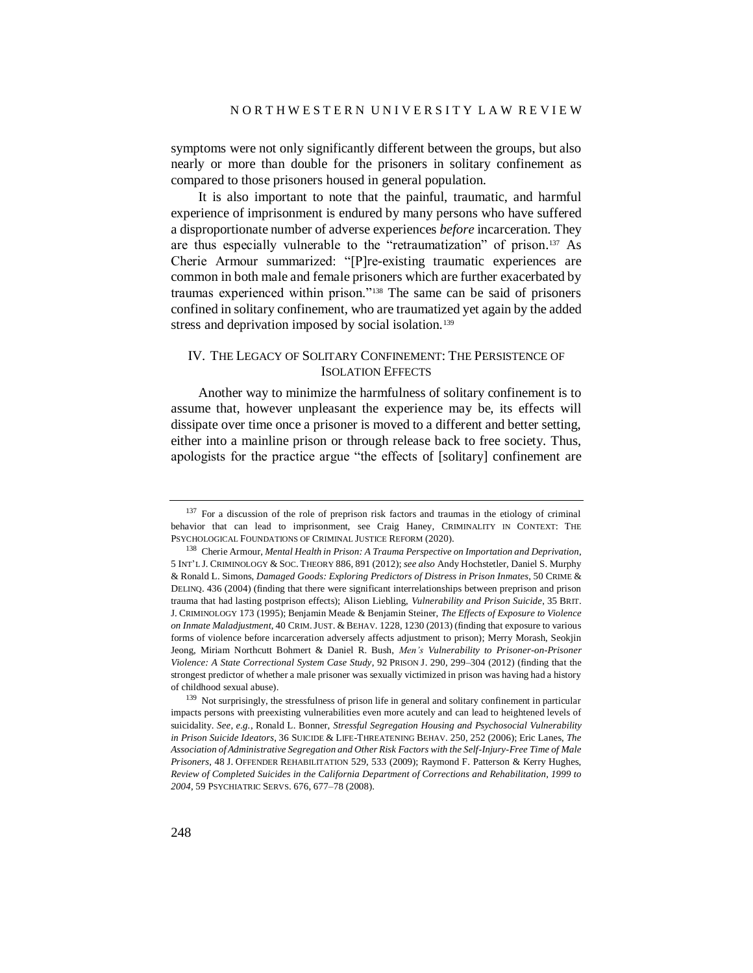symptoms were not only significantly different between the groups, but also nearly or more than double for the prisoners in solitary confinement as compared to those prisoners housed in general population.

It is also important to note that the painful, traumatic, and harmful experience of imprisonment is endured by many persons who have suffered a disproportionate number of adverse experiences *before* incarceration. They are thus especially vulnerable to the "retraumatization" of prison. <sup>137</sup> As Cherie Armour summarized: "[P]re-existing traumatic experiences are common in both male and female prisoners which are further exacerbated by traumas experienced within prison."<sup>138</sup> The same can be said of prisoners confined in solitary confinement, who are traumatized yet again by the added stress and deprivation imposed by social isolation.<sup>139</sup>

# IV. THE LEGACY OF SOLITARY CONFINEMENT: THE PERSISTENCE OF ISOLATION EFFECTS

Another way to minimize the harmfulness of solitary confinement is to assume that, however unpleasant the experience may be, its effects will dissipate over time once a prisoner is moved to a different and better setting, either into a mainline prison or through release back to free society. Thus, apologists for the practice argue "the effects of [solitary] confinement are

<sup>&</sup>lt;sup>137</sup> For a discussion of the role of preprison risk factors and traumas in the etiology of criminal behavior that can lead to imprisonment, see Craig Haney, CRIMINALITY IN CONTEXT: THE PSYCHOLOGICAL FOUNDATIONS OF CRIMINAL JUSTICE REFORM (2020).

<sup>138</sup> Cherie Armour, *Mental Health in Prison: A Trauma Perspective on Importation and Deprivation*, 5 INT'L J. CRIMINOLOGY & SOC. THEORY 886, 891 (2012); *see also* Andy Hochstetler, Daniel S. Murphy & Ronald L. Simons, *Damaged Goods: Exploring Predictors of Distress in Prison Inmates*, 50 CRIME & DELINQ. 436 (2004) (finding that there were significant interrelationships between preprison and prison trauma that had lasting postprison effects); Alison Liebling, *Vulnerability and Prison Suicide*, 35 BRIT. J. CRIMINOLOGY 173 (1995); Benjamin Meade & Benjamin Steiner, *The Effects of Exposure to Violence on Inmate Maladjustment*, 40 CRIM.JUST. & BEHAV. 1228, 1230 (2013) (finding that exposure to various forms of violence before incarceration adversely affects adjustment to prison); Merry Morash, Seokjin Jeong, Miriam Northcutt Bohmert & Daniel R. Bush, *Men's Vulnerability to Prisoner-on-Prisoner Violence: A State Correctional System Case Study*, 92 PRISON J. 290, 299–304 (2012) (finding that the strongest predictor of whether a male prisoner was sexually victimized in prison was having had a history of childhood sexual abuse).

<sup>&</sup>lt;sup>139</sup> Not surprisingly, the stressfulness of prison life in general and solitary confinement in particular impacts persons with preexisting vulnerabilities even more acutely and can lead to heightened levels of suicidality. *See, e.g.*, Ronald L. Bonner, *Stressful Segregation Housing and Psychosocial Vulnerability in Prison Suicide Ideators*, 36 SUICIDE & LIFE-THREATENING BEHAV. 250, 252 (2006); Eric Lanes, *The Association of Administrative Segregation and Other Risk Factors with the Self-Injury-Free Time of Male Prisoners*, 48 J. OFFENDER REHABILITATION 529, 533 (2009); Raymond F. Patterson & Kerry Hughes, *Review of Completed Suicides in the California Department of Corrections and Rehabilitation, 1999 to 2004*, 59 PSYCHIATRIC SERVS. 676, 677–78 (2008).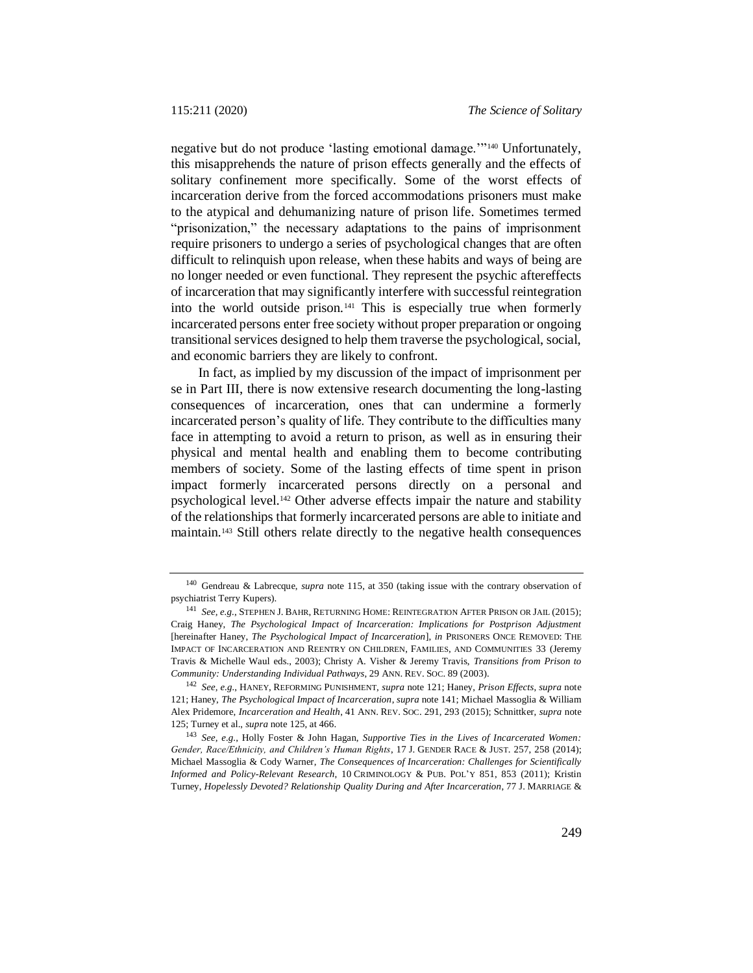negative but do not produce 'lasting emotional damage.'"<sup>140</sup> Unfortunately, this misapprehends the nature of prison effects generally and the effects of solitary confinement more specifically. Some of the worst effects of incarceration derive from the forced accommodations prisoners must make to the atypical and dehumanizing nature of prison life. Sometimes termed "prisonization," the necessary adaptations to the pains of imprisonment require prisoners to undergo a series of psychological changes that are often difficult to relinquish upon release, when these habits and ways of being are no longer needed or even functional. They represent the psychic aftereffects of incarceration that may significantly interfere with successful reintegration into the world outside prison.<sup>141</sup> This is especially true when formerly incarcerated persons enter free society without proper preparation or ongoing transitional services designed to help them traverse the psychological, social, and economic barriers they are likely to confront.

<span id="page-38-1"></span>In fact, as implied by my discussion of the impact of imprisonment per se in Part III, there is now extensive research documenting the long-lasting consequences of incarceration, ones that can undermine a formerly incarcerated person's quality of life. They contribute to the difficulties many face in attempting to avoid a return to prison, as well as in ensuring their physical and mental health and enabling them to become contributing members of society. Some of the lasting effects of time spent in prison impact formerly incarcerated persons directly on a personal and psychological level. <sup>142</sup> Other adverse effects impair the nature and stability of the relationships that formerly incarcerated persons are able to initiate and maintain. <sup>143</sup> Still others relate directly to the negative health consequences

<span id="page-38-0"></span><sup>140</sup> Gendreau & Labrecque, *supra* note [115,](#page-30-0) at 350 (taking issue with the contrary observation of psychiatrist Terry Kupers).

<sup>141</sup> *See, e.g.*, STEPHEN J. BAHR, RETURNING HOME: REINTEGRATION AFTER PRISON OR JAIL (2015); Craig Haney, *The Psychological Impact of Incarceration: Implications for Postprison Adjustment*  [hereinafter Haney, *The Psychological Impact of Incarceration*], *in* PRISONERS ONCE REMOVED: THE IMPACT OF INCARCERATION AND REENTRY ON CHILDREN, FAMILIES, AND COMMUNITIES 33 (Jeremy Travis & Michelle Waul eds., 2003); Christy A. Visher & Jeremy Travis, *Transitions from Prison to Community: Understanding Individual Pathways*, 29 ANN. REV. SOC. 89 (2003).

<sup>142</sup> *See, e.g.*, HANEY, REFORMING PUNISHMENT, *supra* note [121;](#page-32-0) Haney, *Prison Effects*, *supra* note [121;](#page-32-0) Haney, *The Psychological Impact of Incarceration*, *supra* note [141;](#page-38-1) Michael Massoglia & William Alex Pridemore, *Incarceration and Health*, 41 ANN. REV. SOC. 291, 293 (2015); Schnittker, *supra* note [125;](#page-34-0) Turney et al., *supra* note [125,](#page-34-0) at 466.

<sup>143</sup> *See, e.g.*, Holly Foster & John Hagan, *Supportive Ties in the Lives of Incarcerated Women: Gender, Race/Ethnicity, and Children's Human Rights*, 17 J. GENDER RACE & JUST. 257, 258 (2014); Michael Massoglia & Cody Warner, *The Consequences of Incarceration: Challenges for Scientifically Informed and Policy-Relevant Research*, 10 CRIMINOLOGY & PUB. POL'Y 851, 853 (2011); Kristin Turney, *Hopelessly Devoted? Relationship Quality During and After Incarceration*, 77 J. MARRIAGE &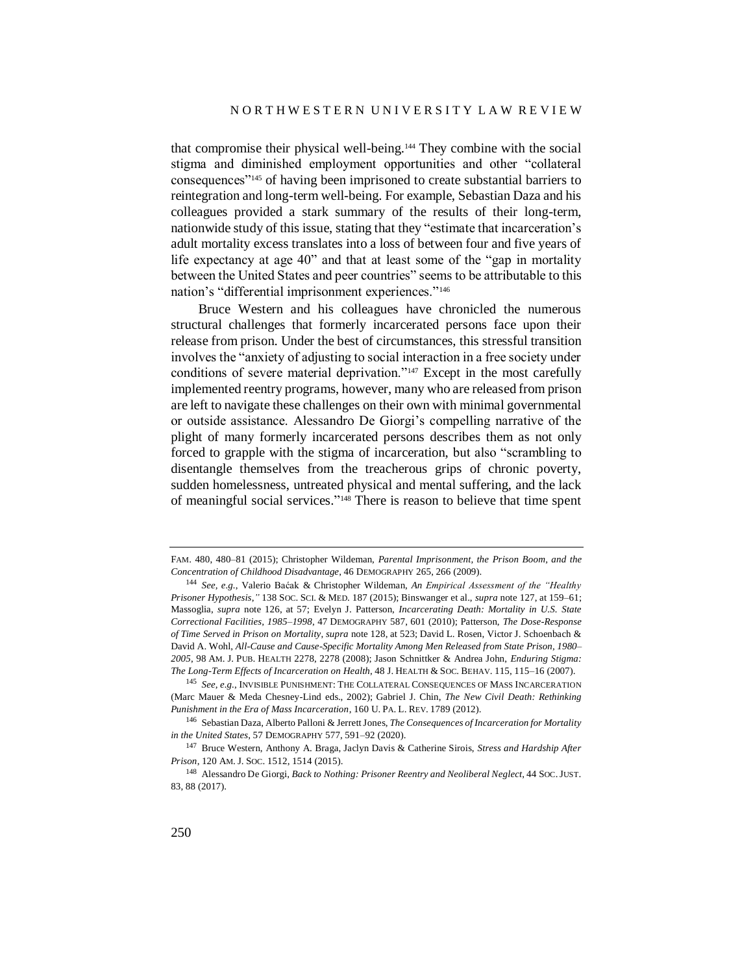that compromise their physical well-being.<sup>144</sup> They combine with the social stigma and diminished employment opportunities and other "collateral consequences"<sup>145</sup> of having been imprisoned to create substantial barriers to reintegration and long-term well-being. For example, Sebastian Daza and his colleagues provided a stark summary of the results of their long-term, nationwide study of this issue, stating that they "estimate that incarceration's adult mortality excess translates into a loss of between four and five years of life expectancy at age 40" and that at least some of the "gap in mortality between the United States and peer countries" seems to be attributable to this nation's "differential imprisonment experiences."<sup>146</sup>

<span id="page-39-0"></span>Bruce Western and his colleagues have chronicled the numerous structural challenges that formerly incarcerated persons face upon their release from prison. Under the best of circumstances, this stressful transition involves the "anxiety of adjusting to social interaction in a free society under conditions of severe material deprivation."<sup>147</sup> Except in the most carefully implemented reentry programs, however, many who are released from prison are left to navigate these challenges on their own with minimal governmental or outside assistance. Alessandro De Giorgi's compelling narrative of the plight of many formerly incarcerated persons describes them as not only forced to grapple with the stigma of incarceration, but also "scrambling to disentangle themselves from the treacherous grips of chronic poverty, sudden homelessness, untreated physical and mental suffering, and the lack of meaningful social services." <sup>148</sup> There is reason to believe that time spent

FAM. 480, 480–81 (2015); Christopher Wildeman, *Parental Imprisonment, the Prison Boom, and the Concentration of Childhood Disadvantage*, 46 DEMOGRAPHY 265, 266 (2009).

<sup>144</sup> *See, e.g.*, Valerio Baćak & Christopher Wildeman, *An Empirical Assessment of the "Healthy Prisoner Hypothesis*,*"* 138 SOC. SCI. & MED. 187 (2015); Binswanger et al., *supra* note [127,](#page-34-1) at 159–61; Massoglia, *supra* note [126,](#page-34-2) at 57; Evelyn J. Patterson, *Incarcerating Death: Mortality in U.S. State Correctional Facilities, 1985–1998*, 47 DEMOGRAPHY 587, 601 (2010); Patterson, *The Dose-Response of Time Served in Prison on Mortality*, *supra* not[e 128,](#page-34-3) at 523; David L. Rosen, Victor J. Schoenbach & David A. Wohl, *All-Cause and Cause-Specific Mortality Among Men Released from State Prison, 1980– 2005*, 98 AM. J. PUB. HEALTH 2278, 2278 (2008); Jason Schnittker & Andrea John, *Enduring Stigma: The Long-Term Effects of Incarceration on Health*, 48 J. HEALTH & SOC. BEHAV. 115, 115–16 (2007).

<sup>145</sup> *See, e.g.*, INVISIBLE PUNISHMENT: THE COLLATERAL CONSEQUENCES OF MASS INCARCERATION (Marc Mauer & Meda Chesney-Lind eds., 2002); Gabriel J. Chin, *The New Civil Death: Rethinking Punishment in the Era of Mass Incarceration*, 160 U. PA. L. REV. 1789 (2012).

<sup>146</sup> Sebastian Daza, Alberto Palloni & Jerrett Jones, *The Consequences of Incarceration for Mortality in the United States*, 57 DEMOGRAPHY 577, 591–92 (2020).

<sup>147</sup> Bruce Western, Anthony A. Braga, Jaclyn Davis & Catherine Sirois, *Stress and Hardship After Prison*, 120 AM. J. SOC. 1512, 1514 (2015).

<sup>148</sup> Alessandro De Giorgi, *Back to Nothing: Prisoner Reentry and Neoliberal Neglect*, 44 SOC.JUST. 83, 88 (2017).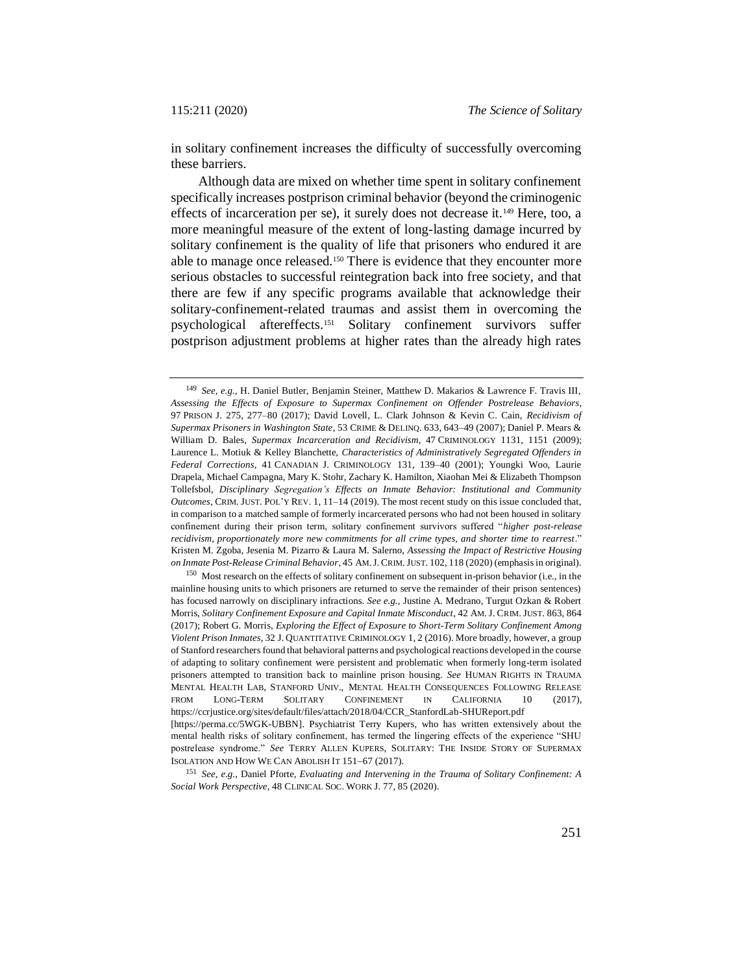in solitary confinement increases the difficulty of successfully overcoming these barriers.

Although data are mixed on whether time spent in solitary confinement specifically increases postprison criminal behavior (beyond the criminogenic effects of incarceration per se), it surely does not decrease it.<sup>149</sup> Here, too, a more meaningful measure of the extent of long-lasting damage incurred by solitary confinement is the quality of life that prisoners who endured it are able to manage once released.<sup>150</sup> There is evidence that they encounter more serious obstacles to successful reintegration back into free society, and that there are few if any specific programs available that acknowledge their solitary-confinement-related traumas and assist them in overcoming the psychological aftereffects.<sup>151</sup> Solitary confinement survivors suffer postprison adjustment problems at higher rates than the already high rates

<sup>149</sup> *See, e.g.*, H. Daniel Butler, Benjamin Steiner, Matthew D. Makarios & Lawrence F. Travis III, *Assessing the Effects of Exposure to Supermax Confinement on Offender Postrelease Behaviors*, 97 PRISON J. 275, 277–80 (2017); David Lovell, L. Clark Johnson & Kevin C. Cain, *Recidivism of Supermax Prisoners in Washington State*, 53 CRIME & DELINQ. 633, 643–49 (2007); Daniel P. Mears & William D. Bales, *Supermax Incarceration and Recidivism*, 47 CRIMINOLOGY 1131, 1151 (2009); Laurence L. Motiuk & Kelley Blanchette, *Characteristics of Administratively Segregated Offenders in Federal Corrections*, 41 CANADIAN J. CRIMINOLOGY 131, 139–40 (2001); Youngki Woo, Laurie Drapela, Michael Campagna, Mary K. Stohr, Zachary K. Hamilton, Xiaohan Mei & Elizabeth Thompson Tollefsbol, *Disciplinary Segregation's Effects on Inmate Behavior: Institutional and Community Outcomes*, CRIM. JUST. POL'Y REV. 1, 11–14 (2019). The most recent study on this issue concluded that, in comparison to a matched sample of formerly incarcerated persons who had not been housed in solitary confinement during their prison term, solitary confinement survivors suffered "*higher post-release recidivism, proportionately more new commitments for all crime types, and shorter time to rearrest*." Kristen M. Zgoba, Jesenia M. Pizarro & Laura M. Salerno, *Assessing the Impact of Restrictive Housing on Inmate Post-Release Criminal Behavior*, 45 AM.J. CRIM.JUST. 102, 118 (2020) (emphasis in original).

<sup>&</sup>lt;sup>150</sup> Most research on the effects of solitary confinement on subsequent in-prison behavior (i.e., in the mainline housing units to which prisoners are returned to serve the remainder of their prison sentences) has focused narrowly on disciplinary infractions. *See e.g.*, Justine A. Medrano, Turgut Ozkan & Robert Morris, *Solitary Confinement Exposure and Capital Inmate Misconduct*, 42 AM. J. CRIM. JUST. 863, 864 (2017); Robert G. Morris, *Exploring the Effect of Exposure to Short-Term Solitary Confinement Among Violent Prison Inmates*, 32 J. QUANTITATIVE CRIMINOLOGY 1, 2 (2016). More broadly, however, a group of Stanford researchers found that behavioral patterns and psychological reactions developed in the course of adapting to solitary confinement were persistent and problematic when formerly long-term isolated prisoners attempted to transition back to mainline prison housing. *See* HUMAN RIGHTS IN TRAUMA MENTAL HEALTH LAB, STANFORD UNIV., MENTAL HEALTH CONSEQUENCES FOLLOWING RELEASE FROM LONG-TERM SOLITARY CONFINEMENT IN CALIFORNIA 10 (2017), https://ccrjustice.org/sites/default/files/attach/2018/04/CCR\_StanfordLab-SHUReport.pdf [https://perma.cc/5WGK-UBBN]. Psychiatrist Terry Kupers, who has written extensively about the mental health risks of solitary confinement, has termed the lingering effects of the experience "SHU postrelease syndrome." *See* TERRY ALLEN KUPERS, SOLITARY: THE INSIDE STORY OF SUPERMAX ISOLATION AND HOW WE CAN ABOLISH IT 151-67 (2017).

<sup>151</sup> *See, e.g.*, Daniel Pforte, *Evaluating and Intervening in the Trauma of Solitary Confinement: A Social Work Perspective*, 48 CLINICAL SOC. WORK J. 77, 85 (2020).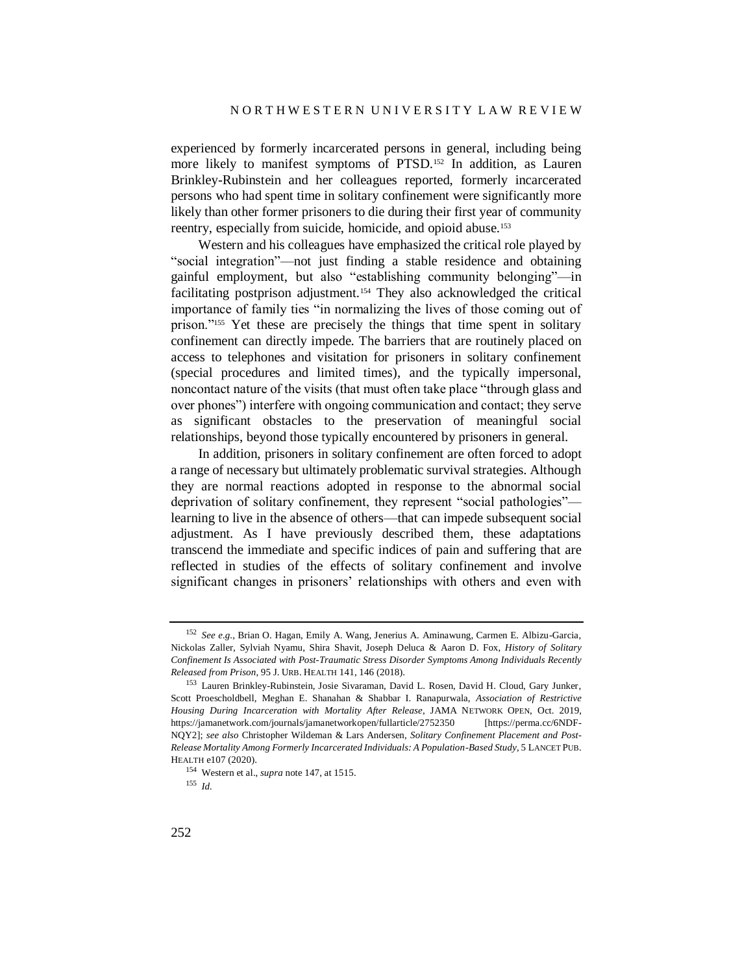experienced by formerly incarcerated persons in general, including being more likely to manifest symptoms of PTSD.<sup>152</sup> In addition, as Lauren Brinkley-Rubinstein and her colleagues reported, formerly incarcerated persons who had spent time in solitary confinement were significantly more likely than other former prisoners to die during their first year of community reentry, especially from suicide, homicide, and opioid abuse.<sup>153</sup>

<span id="page-41-0"></span>Western and his colleagues have emphasized the critical role played by "social integration"—not just finding a stable residence and obtaining gainful employment, but also "establishing community belonging"—in facilitating postprison adjustment.<sup>154</sup> They also acknowledged the critical importance of family ties "in normalizing the lives of those coming out of prison."<sup>155</sup> Yet these are precisely the things that time spent in solitary confinement can directly impede. The barriers that are routinely placed on access to telephones and visitation for prisoners in solitary confinement (special procedures and limited times), and the typically impersonal, noncontact nature of the visits (that must often take place "through glass and over phones") interfere with ongoing communication and contact; they serve as significant obstacles to the preservation of meaningful social relationships, beyond those typically encountered by prisoners in general.

In addition, prisoners in solitary confinement are often forced to adopt a range of necessary but ultimately problematic survival strategies. Although they are normal reactions adopted in response to the abnormal social deprivation of solitary confinement, they represent "social pathologies" learning to live in the absence of others—that can impede subsequent social adjustment. As I have previously described them, these adaptations transcend the immediate and specific indices of pain and suffering that are reflected in studies of the effects of solitary confinement and involve significant changes in prisoners' relationships with others and even with

<sup>152</sup> *See e.g.*, Brian O. Hagan, Emily A. Wang, Jenerius A. Aminawung, Carmen E. Albizu-Garcia, Nickolas Zaller, Sylviah Nyamu, Shira Shavit, Joseph Deluca & Aaron D. Fox, *History of Solitary Confinement Is Associated with Post-Traumatic Stress Disorder Symptoms Among Individuals Recently Released from Prison*, 95 J. URB. HEALTH 141, 146 (2018).

<sup>153</sup> Lauren Brinkley-Rubinstein, Josie Sivaraman, David L. Rosen, David H. Cloud, Gary Junker, Scott Proescholdbell, Meghan E. Shanahan & Shabbar I. Ranapurwala, *Association of Restrictive Housing During Incarceration with Mortality After Release*, JAMA NETWORK OPEN, Oct. 2019, <https://jamanetwork.com/journals/jamanetworkopen/fullarticle/2752350> [https://perma.cc/6NDF-NQY2]; *see also* Christopher Wildeman & Lars Andersen, *Solitary Confinement Placement and Post-Release Mortality Among Formerly Incarcerated Individuals: A Population-Based Study*, 5 LANCET PUB. HEALTH e107 (2020).

<sup>154</sup> Western et al., *supra* not[e 147,](#page-39-0) at 1515.

<sup>155</sup> *Id.*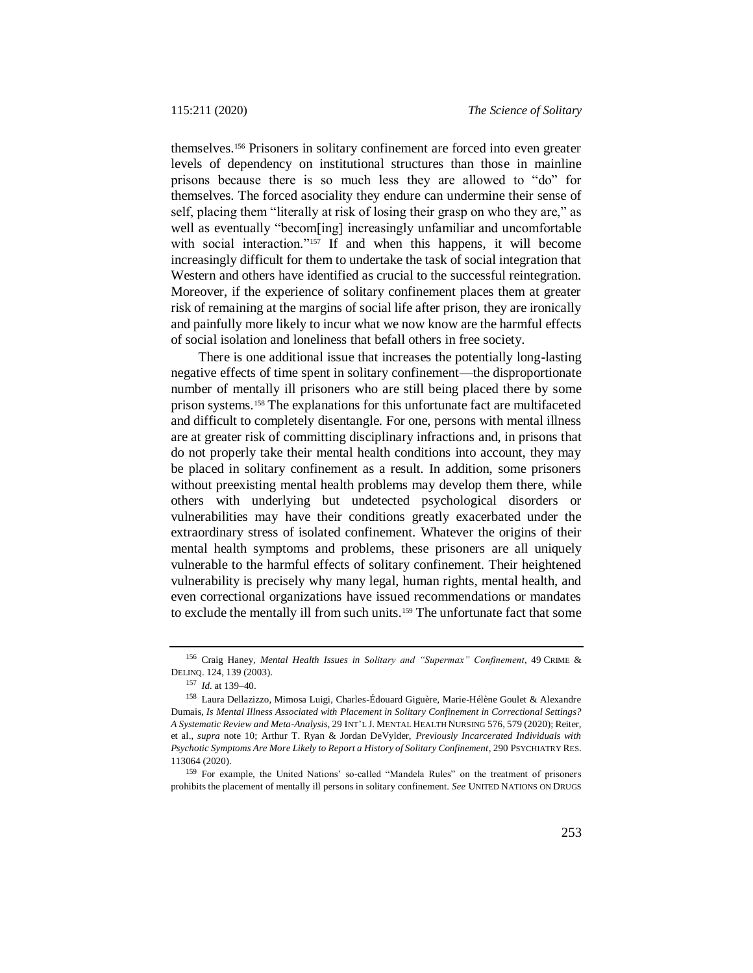themselves.<sup>156</sup> Prisoners in solitary confinement are forced into even greater levels of dependency on institutional structures than those in mainline prisons because there is so much less they are allowed to "do" for themselves. The forced asociality they endure can undermine their sense of self, placing them "literally at risk of losing their grasp on who they are," as well as eventually "becom[ing] increasingly unfamiliar and uncomfortable with social interaction."<sup>157</sup> If and when this happens, it will become increasingly difficult for them to undertake the task of social integration that Western and others have identified as crucial to the successful reintegration. Moreover, if the experience of solitary confinement places them at greater risk of remaining at the margins of social life after prison, they are ironically and painfully more likely to incur what we now know are the harmful effects of social isolation and loneliness that befall others in free society.

There is one additional issue that increases the potentially long-lasting negative effects of time spent in solitary confinement—the disproportionate number of mentally ill prisoners who are still being placed there by some prison systems.<sup>158</sup> The explanations for this unfortunate fact are multifaceted and difficult to completely disentangle. For one, persons with mental illness are at greater risk of committing disciplinary infractions and, in prisons that do not properly take their mental health conditions into account, they may be placed in solitary confinement as a result. In addition, some prisoners without preexisting mental health problems may develop them there, while others with underlying but undetected psychological disorders or vulnerabilities may have their conditions greatly exacerbated under the extraordinary stress of isolated confinement. Whatever the origins of their mental health symptoms and problems, these prisoners are all uniquely vulnerable to the harmful effects of solitary confinement. Their heightened vulnerability is precisely why many legal, human rights, mental health, and even correctional organizations have issued recommendations or mandates to exclude the mentally ill from such units.<sup>159</sup> The unfortunate fact that some

<sup>156</sup> Craig Haney, *Mental Health Issues in Solitary and "Supermax" Confinement*, 49 CRIME & DELINQ. 124, 139 (2003).

<sup>157</sup> *Id.* at 139–40.

<sup>158</sup> Laura Dellazizzo, Mimosa Luigi, Charles-Édouard Giguère, Marie-Hélène Goulet & Alexandre Dumais, *Is Mental Illness Associated with Placement in Solitary Confinement in Correctional Settings? A Systematic Review and Meta-Analysis*, 29 INT'L J. MENTAL HEALTH NURSING 576, 579 (2020); Reiter, et al., *supra* note [10;](#page-4-0) Arthur T. Ryan & Jordan DeVylder, *Previously Incarcerated Individuals with Psychotic Symptoms Are More Likely to Report a History of Solitary Confinement*, 290 PSYCHIATRY RES. 113064 (2020).

<sup>159</sup> For example, the United Nations' so-called "Mandela Rules" on the treatment of prisoners prohibits the placement of mentally ill persons in solitary confinement. *See* UNITED NATIONS ON DRUGS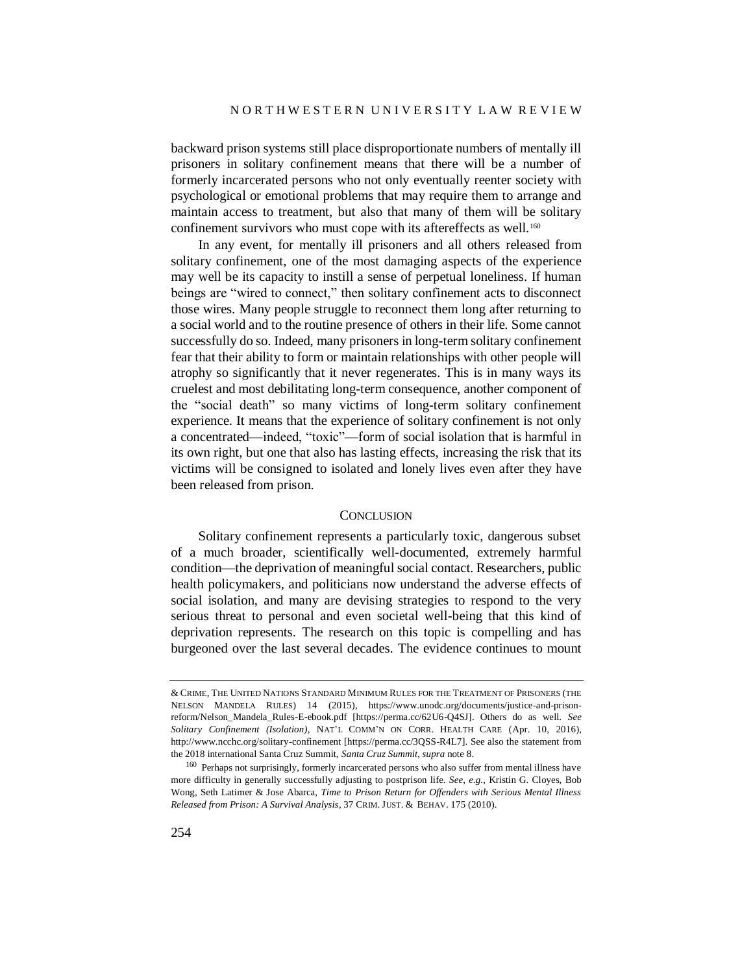backward prison systems still place disproportionate numbers of mentally ill prisoners in solitary confinement means that there will be a number of formerly incarcerated persons who not only eventually reenter society with psychological or emotional problems that may require them to arrange and maintain access to treatment, but also that many of them will be solitary confinement survivors who must cope with its aftereffects as well.<sup>160</sup>

In any event, for mentally ill prisoners and all others released from solitary confinement, one of the most damaging aspects of the experience may well be its capacity to instill a sense of perpetual loneliness. If human beings are "wired to connect," then solitary confinement acts to disconnect those wires. Many people struggle to reconnect them long after returning to a social world and to the routine presence of others in their life. Some cannot successfully do so. Indeed, many prisoners in long-term solitary confinement fear that their ability to form or maintain relationships with other people will atrophy so significantly that it never regenerates. This is in many ways its cruelest and most debilitating long-term consequence, another component of the "social death" so many victims of long-term solitary confinement experience. It means that the experience of solitary confinement is not only a concentrated—indeed, "toxic"—form of social isolation that is harmful in its own right, but one that also has lasting effects, increasing the risk that its victims will be consigned to isolated and lonely lives even after they have been released from prison.

#### **CONCLUSION**

Solitary confinement represents a particularly toxic, dangerous subset of a much broader, scientifically well-documented, extremely harmful condition—the deprivation of meaningful social contact. Researchers, public health policymakers, and politicians now understand the adverse effects of social isolation, and many are devising strategies to respond to the very serious threat to personal and even societal well-being that this kind of deprivation represents. The research on this topic is compelling and has burgeoned over the last several decades. The evidence continues to mount

<sup>&</sup>amp; CRIME, THE UNITED NATIONS STANDARD MINIMUM RULES FOR THE TREATMENT OF PRISONERS (THE NELSON MANDELA RULES) 14 (2015), https://www.unodc.org/documents/justice-and-prisonreform/Nelson\_Mandela\_Rules-E-ebook.pdf [https://perma.cc/62U6-Q4SJ]. Others do as well. *See Solitary Confinement (Isolation)*, NAT'L COMM'N ON CORR. HEALTH CARE (Apr. 10, 2016), http://www.ncchc.org/solitary-confinement [https://perma.cc/3QSS-R4L7]. See also the statement from the 2018 international Santa Cruz Summit, *Santa Cruz Summit*, *supra* not[e 8.](#page-3-0)

<sup>160</sup> Perhaps not surprisingly, formerly incarcerated persons who also suffer from mental illness have more difficulty in generally successfully adjusting to postprison life. *See, e.g.*, Kristin G. Cloyes, Bob Wong, Seth Latimer & Jose Abarca, *Time to Prison Return for Offenders with Serious Mental Illness Released from Prison: A Survival Analysis*, 37 CRIM. JUST. & BEHAV. 175 (2010).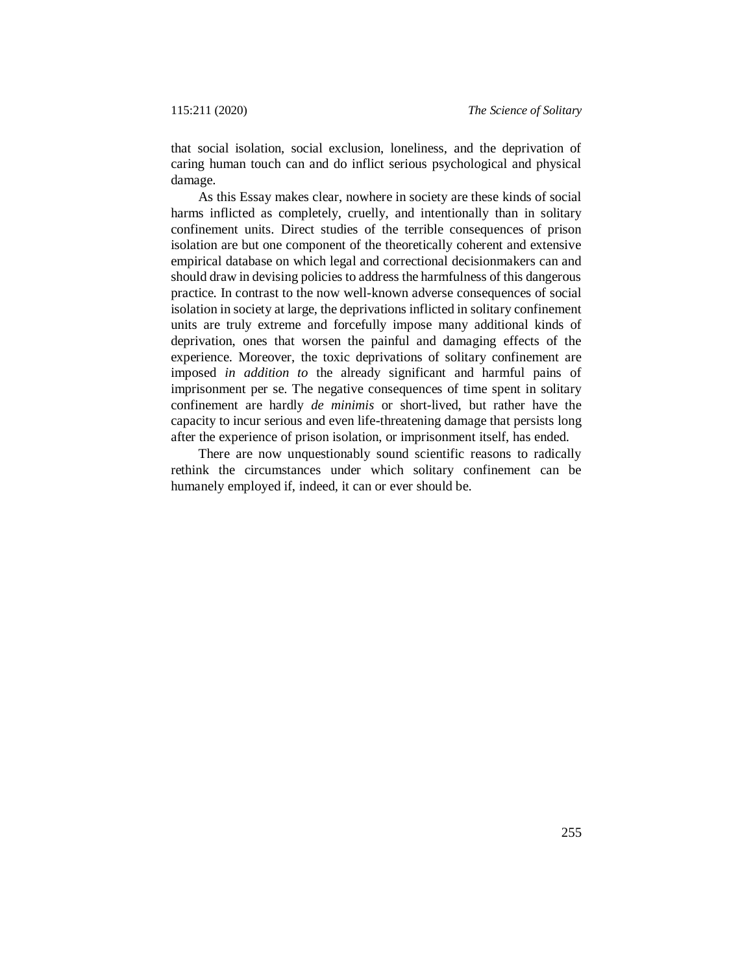that social isolation, social exclusion, loneliness, and the deprivation of caring human touch can and do inflict serious psychological and physical damage.

As this Essay makes clear, nowhere in society are these kinds of social harms inflicted as completely, cruelly, and intentionally than in solitary confinement units. Direct studies of the terrible consequences of prison isolation are but one component of the theoretically coherent and extensive empirical database on which legal and correctional decisionmakers can and should draw in devising policies to address the harmfulness of this dangerous practice. In contrast to the now well-known adverse consequences of social isolation in society at large, the deprivations inflicted in solitary confinement units are truly extreme and forcefully impose many additional kinds of deprivation, ones that worsen the painful and damaging effects of the experience. Moreover, the toxic deprivations of solitary confinement are imposed *in addition to* the already significant and harmful pains of imprisonment per se. The negative consequences of time spent in solitary confinement are hardly *de minimis* or short-lived, but rather have the capacity to incur serious and even life-threatening damage that persists long after the experience of prison isolation, or imprisonment itself, has ended.

There are now unquestionably sound scientific reasons to radically rethink the circumstances under which solitary confinement can be humanely employed if, indeed, it can or ever should be.